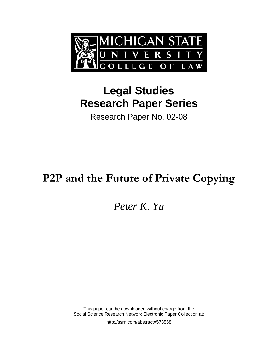

# **Legal Studies Research Paper Series**

Research Paper No. 02-08

# **P2P and the Future of Private Copying**

# *Peter K. Yu*

This paper can be downloaded without charge from the Social Science Research Network Electronic Paper Collection at:

http://ssrn.com/abstract=578568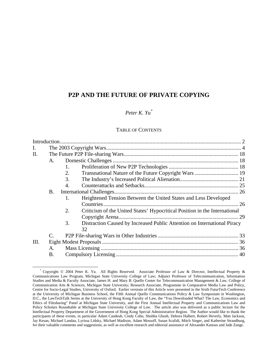# **P2P AND THE FUTURE OF PRIVATE COPYING**

## *Peter K. Yu\**

#### TABLE OF CONTENTS

| $\mathbf{I}$ . |           |    |                                                                            |  |  |
|----------------|-----------|----|----------------------------------------------------------------------------|--|--|
| Π.             |           |    |                                                                            |  |  |
|                | A.        |    |                                                                            |  |  |
|                |           | 1. |                                                                            |  |  |
|                |           | 2. |                                                                            |  |  |
|                |           | 3. |                                                                            |  |  |
|                |           | 4. |                                                                            |  |  |
|                | <b>B.</b> |    |                                                                            |  |  |
|                |           | 1. | Heightened Tension Between the United States and Less Developed            |  |  |
|                |           |    |                                                                            |  |  |
|                |           | 2. | Criticism of the United States' Hypocritical Position in the International |  |  |
|                |           |    |                                                                            |  |  |
|                |           | 3. | Distraction Caused by Increased Public Attention on International Piracy   |  |  |
|                |           |    | 32                                                                         |  |  |
|                | C.        |    |                                                                            |  |  |
| III.           |           |    |                                                                            |  |  |
|                | A.        |    |                                                                            |  |  |
|                | Β.        |    |                                                                            |  |  |

 <sup>\*</sup> Copyright © 2004 Peter K. Yu. All Rights Reserved. Associate Professor of Law & Director, Intellectual Property & Communications Law Program, Michigan State University College of Law; Adjunct Professor of Telecommunication, Information Studies and Media & Faculty Associate, James H. and Mary B. Quello Center for Telecommunication Management & Law, College of Communication Arts & Sciences, Michigan State University; Research Associate, Programme in Comparative Media Law and Policy, Centre for Socio-Legal Studies, University of Oxford. Earlier versions of this Article were presented in the Sixth FuturTech Conference at the University of Michigan Business School, the Fifth Annual Quello Communications Policy & Law Symposium in Washington, D.C., the LawTechTalk Series at the University of Hong Kong Faculty of Law, the "You Downloaded What? The Law, Economics and Ethics of Filesharing" Panel at Michigan State University, and the First Annual Intellectual Property and Communications Law and Policy Scholars Roundtable at Michigan State University College of Law. The article also was delivered as a public lecture for the Intellectual Property Department of the Government of Hong Kong Special Administrative Region. The Author would like to thank the participants of these events, in particular Adam Candeub, Cindy Cohn, Shubha Ghosh, Debora Halbert, Robert Heverly, Matt Jackson, Jay Kesan, Michael Landau, Lyrissa Lidsky, Michael Madison, Adam Mossoff, Susan Scafidi, Mitch Singer, and Katherine Strandburg, for their valuable comments and suggestions, as well as excellent research and editorial assistance of Alexander Kanous and Jade Zuege.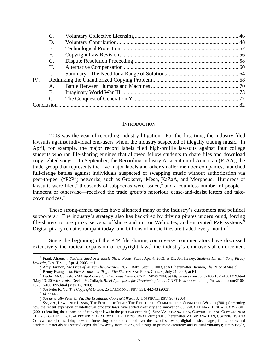|     | $\mathsf{C}$  |  |  |  |
|-----|---------------|--|--|--|
|     | D.            |  |  |  |
|     | Е.            |  |  |  |
|     | F.            |  |  |  |
|     | G.            |  |  |  |
|     | Н.            |  |  |  |
|     |               |  |  |  |
| IV. |               |  |  |  |
|     | A.            |  |  |  |
|     | Β.            |  |  |  |
|     | $\mathcal{C}$ |  |  |  |
|     |               |  |  |  |

#### **INTRODUCTION**

2003 was the year of recording industry litigation. For the first time, the industry filed lawsuits against individual end-users whom the industry suspected of illegally trading music. In April, for example, the major record labels filed high-profile lawsuits against four college students who ran file-sharing engines that allowed fellow students to share files and download copyrighted songs.<sup>1</sup> In September, the Recording Industry Association of American (RIAA), the trade group that represents the five major labels and other smaller member companies, launched full-fledge battles against individuals suspected of swapping music without authorization via peer-to-peer ("P2P") networks, such as Grokster, iMesh, KaZaA, and Morpheus. Hundreds of lawsuits were filed,<sup>2</sup> thousands of subpoenas were issued,<sup>3</sup> and a countless number of people innocent or otherwise—received the trade group's notorious cease-and-desist letters and takedown notices.4

These strong-armed tactics have alienated many of the industry's customers and political supporters.<sup>5</sup> The industry's strategy also has backfired by driving pirates underground, forcing file-sharers to use proxy servers, offshore and mirror Web sites, and encrypted P2P systems.<sup>6</sup> Digital piracy remains rampant today, and billions of music files are traded every month.<sup>7</sup>

Since the beginning of the P2P file sharing controversy, commentators have discussed extensively the radical expansion of copyright law, $8$  the industry's controversial enforcement

 $\frac{1}{1}$  Frank Ahrens, *4 Students Sued over Music Sites*, WASH. POST, Apr. 4, 2003, at E1; Jon Healey, *Students Hit with Song Piracy Lawsuits*, L.A. TIMES, Apr. 4, 2003, at 1.

Amy Harmon, *The Price of Music: The Overview*, N.Y. TIMES, Sept. 9, 2003, at A1 [hereinafter Harmon, *The Price of Music*]. 3

Benny Evangelista, *Firm Sleuths out Illegal File Sharers*, SAN FRAN. CHRON., July 21, 2003, at E1. 4

Declan McCullagh, *RIAA Apologizes for Erroneous Letters*, CNET NEWS.COM, *at* http://news.com.com/2100-1025-1001319.html (May 13, 2003); *see also* Declan McCullagh, *RIAA Apologizes for Threatening Letter*, CNET NEWS.COM, *at* http://news.com.com/2100-

<sup>&</sup>lt;sup>5</sup> See Peter K. Yu, *The Copyright Divide*, 25 CARDOZO L. REV. 331, 442-43 (2003).<br>
<sup>6</sup> Id. at 443.<br>
<sup>7</sup> See generally Peter K. Yu, *The Escalating Copyright Wars*, 32 HOFSTRA L. REV. 907 (2004).<br>
<sup>8</sup> See, e.g., LAWRENCE how the recent expansion of intellectual property laws have stifled creativity and innovation); JESSICA LITMAN, DIGITAL COPYRIGHT (2001) (detailing the expansion of copyright laws in the past two centuries); SIVA VAIDHYANATHAN, COPYRIGHTS AND COPYWRONGS: THE RISE OF INTELLECTUAL PROPERTY AND HOW IT THREATENS CREATIVITY (2001) [hereinafter VAIDHYANATHAN, COPYRIGHTS AND COPYWRONGS] (describing how the increasing corporate control over the use of software, digital music, images, films, books and academic materials has steered copyright law away from its original design to promote creativity and cultural vibrancy); James Boyle,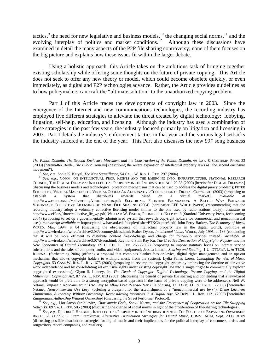tactics,<sup>9</sup> the need for new legislative and business models,<sup>10</sup> the changing social norms,<sup>11</sup> and the evolving interplay of politics and market conditions.<sup>12</sup> Although these discussions have examined in detail the many aspects of the P2P file sharing controversy, none of them focuses on the big picture and explains how these issues fit within the larger debate.

Using a holistic approach, this Article takes on the ambitious task of bringing together existing scholarship while offering some thoughts on the future of private copying. This Article does not seek to offer any new theory or model, which could become obsolete quickly, or even immediately, as digital and P2P technologies advance. Rather, the Article provides guidelines as to how policymakers can craft the "ultimate solution" to the unauthorized copying problem.

Part I of this Article traces the developments of copyright law in 2003. Since the emergence of the Internet and new communications technologies, the recording industry has employed five different strategies to alleviate the threat created by digital technology: lobbying, litigation, self-help, education, and licensing. Although the industry has used a combination of these strategies in the past few years, the industry focused primarily on litigation and licensing in 2003. Part I details the industry's enforcement tactics in that year and the various legal setbacks the industry suffered at the end of the year. This Part also discusses the new 99¢ song business

1

*The Public Domain: The Second Enclosure Movement and the Construction of the Public Domain*, 66 LAW & CONTEMP. PROB. 33 (2003) [hereinafter Boyle, *The Public Domain*] (describing the recent expansion of intellectual property laws as "the second enclosure

<sup>&</sup>lt;sup>9</sup> See, e.g., Sonia K. Katyal, *The New Surveillance*, 54 CASE W. RES. L. REV. 297 (2004).<br><sup>10</sup> See, e.g., COMM. ON INTELLECTUAL PROP. RIGHTS AND THE EMERGING INFO. INFRASTRUCTURE, NATIONAL RESEARCH COUNCIL, THE DIGITAL DILEMMA: INTELLECTUAL PROPERTY IN THE INFORMATION AGE 79-86 (2000) [hereinafter DIGITAL DILEMMA] (discussing the business models and technological protection mechanisms that can be used to address the digital piracy problem); PETER ECKERSLEY, VIRTUAL MARKETS FOR VIRTUAL GOODS: AN ALTERNATIVE COOPERATION OF DIGITAL COPYRIGHT (2003) (proposing to establish a system that distributes rewards based on a virtual market). *available at* establish a system that distributes rewards based on a virtual market), *available at*  http://www.cs.mu.oz.au/~pde/writing/virtualmarkets.pdf; ELECTRONIC FRONTIER FOUNDATION, A BETTER WAY FORWARD: VOLUNTARY COLLECTIVE LICENSING OF MUSIC FILE SHARING (2004) [hereinafter EFF WHITE PAPER] (recommending that the recording industry adopt a voluntary collective licensing model similar to the one used by radio stations today), *available at* http://www.eff.org/share/collective\_lic\_wp.pdf; WILLIAM W. FISHER, PROMISES TO KEEP ch. 6 (Stanford University Press, forthcoming 2004) (proposing to set up a governmentally administered system that rewards copyright holders for commercial and noncommercial uses), *manuscript available at* http://cyber.law.harvard.edu/people/tfisher/PTKChapter6.pdf; John Perry Barlow, *The Economy of Ideas*, WIRED, Mar. 1994, at 84 (discussing the obsolescence of intellectual property law in the digital world), *available at*  http://www.wired.com/wired/archive/2.03/economy.ideas.html; Esther Dyson, *Intellectual Value*, WIRED, July 1995, at 136 (contending that it will be more efficient to distribute content free-of-charge and charge for follow-up services instead), *available at* http://www.wired.com/wired/archive/3.07/dyson.html; Raymond Shih Ray Ku, *The Creative Destruction of Copyright: Napster and the New Economics of Digital Technology*, 69 U. CHI. L. REV. 263 (2002) (proposing to impose statutory levies on Internet service subscriptions and the sales of computer, audio, and video equipment); Jessica Litman, *Sharing and Stealing*, 1 U. OTTAWA L. & TECH. JOURNAL (forthcoming 2004) (offering a proposal that combines blanket fees or levies, digital rights management, and an opt-out mechanism that allows copyright holders to withhold music from the system); Lydia Pallas Loren, *Untangling the Web of Music Copyrights*, 53 CASE W. RES. L. REV. 673 (2003) (proposing to revamp the copyright system by embracing the doctrine of derivative work independence and by consolidating all exclusive rights under existing copyright law into a single "right to commercially exploit" copyrighted expressions); Glynn S. Lunney, Jr., *The Death of Copyright: Digital Technology, Private Copying, and the Digital Millennium Copyright Act*, 87 VA. L. REV. 813 (2001) (discussing the benefit of private file sharing and contending that a levy-based approach would be preferable to a strong encryption-based approach if the harm of private copying were to be addressed); Neil W. Netanel, *Impose a Noncommercial Use Levy to Allow Free Peer-to-Peer File Sharing*, 17 HARV. J.L. & TECH. 1 (2003) [hereinafter Netanel, *Noncommercial Use Levy*] (offering a blueprint for the establishment of a "noncommercial use levy"); Diane Leenheer Zimmerman, *Authorship Without Ownership: Reconsidering Incentives in a Digital Age*, 52 DePaul L. Rev. 1121 (2003) [hereinafter

<sup>&</sup>lt;sup>11</sup> See, e.g., Lior Jacob Strahilevitz, *Charismatic Code, Social Norms, and the Emergence of Cooperation on the File-Swapping Networks, 89 VA. L. REV. 505 (2003) (discussing the change of social norms in light of the pr* 

 $12$  See, e.g., DEBORA J. HALBERT, INTELLECTUAL PROPERTY IN THE INFORMATION AGE: THE POLITICS OF EXPANDING OWNERSHIP RIGHTS 79 (1999); G. Prem Premkumar, *Alternative Distribution Strategies for Digital Music*, COMM. ACM, Sept. 2003, at 89 (discussing possible distribution strategies for digital music and their implications for the political interplay of consumers, artists and songwriters, record companies, and retailers).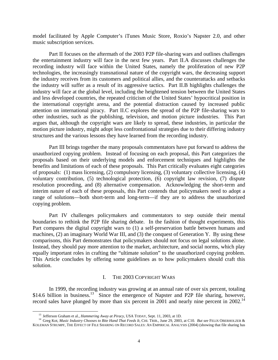model facilitated by Apple Computer's iTunes Music Store, Roxio's Napster 2.0, and other music subscription services.

Part II focuses on the aftermath of the 2003 P2P file-sharing wars and outlines challenges the entertainment industry will face in the next few years. Part II.A discusses challenges the recording industry will face within the United States, namely the proliferation of new P2P technologies, the increasingly transnational nature of the copyright wars, the decreasing support the industry receives from its customers and political allies, and the counterattacks and setbacks the industry will suffer as a result of its aggressive tactics. Part II.B highlights challenges the industry will face at the global level, including the heightened tension between the United States and less developed countries, the repeated criticism of the United States' hypocritical position in the international copyright arena, and the potential distraction caused by increased public attention on international piracy. Part II.C explores the spread of the P2P file-sharing wars to other industries, such as the publishing, television, and motion picture industries. This Part argues that, although the copyright wars are likely to spread, these industries, in particular the motion picture industry, might adopt less confrontational strategies due to their differing industry structures and the various lessons they have learned from the recording industry.

Part III brings together the many proposals commentators have put forward to address the unauthorized copying problem. Instead of focusing on each proposal, this Part categorizes the proposals based on their underlying models and enforcement techniques and highlights the benefits and limitations of each of these proposals. This Part critically evaluates eight categories of proposals: (1) mass licensing, (2) compulsory licensing, (3) voluntary collective licensing, (4) voluntary contribution, (5) technological protection, (6) copyright law revision, (7) dispute resolution proceeding, and (8) alternative compensation. Acknowledging the short-term and interim nature of each of these proposals, this Part contends that policymakers need to adopt a range of solutions—both short-term and long-term—if they are to address the unauthorized copying problem.

Part IV challenges policymakers and commentators to step outside their mental boundaries to rethink the P2P file sharing debate. In the fashion of thought experiments, this Part compares the digital copyright wars to (1) a self-preservation battle between humans and machines, (2) an imaginary World War III, and (3) the conquest of Generation Y. By using these comparisons, this Part demonstrates that policymakers should not focus on legal solutions alone. Instead, they should pay more attention to the market, architecture, and social norms, which play equally important roles in crafting the "ultimate solution" to the unauthorized copying problem. This Article concludes by offering some guidelines as to how policymakers should craft this solution.

#### I. THE 2003 COPYRIGHT WARS

In 1999, the recording industry was growing at an annual rate of over six percent, totaling \$14.6 billion in business.<sup>13</sup> Since the emergence of Napster and P2P file sharing, however, record sales have plunged by more than six percent in 2001 and nearly nine percent in 2002.<sup>14</sup>

<sup>&</sup>lt;sup>13</sup> Jefferson Graham et al., *Hammering Away at Piracy*, USA TODAY, Sept. 11, 2003, at 1D.<br><sup>14</sup> Greg Kot, *Music Industry Chooses to Bite Hand That Feeds It*, CHI. TRIB., June 29, 2003, at C10. *But see FELIX OBERHOLZER &* KOLEMAN STRUMPF, THE EFFECT OF FILE SHARING ON RECORD SALES: AN EMPIRICAL ANALYSIS (2004) (showing that file sharing has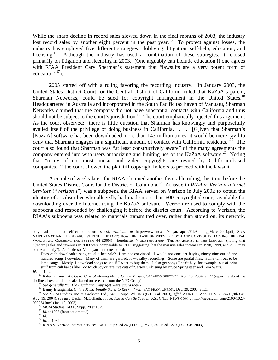While the sharp decline in record sales slowed down in the final months of 2003, the industry lost record sales by another eight percent in the past year.<sup>15</sup> To protect against losses, the industry has employed five different strategies: lobbying, litigation, self-help, education, and licensing.<sup>16</sup> Although the industry has used a combination of these strategies, it focused primarily on litigation and licensing in 2003. (One arguably can include education if one agrees with RIAA President Cary Sherman's statement that "lawsuits are a very potent form of education"<sup>17</sup>).

2003 started off with a ruling favoring the recording industry. In January 2003, the United States District Court for the Central District of California ruled that KaZaA's parent, Sharman Networks, could be sued for copyright infringement in the United States.<sup>18</sup> Headquartered in Australia and incorporated in the South Pacific tax haven of Vanuatu, Sharman Networks claimed that the company did not have substantial contacts with California and thus should not be subject to the court's jurisdiction.<sup>19</sup> The court emphatically rejected this argument. As the court observed: "there is little question that Sharman has knowingly and purposefully availed itself of the privilege of doing business in California. . . . [G]iven that Sharman's [KaZaA] software has been downloaded more than 143 million times, it would be mere cavil to deny that Sharman engages in a significant amount of contact with California residents."<sup>20</sup> The court also found that Sharman was "at least constructively aware" of the many agreements the company entered into with users authorizing and limiting use of the KaZaA software.<sup>21</sup> Noting that "many, if not most, music and video copyrights are owned by California-based companies,"22 the court allowed the plaintiff copyright holders to proceed with the lawsuit.

A couple of weeks later, the RIAA obtained another favorable ruling, this time before the United States District Court for the District of Columbia.23 At issue in *RIAA v. Verizon Internet Services* ("*Verizon I*") was a subpoena the RIAA served on Verizon in July 2002 to obtain the identity of a subscriber who allegedly had made more than 600 copyrighted songs available for downloading over the Internet using the KaZaA software. Verizon refused to comply with the subpoena and responded by challenging it before the district court. According to Verizon, the RIAA's subpoena was related to materials transmitted over, rather than stored on, its network,

only had a limited effect on record sales), *available at* http://www.unc.edu/~cigar/papers/FileSharing\_March2004.pdf; SIVA VAIDHYANATHAN, THE ANARCHIST IN THE LIBRARY: HOW THE CLASH BETWEEN FREEDOM AND CONTROL IS HACKING THE REAL WORLD AND CRASHING THE SYSTEM 44 (2004) [hereinafter VAIDHYANATHAN, THE ANARCHIST IN THE LIBRARY] (noting that "[record] sales and revenues in 2003 were comparable to 1997, suggesting that the massive sales increase in 1998, 1999, and 2000 may be the anomaly"). As Professor Vaidhyanathan questioned:

Does each downloaded song equal a lost sale? I am not convinced. I would not consider buying ninety-nine out of one hundred songs I download. Many of them are garbled, low-quality recordings. Some are partial files. Some turn out to be lame songs. Mostly, I download songs to see if I want to buy them. I also get songs I can't buy, for example, out-of-print stuff from cult bands like Too Much Joy or rare live cuts of "Jersey Girl" sung by Bruce Springsteen and Tom Waits.

*Id.* at 41-42.<br><sup>15</sup> Rafer Guzman, *A Classic Case of Making Music for the Masses*, ORLANDO SENTINEL, Apr. 18, 2004, at F7 (reporting about the decline of overall dollar sales based on research from the NPD Group).

<sup>&</sup>lt;sup>16</sup> See generally Yu, *The Escalating Copyright Wars, supra* note 7.<br><sup>17</sup> Benny Evangelista, *Online Music Finally Starts to Rock 'n' roll*, SAN FRAN. CHRON., Dec. 29, 2003, at E1.<br><sup>18</sup> See MGM Studios, Inc. v. Grokster, Aug. 19, 2004); *see also* Declan McCullagh, *Judge: Kazaa Can Be Sued in U.S.*, CNET NEWS.COM, *at* http://news.com.com/2100-1023-

<sup>&</sup>lt;sup>19</sup> MGM Studios, 243 F. Supp. 2d at 1079.<br>
<sup>20</sup> *Id.* at 1087 (footnote omitted).<br>
<sup>21</sup> *Id.*<br>
<sup>22</sup> *Id.* at 1089.<br>
<sup>23</sup> RIAA v. Verizon Internet Services, 240 F. Supp. 2d 24 (D.D.C.), *rev'd*, 351 F.3d 1229 (D.C. Cir. 2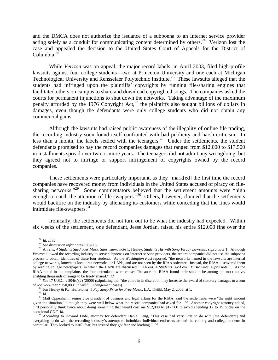and the DMCA does not authorize the issuance of a subpoena to an Internet service provider acting solely as a conduit for communicating content determined by others.<sup>24</sup> Verizon lost the case and appealed the decision to the United States Court of Appeals for the District of Columbia. $^{2}$ 

While *Verizon* was on appeal, the major record labels, in April 2003, filed high-profile lawsuits against four college students—two at Princeton University and one each at Michigan Technological University and Rensselaer Polytechnic Institute.<sup>26</sup> These lawsuits alleged that the students had infringed upon the plaintiffs' copyrights by running file-sharing engines that facilitated others on campus to share and download copyrighted songs. The companies asked the courts for permanent injunctions to shut down the networks. Taking advantage of the maximum penalty afforded by the 1976 Copyright Act,<sup>27</sup> the plaintiffs also sought billions of dollars in damages, even though the defendants were only college students who did not obtain any commercial gains.

Although the lawsuits had raised public awareness of the illegality of online file trading, the recording industry soon found itself confronted with bad publicity and harsh criticism. In less than a month, the labels settled with the teenagers.<sup>28</sup> Under the settlements, the student defendants promised to pay the record companies damages that ranged from \$12,000 to \$17,500 in installments spread over two or more years. The teenagers did not admit any wrongdoing, but they agreed not to infringe or support infringement of copyrights owned by the record companies.

These settlements were particularly important, as they "mark[ed] the first time the record companies have recovered money from individuals in the United States accused of piracy on filesharing networks."<sup>29</sup> Some commentators believed that the settlement amounts were "high enough to catch the attention of file swappers."<sup>30</sup> Others, however, claimed that the settlements would backfire on the industry by alienating its customers while conceding that the fines would intimidate file-swappers.<sup>31</sup>

Ironically, the settlements did not turn out to be what the industry had expected. Within six weeks of the settlement, one defendant, Jesse Jordan, raised his entire \$12,000 fine over the

<sup>&</sup>lt;sup>24</sup> *Id.* at 32.<br><sup>25</sup> *See* discussion *infra* notes 105-113.<br><sup>25</sup> Ahrens, 4 *Students Sued over Music Sites, supra* note 1; Healey, *Students Hit with Song Piracy Lawsuits, supra* note 1. Although *Verizon* allowed the recording industry to serve subpoenas on Internet service providers, the record companies did not use the subpoena process to obtain identities of these four students. As the *Washington Post* reported, "the networks named in the lawsuits are internal college networks, known as local area networks, or LANs, and are not seen by the RIAA software. Instead, the RIAA discovered them by reading college newspapers, in which the LANs are discussed." Ahrens, *4 Students Sued over Music Sites*, *supra* note 1. As the RIAA noted in its complaints, the four defendants were chosen "because the RIAA found their sites to be among the most active, enabling thousands of songs to be freely shared."  $Id$ .

<sup>&</sup>lt;sup>27</sup> *See* 17 U.S.C. § 504(c)(2) (2000) (stipulating that "the court in its discretion may increase the award of statutory damages to a sum of not more than \$150,000" in willful infringement cases).

<sup>&</sup>lt;sup>28</sup> Jon Healey & P.J. Huffstutter, 4 Pay Steep Price for Free Music, L.A. TIMES, May 2, 2003, at 1.<br><sup>29</sup> Id.<br><sup>30</sup> Matt Oppenheim, senior vice president of business and legal affairs for the RIAA, said the settlements wer given the situation," although they were well below what the record companies had asked for. *Id*. Another copyright attorney added, "I'd personally think twice about doing something that would cost me \$12,000 to \$17,500 to avoid spending 12 to 15 bucks on the occasional CD." *Id*. <sup>31</sup> According to Howard Ende, attorney for defendant Daniel Peng, "This case had very little to do with [the defendant] and

everything to do with the recording industry's attempt to intimidate individual end-users around the country and college students in particular. They looked to instill fear, but instead they got fear and loathing." *Id*.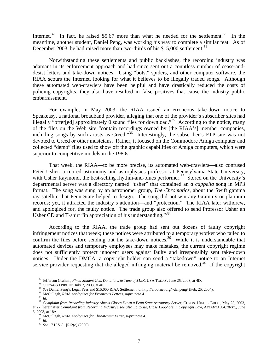Internet.<sup>32</sup> In fact, he raised \$5.67 more than what he needed for the settlement.<sup>33</sup> In the meantime, another student, Daniel Peng, was working his way to complete a similar feat. As of December 2003, he had raised more than two-thirds of his \$15,000 settlement.<sup>34</sup>

Notwithstanding these settlements and public backlashes, the recording industry was adamant in its enforcement approach and had since sent out a countless number of cease-anddesist letters and take-down notices. Using "bots," spiders, and other computer software, the RIAA scours the Internet, looking for what it believes to be illegally traded songs. Although these automated web-crawlers have been helpful and have drastically reduced the costs of policing copyrights, they also have resulted in false positives that cause the industry public embarrassment.

For example, in May 2003, the RIAA issued an erroneous take-down notice to Speakeasy, a national broadband provider, alleging that one of the provider's subscriber sites had illegally "offer[ed] approximately 0 sound files for download."35 According to the notice, many of the files on the Web site "contain recordings owned by [the RIAA's] member companies, including songs by such artists as Creed."<sup>36</sup> Interestingly, the subscriber's FTP site was not devoted to Creed or other musicians. Rather, it focused on the Commodore Amiga computer and collected "demo" files used to show off the graphic capabilities of Amiga computers, which were superior to competitive models in the 1980s.

That week, the RIAA—to be more precise, its automated web-crawlers—also confused Peter Usher, a retired astronomy and astrophysics professor at Pennsylvania State University, with Usher Raymond, the best-selling rhythm-and-blues performer.<sup>37</sup> Stored on the University's departmental server was a directory named "usher" that contained an *a cappella* song in MP3 format. The song was sung by an astronomer group, *The Chromatics*, about the Swift gamma ray satellite that Penn State helped to design. The song did not win any Grammy or platinum records; yet, it attracted the industry's attention—and "protection." The RIAA later withdrew, and apologized for, the faulty notice. The trade group also offered to send Professor Usher an Usher CD and T-shirt "in appreciation of his understanding."<sup>38</sup>

According to the RIAA, the trade group had sent out dozens of faulty copyright infringement notices that week; these notices were attributed to a temporary worker who failed to confirm the files before sending out the take-down notices.<sup>39</sup> While it is understandable that automated devices and temporary employees may make mistakes, the current copyright regime does not sufficiently protect innocent users against faulty and irresponsibly sent take-down notices. Under the DMCA, a copyright holder can send a "takedown" notice to an Internet service provider requesting that the alleged infringing material be removed.<sup>40</sup> If the copyright

<sup>&</sup>lt;sup>32</sup> Jefferson Graham, *Fined Student Gets Donations to Tune of* \$12K, USA TODAY, June 25, 2003, at 4D.<br><sup>33</sup> CHICAGO TRIBUNE, July 7, 2003, at 40.<br><sup>34</sup> See Daniel Peng's Legal Fees and \$15,000 RIAA Settlement, *at* http:/ at 27 [hereinafter *Complaint from Recording Industry*]; *see also* Editorial, *Close Loophole in Copyright Law*, ATLANTA J.-CONST., June 6, 2003, at 18A. 38 McCullagh, *RIAA Apologizes for Threatening Letter*, *supra* note 4. 39 *Id*. 40 *See* 17 U.S.C. §512(c) (2000).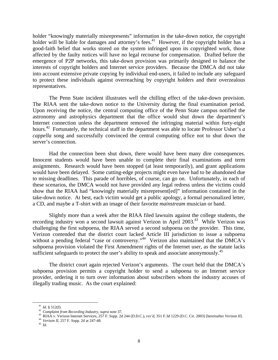holder "knowingly materially misrepresents" information in the take-down notice, the copyright holder will be liable for damages and attorney's fees.<sup>41</sup> However, if the copyright holder has a good-faith belief that works stored on the system infringed upon its copyrighted work, those affected by the faulty notices will have no legal recourse for compensation. Drafted before the emergence of P2P networks, this take-down provision was primarily designed to balance the interests of copyright holders and Internet service providers. Because the DMCA did not take into account extensive private copying by individual end-users, it failed to include any safeguard to protect these individuals against overreaching by copyright holders and their overzealous representatives.

The Penn State incident illustrates well the chilling effect of the take-down provision. The RIAA sent the take-down notice to the University during the final examination period. Upon receiving the notice, the central computing office of the Penn State campus notified the astronomy and astrophysics department that the office would shut down the department's Internet connection unless the department removed the infringing material within forty-eight hours.42 Fortunately, the technical staff in the department was able to locate Professor Usher's *a cappella* song and successfully convinced the central computing office not to shut down the server's connection.

Had the connection been shut down, there would have been many dire consequences. Innocent students would have been unable to complete their final examinations and term assignments. Research would have been stopped (at least temporarily), and grant applications would have been delayed. Some cutting-edge projects might even have had to be abandoned due to missing deadlines. This parade of horribles, of course, can go on. Unfortunately, in each of these scenarios, the DMCA would not have provided any legal redress unless the victims could show that the RIAA had "knowingly materially misrepresent[ed]" information contained in the take-down notice. At best, each victim would get a public apology, a formal personalized letter, a CD, and maybe a T-shirt with an image of their favorite *mainstream* musician or band.

Slightly more than a week after the RIAA filed lawsuits against the college students, the recording industry won a second lawsuit against Verizon in April 2003.<sup>43</sup> While Verizon was challenging the first subpoena, the RIAA served a second subpoena on the provider. This time, Verizon contended that the district court lacked Article III jurisdiction to issue a subpoena without a pending federal "case or controversy."<sup>44</sup> Verizon also maintained that the DMCA's subpoena provision violated the First Amendment rights of the Internet user, as the statute lacks sufficient safeguards to protect the user's ability to speak and associate anonymously.<sup>45</sup>

The district court again rejected Verizon's arguments. The court held that the DMCA's subpoena provision permits a copyright holder to send a subpoena to an Internet service provider, ordering it to turn over information about subscribers whom the industry accuses of illegally trading music. As the court explained:

<sup>&</sup>lt;sup>41</sup> *Id.* § 512(f).<br><sup>42</sup> Complaint from Recording Industry, supra note 37.<br><sup>43</sup> RIAA v. Verizon Internet Services, 257 F. Supp. 2d 244 (D.D.C.), rev'd, 351 F.3d 1229 (D.C. Cir. 2003) [hereinafter Verizon II].<br><sup>44</sup> Verizo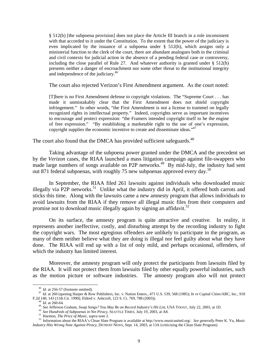§ 512(h) [the subpoena provision] does not place the Article III branch in a role inconsistent with that accorded to it under the Constitution. To the extent that the power of the judiciary is even implicated by the issuance of a subpoena under  $\S$  512(h), which assigns only a ministerial function to the clerk of the court, there are abundant analogues both in the criminal and civil contexts for judicial action in the absence of a pending federal case or controversy, including the close parallel of Rule 27. And whatever authority is granted under  $\S$  512(h) presents neither a danger of encroachment nor some other threat to the institutional integrity and independence of the judiciary.<sup>46</sup>

The court also rejected Verizon's First Amendment argument. As the court noted:

[T]here is no First Amendment defense to copyright violations. The "Supreme Court . . . has made it unmistakably clear that the First Amendment does not shield copyright infringement." In other words, "the First Amendment is not a license to trammel on legally recognized rights in intellectual property." Indeed, copyrights serve as important incentives to encourage and protect expression: "the Framers intended copyright itself to be the engine of free expression." "By establishing a marketable right to the use of one's expression, copyright supplies the economic incentive to create and disseminate ideas."<sup>47</sup>

The court also found that the DMCA has provided sufficient safeguards.<sup>48</sup>

Taking advantage of the subpoena power granted under the DMCA and the precedent set by the *Verizon* cases, the RIAA launched a mass litigation campaign against file-swappers who made large numbers of songs available on P2P networks.<sup>49</sup> By mid-July, the industry had sent out 871 federal subpoenas, with roughly 75 new subpoenas approved every day.<sup>50</sup>

In September, the RIAA filed 261 lawsuits against individuals who downloaded music illegally via  $P2P$  networks.<sup>51</sup> Unlike what the industry did in April, it offered both carrots and sticks this time. Along with the lawsuits came a new amnesty program that allows individuals to avoid lawsuits from the RIAA if they remove all illegal music files from their computers and promise not to download music illegally again by signing an affidavit.<sup>52</sup>

On its surface, the amnesty program is quite attractive and creative. In reality, it represents another ineffective, costly, and disturbing attempt by the recording industry to fight the copyright wars. The most egregious offenders are unlikely to participate in the program, as many of them neither believe what they are doing is illegal nor feel guilty about what they have done. The RIAA will end up with a list of only mild, and perhaps occasional, offenders, of which the industry has limited interest.

Moreover, the amnesty program will only protect the participants from lawsuits filed by the RIAA. It will not protect them from lawsuits filed by other equally powerful industries, such as the motion picture or software industries. The amnesty program also will not protect

<sup>&</sup>lt;sup>46</sup> *Id.* at 256-57 (footnote omitted).<br><sup>47</sup> *Id.* at 260 (quoting Harper & Row Publishers, Inc. v. Nation Enters., 471 U.S. 539, 568 (1985); *In re* Capital Cities/ABC, Inc., 918<br>F.2d 140, 143 (11th Cir. 1990); Eldred v.

<sup>&</sup>lt;sup>48</sup> *Id.* at 260-64.<br><sup>49</sup> *See Isfferson Graham, Swap Songs? You May Be on Record Industry's Hit List, USA TODAY, July 22, 2003, at 1D.*<br><sup>50</sup> *See Hundreds of Subpoenas in Net Piracy*, SEATTLE TIMES, July 19, 2003, at A8 *Industry Hits Wrong Note Against Piracy*, DETROIT NEWS, Sept. 14, 2003, at 13A (criticizing the Clean Slate Program).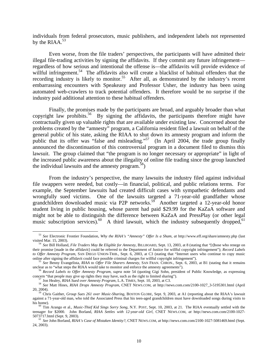individuals from federal prosecutors, music publishers, and independent labels not represented by the RIAA. $53$ 

Even worse, from the file traders' perspectives, the participants will have admitted their illegal file-trading activities by signing the affidavits. If they commit any future infringement regardless of how serious and intentional the offense is—the affidavits will provide evidence of willful infringement.<sup>54</sup> The affidavits also will create a blacklist of habitual offenders that the recording industry is likely to monitor.<sup>55</sup> After all, as demonstrated by the industry's recent embarrassing encounters with Speakeasy and Professor Usher, the industry has been using automated web-crawlers to track potential offenders. It therefore would be no surprise if the industry paid additional attention to these habitual offenders.

Finally, the promises made by the participants are broad, and arguably broader than what copyright law prohibits.<sup>56</sup> By signing the affidavits, the participants therefore might have contractually given up valuable rights that are available under existing law. Concerned about the problems created by the "amnesty" program, a California resident filed a lawsuit on behalf of the general public of his state, asking the RIAA to shut down its amnesty program and inform the public that its offer was "false and misleading."57 (In April 2004, the trade group finally announced the discontinuation of this controversial program in a document filed to dismiss this lawsuit. The group claimed that "the program is no longer necessary or appropriate" in light of the increased public awareness about the illegality of online file trading since the group launched the individual lawsuits and the amnesty program.<sup>58</sup>)

From the industry's perspective, the many lawsuits the industry filed against individual file swappers were needed, but costly—in financial, political, and public relations terms. For example, the September lawsuits had created difficult cases with sympathetic defendants and wrongfully sued victims. One of the lawsuits targeted a 71-year-old grandfather whose grandchildren downloaded music via P2P networks.<sup>59</sup> Another targeted a 12-year-old honor student living in public housing, whose parent had paid \$29.99 for the KaZaA software and might not be able to distinguish the difference between KaZaA and PressPlay (or other legal music subscription services).<sup>60</sup> A third lawsuit, which the industry subsequently dropped,<sup>61</sup>

 <sup>53</sup> *See* Electronic Frontier Foundation, *Why the RIAA's "Amnesty" Offer Is a Sham*, *at* http://www.eff.org/share/amnesty.php (last visited Mar. 15, 2003). 54 *See* Bill Holland, *File Traders May Be Eligible for Amnesty*, BILLBOARD, Sept. 13, 2003, at 8 (stating that "[t]hose who renege on

their promise [made in the affidavit] could be referred to the Department of Justice for willful copyright infringement"); *Record Labels to Offer Amnesty Program*, SAN DIEGO UNION-TRIB., Sept. 6, 2003, at C3 (stating that "Internet users who continue to copy music online after signing the affidavit could face possible criminal charges for willful copyright infringement").<br><sup>55</sup> See Benny Evangelista, *RIAA to Offer File Sharers Amnesty*, SAN FRAN. CHRON., Sept. 6, 2003, at B1 (statin

unclear as to "what steps the RIAA would take to monitor and enforce the amnesty agreements").<br><sup>56</sup> Record Labels to Offer Amnesty Program, supra note 54 (quoting Gigi Sohn, president of Public Knowledge, as expressing con

<sup>57</sup> Jon Healey, RIAA Sued over Amnesty Program, L.A. TIMES, Sept. 10, 2003, at C3.<br>58 See Matt Hines, RIAA Drops Amnesty Program, CNET NEWS.COM, at http://news.com.com/2100-1027\_3-5195301.html (April 20, 2004).

<sup>20, 2004). 59</sup> Chris Gaither, *Group Sues 261 over Music-Sharing*, BOSTON GLOBE, Sept. 9, 2003, at A1 (reporting about the RIAA's lawsuit against a 71-year-old man, who told the Associated Press that his teen-aged grandchildren must have downloaded songs during visits to his home).

his home). 60 Tim Arango et al., *Music-Thief Kid Sings Sorry Song*, N.Y. POST, Sept. 10, 2003, at 21. The RIAA eventually settled with the teenager for \$2000. John Borland, *RIAA Settles with 12-year-old Girl*, CNET NEWS.COM, *at* http://news.com.com/2100-1027-

<sup>5073717.</sup>html (Sept. 9, 2003). 61 *See* John Borland, *RIAA's Case of Mistaken Identity?*, CNET NEWS.COM, *at* http://news.com.com/2100-1027-5081469.html (Sept. 24, 2003).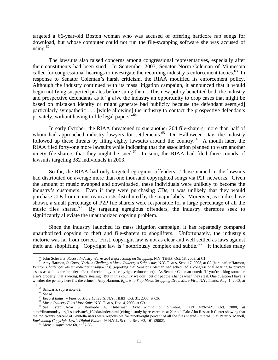targeted a 66-year-old Boston woman who was accused of offering hardcore rap songs for download, but whose computer could not run the file-swapping software she was accused of using. $62$ 

The lawsuits also raised concerns among congressional representatives, especially after their constituents had been sued. In September 2003, Senator Norm Coleman of Minnesota called for congressional hearings to investigate the recording industry's enforcement tactics. $63$  In response to Senator Coleman's harsh criticism, the RIAA modified its enforcement policy. Although the industry continued with its mass litigation campaign, it announced that it would begin notifying suspected pirates before suing them. This new policy benefited both the industry and prospective defendants as it "g[a]ve the industry an opportunity to drop cases that might be based on mistaken identity or might generate bad publicity because the defendant seem[ed] particularly sympathetic . . . [while allowing] the industry to contact the prospective defendants privately, without having to file legal papers."<sup>64</sup>

In early October, the RIAA threatened to sue another 204 file-sharers, more than half of whom had approached industry lawyers for settlements.<sup>65</sup> On Halloween Day, the industry followed up these threats by filing eighty lawsuits around the country.<sup>66</sup> A month later, the RIAA filed forty-one more lawsuits while indicating that the association planned to warn another ninety file-sharers that they might be sued.<sup>67</sup> In sum, the RIAA had filed three rounds of lawsuits targeting 382 individuals in 2003.

So far, the RIAA had only targeted egregious offenders. Those named in the lawsuits had distributed on average more than one thousand copyrighted songs via P2P networks. Given the amount of music swapped and downloaded, these individuals were unlikely to become the industry's customers. Even if they were purchasing CDs, it was unlikely that they would purchase CDs from mainstream artists distributed by the major labels. Moreover, as studies have shown, a small percentage of P2P file sharers were responsible for a large percentage of all the music files shared.<sup>68</sup> By targeting egregious offenders, the industry therefore seek to significantly alleviate the unauthorized copying problem.

Since the industry launched its mass litigation campaign, it has repeatedly compared unauthorized copying to theft and file-sharers to shoplifters. Unfortunately, the industry's rhetoric was far from correct. First, copyright law is not as clear and well settled as laws against theft and shoplifting. Copyright law is "notoriously complex and subtle."69 It includes many

 $^{62}$  John Schwartz, Record Industry Warns 204 Before Suing on Swapping, N.Y. TIMES, Oct. 18, 2003, at C1.<br> $^{63}$  Amy Harmon, In Court, Verizon Challenges Music Industry's Subpoenas, N.Y. TIMES, Sept. 17, 2003, at C2 [he *Verizon Challenges Music Industry's Subpoenas*] (reporting that Senator Coleman had scheduled a congressional hearing to privacy issues as well as the broader effect of technology on copyright enforcement). As Senator Coleman noted: "If you're taking someone else's property, that's wrong, that's stealing. But in this country we don't cut off people's hands when they steal. One question I have is whether the penalty here fits the crime." Amy Harmon, *Efforts to Stop Music Swapping Draw More Fire*, N.Y. TIMES, Aug. 1, 2003, at C1.<br>
<sup>64</sup> Schwartz. *supra* note 62.

<sup>65</sup> See id.<br>
66 See id.<br>
66 Record Industry Files 80 More Lawsuits, N.Y. TIMES, Oct. 31, 2003, at C6.<br>
67 Music Industry Files More Suits, N.Y. TIMES, Dec. 4, 2003, at C9.<br>
68 See Eytan Adar & Bernardo A. Huberman, *Free R* http://firstmonday.org/issues/issue5\_10/adar/index.html (citing a study by researchers at Xerox's Palo Alto Research Center showing that the top twenty percent of Gnutella users were responsible for ninety-eight percent of all the files shared), *quoted in* at Peter S. Menell, *Envisioning Copyright Law's Digital Future*, 46 N.Y.L. SCH. L. REV. 63, 161 (2002). 69 Menell, *supra* note 68, at 67-68.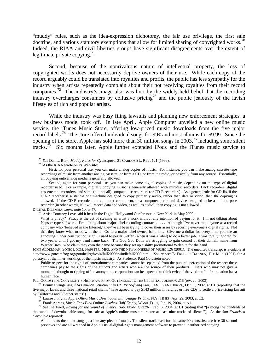"muddy" rules, such as the idea-expression dichotomy, the fair use privilege, the first sale doctrine, and various statutory exemptions that allow for limited sharing of copyrighted works.<sup>70</sup> Indeed, the RIAA and civil liberties groups have significant disagreements over the extent of legitimate private copying. $^{71}$ 

Second, because of the nonrivalrous nature of intellectual property, the loss of copyrighted works does not necessarily deprive owners of their use. While each copy of the record arguably could be translated into royalties and profits, the public has less sympathy for the industry when artists repeatedly complain about their not receiving royalties from their record companies.<sup>72</sup> The industry's image also was hurt by the widely-held belief that the recording industry overcharges consumers by collusive pricing<sup>73</sup> and the public jealously of the lavish lifestyles of rich and popular artists.

While the industry was busy filing lawsuits and planning new enforcement strategies, a new business model took off. In late April, Apple Computer unveiled a new online music service, the iTunes Music Store, offering low-priced music downloads from the five major record labels.<sup>74</sup> The store offered individual songs for 99 $\phi$  and most albums for \$9.99. Since the opening of the store, Apple has sold more than  $30$  million songs in  $2003$ ,<sup>75</sup> including some silent tracks.<sup>76</sup> Six months later, Apple further extended iPods and the iTunes music service to

<sup>70</sup> *See* Dan L. Burk, *Muddy Rules for Cyberspace*, 21 CARDOZO L. REV. 121 (1999). 71 As the RIAA wrote on its Web site:

First, for your personal use, you can make analog copies of music. For instance, you can make analog cassette tape recordings of music from another analog cassette, or from a CD, or from the radio, or basically from any source. Essentially, all copying onto analog media is generally allowed.

Second, again for your personal use, you can make some digital copies of music, depending on the type of digital recorder used. For example, digitally copying music is generally allowed with minidisc recorders, DAT recorders, digital cassette tape recorders, and some (but not all) compact disc recorders (or CD-R recorders). As a general rule for CD-Rs, if the CD-R recorder is a stand-alone machine designed to copy primarily audio, rather than data or video, then the copying is allowed. If the CD-R recorder is a computer component, or a computer peripheral device designed to be a multipurpose recorder (in other words, if it will record data and video, as well as audio), then copying is not allowed.<br>DIGITAL DILEMMA, *supra* note 10, at 47.

<sup>&</sup>lt;sup>72</sup> Artist Courtney Love said it best in the Digital Hollywood Conference in New York in May 2000:

What is piracy? Piracy is the act of stealing an artist's work without any intention of paying for it. I'm not talking about Napster-type software. I'm talking about major label recording contracts. . . . Although I've never met anyone at a record company who 'believed in the Internet,' they've all been trying to cover their asses by securing everyone's digital rights. Not that they know what to do with them. Go to a major label-owned band site. Give me a dollar for every time you see an annoying 'under construction' sign. I used to pester Geffen (when it was a label) to do a better job. I was totally ignored for two years, until I got my band name back. The Goo Goo Dolls are struggling to gain control of their domain name from Warner Bros., who claim they own the name because they set up a shitty promotional Web site for the band.

JOHN ALDERMAN, SONIC BOOM: NAPSTER, MP3, AND THE NEW PIONEERS OF MUSIC 126 (2001). The unedited transcript is available at http://www.goteamfrog.org/gotohell/gthvol4/fall2000/swindlefall2000.html. *See generally* FREDRIC DANNEN, HIT MEN (1991) for a portrayal of the inner workings of the music industry. As Professor Paul Goldstein noted:

Public respect for the rights of entertainment companies cannot be separated from the public's perception of the respect these companies pay to the rights of the authors and artists who are the source of their products. Users who may not give a moment's thought to ripping off an anonymous corporation can be expected to think twice if the victim of their predation has a human face.<br>
Paul GOLDSTEIN, COPYRIGHT'S HIGHWAY: FROM GUTENBERG TO THE CELESTIAL JUKEBOX 216 (rev. ed. 2003).

<sup>&</sup>lt;sup>73</sup> Benny Evangelista, \$143 million Settlement in CD Price-fixing Suit, SAN. FRAN CHRON., Oct. 1, 2002, at B1 (reporting that the five major labels and three national retail chains "have agreed to pay \$143 million in refunds or free CDs to settle a price-fixing lawsuit by California and 39 other states").<br><sup>74</sup> Laurie J. Flynn, *Apple Offers Music Downloads with Unique Pricing*, N.Y. TIMES, Apr. 29, 2003, at C2.<br><sup>75</sup> Frank Ahrens, *Music Fans Find Online Jukebox Half-Empty*, WASH. POST, J

thousands of downloadable songs for sale at Apple's online music store are at least nine tracks of silence"). As the *San Francisco Chronicle* reported:

Apple treats the silent songs just like any piece of music. The silent tracks sell for the same 99 cents, feature free 30-second previews and are all wrapped in Apple's usual digital-rights management software to prevent unauthorized copying.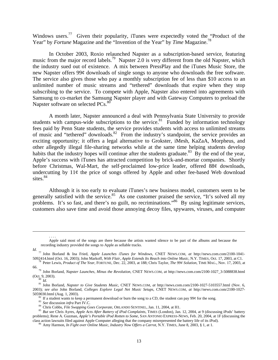Windows users.<sup>77</sup> Given their popularity, iTunes were expectedly voted the "Product of the Year" by *Fortune* Magazine and the "Invention of the Year" by *Time* Magazine.78

In October 2003, Roxio relaunched Napster as a subscription-based service, featuring music from the major record labels.<sup>79</sup> Napster 2.0 is very different from the old Napster, which the industry sued out of existence. A mix between PressPlay and the iTunes Music Store, the new Napster offers 99¢ downloads of single songs to anyone who downloads the free software. The service also gives those who pay a monthly subscription fee of less than \$10 access to an unlimited number of music streams and "tethered" downloads that expire when they stop subscribing to the service. To compete with Apple, Napster also entered into agreements with Samsung to co-market the Samsung Napster player and with Gateway Computers to preload the Napster software on selected PCs.<sup>80</sup>

A month later, Napster announced a deal with Pennsylvania State University to provide students with campus-wide subscriptions to the service. $81$  Funded by information technology fees paid by Penn State students, the service provides students with access to unlimited streams of music and "tethered" downloads.82 From the industry's standpoint, the service provides an exciting opportunity; it offers a legal alternative to Grokster, iMesh, KaZaA, Morpheus, and other allegedly illegal file-sharing networks while at the same time helping students develop habits that the industry hopes will continue after the students graduate.<sup>83</sup> By the end of the year, Apple's success with iTunes has attracted competition by brick-and-mortar companies. Shortly before Christmas, Wal-Mart, the self-proclaimed low-price leader, offered 88¢ downloads, undercutting by  $11¢$  the price of songs offered by Apple and other fee-based Web download sites.<sup>84</sup>

Although it is too early to evaluate iTunes's new business model, customers seem to be generally satisfied with the service. $85$  As one customer praised the service, "It's solved all my problems. It's so fast, and there's no guilt, no recriminations.<sup>86</sup> By using legitimate services, customers also save time and avoid those annoying decoy files, spywares, viruses, and computer

. . . .

Apple said most of the songs are there because the artists wanted silence to be part of the albums and because the recording industry provided the songs to Apple as sellable tracks.

*Id*. 77 John Borland & Ina Fried, *Apple Launches iTunes for Windows*, CNET NEWS.COM, *at* http://news.com.com/2100-1041- 5092414.html (Oct. 16, 2003); John Markoff, With Flair, Apple Extends Its Reach into Online Music, N.Y. TIMES, Oct. 17, 2003, at C1.<br><sup>78</sup> Peter Lewis, *Product of The Year*, FORTUNE, Dec. 22, 2003, at 188; Chris Taylor, *T* 

<sup>66. 79</sup> John Borland, *Napster Launches, Minus the Revolution*, CNET NEWS.COM, *at* http://news.com.com/2100-1027\_3-5088838.html

<sup>&</sup>lt;sup>81</sup> John Borland, *Napster to Give Students Music*, CNET NEWS.COM, *at* http://news.com.com/2100-1027-5103557.html (Nov. 6, 2003); *see also* John Borland, *Colleges Explore Legal Net Music Setups*, CNET NEWS.COM, *at* http://news.com.com/2100-1027- 5059030.html (Aug. 1, 2003).<br><sup>82</sup> If a student wants to keep a permanent download or burn the song to a CD, the student can pay 99¢ for the song.<br><sup>83</sup> See discussion *infra* Part IV.C.

<sup>&</sup>lt;sup>84</sup> Chris Cobbs, File Swapping Goes Corporate, ORLANDO SENTINEL, Jan. 11, 2004, at H1.<br><sup>85</sup> But see Chris Ayres, Apple Acts After Battery of iPod Complaints, TIMES (London), Jan. 12, 2004, at 9 (discussing iPods' battery problems); Rene A. Guzman, *Apple's Portable iPod Rotten to Some*, SAN ANTONIO EXPRESS-NEWS, Feb. 20, 2004, at 1F (discussing the class action lawsuits filed against Apple Computer alleging that the company misrepresented

<sup>86</sup> Amy Harmon, In Fight over Online Music, Industry Now Offers a Carrot, N.Y. TIMES, June 8, 2003, § 1, at 1.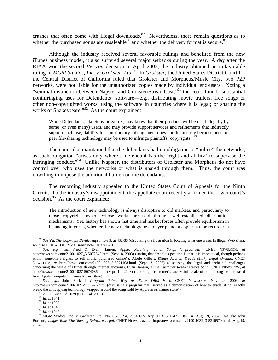crashes that often come with illegal downloads.<sup>87</sup> Nevertheless, there remain questions as to whether the purchased songs are resaleable  $88$  and whether the delivery format is secure.  $89$ 

Although the industry received several favorable rulings and benefited from the new iTunes business model, it also suffered several major setbacks during the year. A day after the RIAA won the second *Verizon* decision in April 2003, the industry obtained an unfavorable ruling in *MGM Studios, Inc. v. Grokster, Ltd.*<sup>90</sup>In *Grokster*, the United States District Court for the Central District of California ruled that Grokster and Morpheus/Music City, two P2P networks, were not liable for the unauthorized copies made by individual end-users. Noting a "seminal distinction between Napster and Grokster/StreamCast,"91 the court found "substantial noninfringing uses for Defendants' software—e.g., distributing movie trailers, free songs or other non-copyrighted works; using the software in countries where it is legal; or sharing the works of Shakespeare."<sup>92</sup> As the court explained:

While Defendants, like Sony or Xerox, may know that their products will be used illegally by some (or even many) users, and may provide support services and refinements that indirectly support such use, liability for contributory infringement does not lie "merely because peer-topeer file-sharing technology may be used to infringe plaintiffs' copyrights."<sup>93</sup>

The court also maintained that the defendants had no obligation to "police" the networks, as such obligation "arises only where a defendant has the 'right and ability' to supervise the infringing conduct."94 Unlike Napster, the distributors of Grokster and Morpheus do not have control over who uses the networks or what is shared through them. Thus, the court was unwilling to impose the additional burden on the defendants.

The recording industry appealed to the United States Court of Appeals for the Ninth Circuit. To the industry's disappointment, the appellate court recently affirmed the lower court's  $decision.<sup>95</sup>$  As the court explained:

The introduction of new technology is always disruptive to old markets, and particularly to those copyright owners whose works are sold through well-established distribution mechanisms. Yet, history has shown that time and market forces often provide equilibrium in balancing interests, whether the new technology be a player piano, a copier, a tape recorder, a

<sup>&</sup>lt;sup>87</sup> *See Yu, The Copyright Divide, supra* note 5, at 432-33 (discussing the frustration in locating what one wants in illegal Web sites);<br>*see also* DIGITAL DILEMMA, *supra* note 10, at 80-81. *see also* DIGITAL DILEMMA, *supra* note 10, at 80-81. <sup>88</sup> *See, e.g.*, Ina Fried & Evan Hansen, *Apple: Reselling iTunes Songs 'Impractical*,*'* CNET NEWS.COM, *at*

http://news.com.com/2100-1027\_3-5072842.html (Sept. 8, 2003) (stating that "Apple's position is that it is impractical, though perhaps within someone's rights, to sell music purchased online"); Alorie Gilbert, *iTunes Auction Treads Murky Legal Ground*, CNET NEWS.COM, *at* http://news.com.com/2100-1025\_3-5071108.html (Sept. 3, 2003) (discussing the legal and technical challenges concerning the resale of iTunes through Internet auctions); Evan Hansen, *Apple Customer Resells iTunes Song*, CNET NEWS.COM, *at* http://news.com.com/2100-1027-5074086.html (Sept. 10, 2003) (reporting a customer's successful resale of online song he purchased from Apple Computer's iTunes Music Store).

from Apple Computer's iTunes Music Store). 89 *See, e.g.*, John Borland, *Program Points Way to iTunes DRM Hack*, CNET NEWS.COM, Nov. 24, 2003, *at* http://news.com.com/2100-1027-5111426.html (discussing a program that "served as a demonstration of how to evade, if not exactly break, the anticopying technology wrapped around the songs sold by Apple in its iTunes store"). <sup>90</sup> 259 F. Supp. 2d 1029 (C.D. Cal. 2003). <sup>91</sup> *Id.* at 1041.

<sup>92</sup> *Id.* at 1035.<br><sup>93</sup> *Id.* at 1035.<br><sup>94</sup> *Id.* at 1043.<br><sup>95</sup> MGM Studios, Inc. v. Grokster, Ltd., No. 03-55894, 2004 U.S. App. LEXIS 17471 (9th Cir. Aug. 19, 2004); *see also* John Borland, *Judges Rule File-Sharing Software Legal*, CNET NEWS.COM, *at* http://news.com.com/2100-1032\_3-5316570.html (Aug.19, 2004).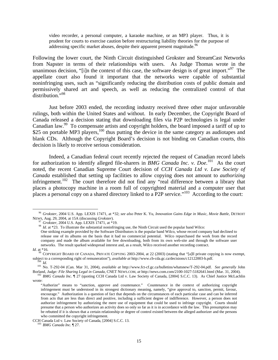video recorder, a personal computer, a karaoke machine, or an MP3 player. Thus, it is prudent for courts to exercise caution before restructuring liability theories for the purpose of addressing specific market abuses, despite their apparent present magnitude.<sup>96</sup>

Following the lower court, the Ninth Circuit distinguished Grokster and StreamCast Networks from Napster in terms of their relationships with users. As Judge Thomas wrote in the unanimous decision, "[i]n the context of this case, the software design is of great import."<sup>97</sup> The appellate court also found it important that the networks were capable of substantial noninfringing uses, such as "significantly reducing the distribution costs of public domain and permissively shared art and speech, as well as reducing the centralized control of that distribution.",98

Just before 2003 ended, the recording industry received three other major unfavorable rulings, both within the United States and without. In early December, the Copyright Board of Canada released a decision stating that downloading files via P2P technologies is legal under Canadian law.99 To compensate artists and copyright holders, the board imposed a tariff of up to \$25 on portable MP3 players,<sup>100</sup> thus putting the device in the same category as audiotapes and blank CDs. Although the Copyright Board's decision is not binding on Canadian courts, this decision is likely to receive serious consideration.

Indeed, a Canadian federal court recently rejected the request of Canadian record labels for authorization to identify alleged file-sharers in *BMG Canada Inc. v. Doe.*<sup>101</sup> As the court noted, the recent Canadian Supreme Court decision of *CCH Canada Ltd v. Law Society of Canada* established that setting up facilities to allow copying does not amount to *authorizing* infringement.<sup>102</sup> The court therefore did not find any "real difference between a library that places a photocopy machine in a room full of copyrighted material and a computer user that places a personal copy on a shared directory linked to a P2P service."<sup>103</sup> According to the court:

 <sup>96</sup> *Grokster*, 2004 U.S. App. LEXIS 17471, at \*32; *see also* Peter K. Yu, *Innovation Gains Edge in Music, Movie Battle*, DETROIT

<sup>&</sup>lt;sup>97</sup> Grokster, 2004 U.S. App. LEXIS 17471, at \*19.<br><sup>98</sup> *Id.* at \*23. To illustrate the substantial noninfringing use, the Ninth Circuit used the popular band Wilco: One striking example provided by the Software Distributors is the popular band Wilco, whose record company had declined to release one of its albums on the basis that it had no commercial potential. Wilco repurchased the work from the record company and made the album available for free downloading, both from its own web-site and through the software user networks. The result sparked widespread interest and, as a result, Wilco received another recording contract.

*Id.* at \*16.<br><sup>99</sup> COPYRIGHT BOARD OF CANADA, PRIVATE COPYING 2003-2004, at 22 (2003) (stating that "[a]ll private copying is now exempt, subject to a corresponding right of remuneration"), *available at* http://www.cb-cda

<sup>&</sup>lt;sup>100</sup> Id.<br><sup>101</sup> No. T-292-04 (Can. Mar 31, 2004), *available at http://www.fct-cf.gc.ca/bulletins/whatsnew/T-292-04.pdf. See generally John* Borland, Judge: File Sharing Legal in Canada, CNET NEWS.COM, at http://news.com.com/2100-1027-5182641.html (Mar. 31, 2004).<br><sup>102</sup> BMG Canada Inc. 1 27 (quoting CCH Canada Ltd v. Law Society of Canada, [2004] S.C.C. 13). As

wrote:

<sup>&</sup>quot;Authorize" means to "sanction, approve and countenance." Countenance in the context of authorizing copyright infringement must be understood in its strongest dictionary meaning, namely, "give approval to, sanction, permit, favour, encourage." Authorization is a question of fact that depends on the circumstances of each particular case and can be inferred from acts that are less than direct and positive, including a sufficient degree of indifference. However, a person does not authorize infringement by authorizing the mere use of equipment that could be used to infringe copyright. Courts should presume that a person who authorizes an activity does so only so far as it is in accordance with the law. This presumption may be rebutted if it is shown that a certain relationship or degree of control existed between the alleged authorizer and the persons who committed the copyright infringement.

CCH Canada Ltd v. Law Society of Canada, [2004] S.C.C. 13. <sup>103</sup> *BMG Canada Inc.* ¶ 27.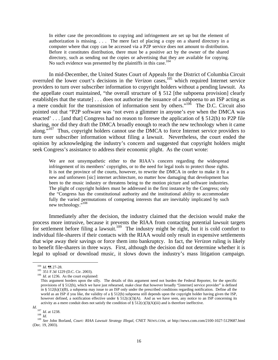In either case the preconditions to copying and infringement are set up but the element of authorization is missing. . . . The mere fact of placing a copy on a shared directory in a computer where that copy can be accessed via a P2P service does not amount to distribution. Before it constitutes distribution, there must be a positive act by the owner of the shared directory, such as sending out the copies or advertising that they are available for copying. No such evidence was presented by the plaintiffs in this case.<sup>104</sup>

In mid-December, the United States Court of Appeals for the District of Columbia Circuit overruled the lower court's decisions in the Verizon cases,<sup>105</sup> which required Internet service providers to turn over subscriber information to copyright holders without a pending lawsuit. As the appellate court maintained, "the overall structure of  $\S$  512 [the subpoena provision] clearly establish[es that the statute] . . . does not authorize the issuance of a subpoena to an ISP acting as a mere conduit for the transmission of information sent by others."106 The D.C. Circuit also pointed out that "P2P software was 'not even a glimmer in anyone's eye when the DMCA was enacted'... [and that] Congress had no reason to foresee the application of § 512(h) to P2P file sharing, nor did they draft the DMCA broadly enough to reach the new technology when it came along."<sup>107</sup> Thus, copyright holders cannot use the DMCA to force Internet service providers to turn over subscriber information without filing a lawsuit. Nevertheless, the court ended the opinion by acknowledging the industry's concern and suggested that copyright holders might seek Congress's assistance to address their economic plight. As the court wrote:

We are not unsympathetic either to the RIAA's concern regarding the widespread infringement of its members' copyrights, or to the need for legal tools to protect those rights. It is not the province of the courts, however, to rewrite the DMCA in order to make it fit a new and unforseen [sic] internet architecture, no matter how damaging that development has been to the music industry or threatens being to the motion picture and software industries. The plight of copyright holders must be addressed in the first instance by the Congress; only the "Congress has the constitutional authority and the institutional ability to accommodate fully the varied permutations of competing interests that are inevitably implicated by such new technology."<sup>108</sup>

Immediately after the decision, the industry claimed that the decision would make the process more intrusive, because it prevents the RIAA from contacting potential lawsuit targets for settlement before filing a lawsuit.<sup>109</sup> The industry might be right, but it is cold comfort to individual file-sharers if their contacts with the RIAA would only result in expensive settlements that wipe away their savings or force them into bankruptcy. In fact, the *Verizon* ruling is likely to benefit file-sharers in three ways. First, although the decision did not determine whether it is legal to upload or download music, it slows down the industry's mass litigation campaign.

<sup>&</sup>lt;sup>104</sup> *Id.* **[1]** 27-28.<br><sup>105</sup> 351 F.3d 1229 (D.C. Cir. 2003).<br><sup>106</sup> *Id.* at 1236. As the court explained:

This argument borders upon the silly. The details of this argument need not burden the Federal Reporter, for the specific provisions of § 512(h), which we have just rehearsed, make clear that however broadly "[internet] service provider" is defined in §  $512(k)(1)(B)$ , a subpoena may issue to an ISP only under the prescribed conditions regarding notification. Define all the world as an ISP if you like, the validity of a § 512(h) subpoena still depends upon the copyright holder having given the ISP, however defined, a notification effective under  $\S$  512(c)(3)(A). And as we have seen, any notice to an ISP concerning its activity as a mere conduit does not satisfy the condition of §  $512(c)(3)(A)(iii)$  and is therefore ineffective.

*Id.*  $_{107}$  *Id.* at 1238.

<sup>107</sup> *Id*. at 1238. 108 *Id*. 109 *See* John Borland, *Court: RIAA Lawsuit Strategy Illegal*, CNET NEWS.COM, *at* http://news.com.com/2100-1027-5129687.html (Dec. 19, 2003).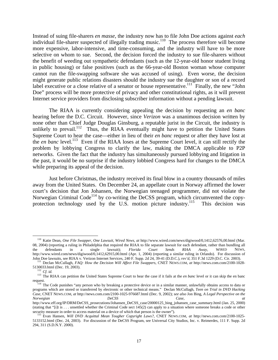Instead of suing file-sharers *en masse*, the industry now has to file John Doe actions against *each* individual file-sharer suspected of illegally trading music.<sup>110</sup> The process therefore will become more expensive, labor-intensive, and time-consuming, and the industry will have to be more selective on whom to sue. Second, the decision forced the industry to sue file-sharers without the benefit of weeding out sympathetic defendants (such as the 12-year-old honor student living in public housing) or false positives (such as the 66-year-old Boston woman whose computer cannot run the file-swapping software she was accused of using). Even worse, the decision might generate public relations disasters should the industry sue the daughter or son of a record label executive or a close relative of a senator or house representative.<sup>111</sup> Finally, the new "John" Doe" process will be more protective of privacy and other constitutional rights, as it will prevent Internet service providers from disclosing subscriber information without a pending lawsuit.

The RIAA is currently considering appealing the decision by requesting an *en banc* hearing before the D.C. Circuit. However, since *Verizon* was a unanimous decision written by none other than Chief Judge Douglas Ginsburg, a reputable jurist in the Circuit, the industry is unlikely to prevail.<sup>112</sup> Thus, the RIAA eventually might have to petition the United States Supreme Court to hear the case—either in lieu of their *en banc* request or after they have lost at the *en banc* level.<sup>113</sup> Even if the RIAA loses at the Supreme Court level, it can still rectify the problem by lobbying Congress to clarify the law, making the DMCA applicable to P2P networks. Given the fact that the industry has simultaneously pursued lobbying and litigation in the past, it would be no surprise if the industry lobbied Congress hard for changes to the DMCA while preparing its appeal of the decision.

Just before Christmas, the industry received its final blow in a country thousands of miles away from the United States. On December 24, an appellate court in Norway affirmed the lower court's decision that Jon Johansen, the Norwegian teenaged programmer, did not violate the Norwegian Criminal Code<sup>114</sup> by co-writing the DeCSS program, which circumvented the copyprotection technology used by the U.S. motion picture industry.<sup>115</sup> This decision was

 <sup>110</sup> Katie Dean, *One File Swapper, One Lawsuit, Wired News*, *at* http://www.wired.com/news/digiwood/0,1412,62576,00.html (Mar. 08, 2004) (reporting a ruling in Philadelphia that required the RIAA to file separate lawsuit for each defendant, rather than bundling all the defendants in a single lawsuit); *Florida Court Sends RIAA Away*, WIRED NEWS, http://www.wired.com/news/digiwood/0,1412,62915,00.html (Apr. 1, 2004) (reporting a similar ruling in Orlando). For discussion of

John Doe lawsuits, see RIAA v. Verizon Internet Services, 240 F. Supp. 2d 24, 39-41 (D.D.C.), rev'd, 351 F.3d 1229 (D.C. Cir. 2003).<br><sup>111</sup> Declan McCullagh, FAQ: How the Decision Will Affect File Swappers, CNET NEWS.COM, a 5130033.html (Dec. 19, 2003).<br><sup>112</sup> *Cf. id.*<br><sup>113</sup> The RIAA can petition the United States Supreme Court to hear the case if it fails at the *en banc* level or it can skip the en banc

request.<br><sup>114</sup> The Code punishes "any person who by breaking a protective device or in a similar manner, unlawfully obtains access to data or

<sup>&</sup>lt;sup>114</sup> The Code punishes "any person who by breaking a protective device or in a similar manner, unlawfully obtains access to data or programs which are stored or transferred by electronic or other technical means." Declan *Case*, CNET NEWS.COM, *at* http://news.com.com/2100-1025-976687.html (Dec. 9, 2002); *see also* Jon Bing, *A Legal Perspective on the Norwegian DeCSS Case*, *at*

http://www.eff.org/IP/DRM/DeCSS\_prosecutions/Johansen\_DeCSS\_case/20000125\_bing\_johansen\_case\_summary.html (Jan. 25, 2000) (stating that "[i]t is . . . unsettled whether the Criminal Code sect 145(2) can apply to a situation where someone breaks a code or other security measure in order to access material on a device of which that person is the owner").<br><sup>115</sup> Evan Hansen, *Will DVD Acquittal Mean Tougher Copyright Laws?*, CNET NEWS.COM, *at* http://news.com.com/2100-1025-

<sup>5133152.</sup>html (Dec. 24, 2003). For discussion of the DeCSS Program, see Universal City Studios, Inc. v. Reimerdes, 111 F. Supp. 2d 294, 311 (S.D.N.Y. 2000).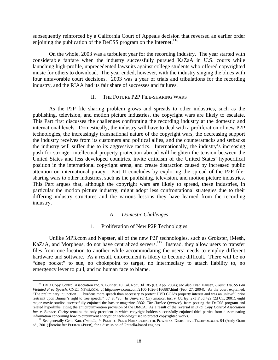subsequently reinforced by a California Court of Appeals decision that reversed an earlier order enjoining the publication of the DeCSS program on the Internet.<sup>116</sup>

On the whole, 2003 was a turbulent year for the recording industry. The year started with considerable fanfare when the industry successfully pursued KaZaA in U.S. courts while launching high-profile, unprecedented lawsuits against college students who offered copyrighted music for others to download. The year ended, however, with the industry singing the blues with four unfavorable court decisions. 2003 was a year of trials and tribulations for the recording industry, and the RIAA had its fair share of successes and failures.

#### II. THE FUTURE P2P FILE-SHARING WARS

As the P2P file sharing problem grows and spreads to other industries, such as the publishing, television, and motion picture industries, the copyright wars are likely to escalate. This Part first discusses the challenges confronting the recording industry at the domestic and international levels. Domestically, the industry will have to deal with a proliferation of new P2P technologies, the increasingly transnational nature of the copyright wars, the decreasing support the industry receives from its customers and political allies, and the counterattacks and setbacks the industry will suffer due to its aggressive tactics. Internationally, the industry's increasing push for stronger intellectual property protection abroad will heighten the tension between the United States and less developed countries, invite criticism of the United States' hypocritical position in the international copyright arena, and create distraction caused by increased public attention on international piracy. Part II concludes by exploring the spread of the P2P filesharing wars to other industries, such as the publishing, television, and motion picture industries. This Part argues that, although the copyright wars are likely to spread, these industries, in particular the motion picture industry, might adopt less confrontational strategies due to their differing industry structures and the various lessons they have learned from the recording industry.

#### A. *Domestic Challenges*

#### 1. Proliferation of New P2P Technologies

Unlike MP3.com and Napster, all of the new P2P technologies, such as Grokster, iMesh, KaZaA, and Morpheus, do not have centralized servers.<sup>117</sup> Instead, they allow users to transfer files from one location to another while accommodating the users' needs to employ different hardware and software. As a result, enforcement is likely to become difficult. There will be no "deep pocket" to sue, no chokepoint to target, no intermediary to attach liability to, no emergency lever to pull, and no human face to blame.

 <sup>116</sup> DVD Copy Control Association Inc. v. Bunner, 10 Cal. Rptr. 3d 185 (Ct. App. 2004); *see also* Evan Hansen, *Court: DeCSS Ban Violated Free Speech*, CNET NEWS.COM, *at* http://news.com.com/2100-1026-5166887.html (Feb. 27, 2004). As the court explained: "The preliminary injunction . . . burdens more speech than necessary to protect DVD CCA's property interest and was an unlawful prior restraint upon Bunner's right to free speech." *Id*. at \*28. In *Universal City Studios, Inc. v. Corley*, 273 F.3d 429 (2d Cir. 2001), eight major movie studios successfully enjoined the hacker magazine *2600: The Hacker Quarterly* from posting the DeCSS program and related hyperlinks, citing the anticircumvention provision of the DMCA. As a result of the reversal in *DVD Copy Control Association Inc. v. Bunner, Corley* remains the only precedent in which copyright holders successfully enjoined third parties from disseminating information concerning how to circumvent encryption technology used to protect copyright

<sup>&</sup>lt;sup>117</sup> See generally Gene Kan, *Gnutella*, in PEER-TO-PEER: HARNESSING THE POWER OF DISRUPTIVE TECHNOLOGIES 94 (Andy Oram ed., 2001) [hereinafter PEER-TO-PEER], for a discussion of Gnutella-based engines.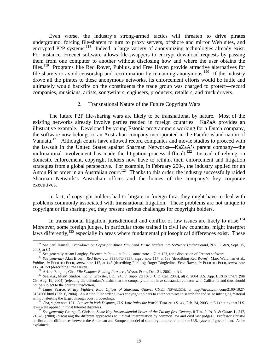Even worse, the industry's strong-armed tactics will threaten to drive pirates underground, forcing file-sharers to turn to proxy servers, offshore and mirror Web sites, and encrypted P2P systems.<sup>118</sup> Indeed, a large variety of anonymizing technologies already exist. For instance, Freenet software allows file-swappers to encrypt download requests by passing them from one computer to another without disclosing how and where the user obtains the files.119 Programs like Red Rover, Publius, and Free Haven provide attractive alternatives for file-sharers to avoid censorship and recrimination by remaining anonymous.<sup>120</sup> If the industry drove all the pirates to these anonymous networks, its enforcement efforts would be futile and ultimately would backfire on the constituents the trade group was charged to protect—record companies, musicians, artists, songwriters, engineers, producers, retailers, and truck drivers.

#### 2. Transnational Nature of the Future Copyright Wars

The future P2P file-sharing wars are likely to be transnational by nature. Most of the existing networks already involve parties resided in foreign countries. KaZaA provides an illustrative example. Developed by young Estonia programmers working for a Dutch company, the software now belongs to an Australian company incorporated in the Pacific island nation of Vanuatu.<sup>121</sup> Although courts have allowed record companies and movie studios to proceed with the lawsuit in the United States against Sharman Networks—KaZaA's parent company—the multinational involvement has made the litigation process difficult.<sup>122</sup> Instead of relying on domestic enforcement, copyright holders now have to rethink their enforcement and litigation strategies from a global perspective. For example, in February 2004, the industry applied for an Anton Pilar order in an Australian court.<sup>123</sup> Thanks to this order, the industry successfully raided Sharman Network's Australian offices and the homes of the company's key corporate executives.

In fact, if copyright holders had to litigate in foreign fora, they might have to deal with problems commonly associated with transnational litigation. These problems are not unique to copyright or file sharing; yet, they present serious challenges for copyright holders.

In transnational litigation, jurisdictional and conflict of law issues are likely to arise.<sup>124</sup> Moreover, some foreign judges, in particular those trained in civil law countries, might interpret laws differently, $^{125}$  especially in areas where fundamental philosophical differences exist. These

 <sup>118</sup> *See* Saul Hansell, *Crackdown on Copyright Abuse May Send Music Traders into Software Underground*, N.Y. TIMES, Sept. 15,

<sup>2003,</sup> at C1.<br><sup>119</sup> See generally Adam Langley, *Freenet*, in PEER-TO-PEER, *supra* note 117, at 123, for a discussion of Freenet software.<br><sup>120</sup> See generally Alan Brown, *Red Rover*, in PEER-TO-PEER, *supra* note 117, at *Publius*, *in* PEER-TO-PEER, *supra* note 117, at 145 (describing Publius); Roger Dingledine, *Free Haven*, *in* PEER-TO-PEER, *supra* note

<sup>&</sup>lt;sup>121</sup> Ariana Eunjung Cha, File Swapper Eluding Pursuers, WASH. POST, Dec. 21, 2002, at A1.<br><sup>122</sup> See, e.g., MGM Studios, Inc. v. Grokster, Ltd., 243 F. Supp. 2d 1073 (C.D. Cal. 2003), aff'd, 2004 U.S. App. LEXIS 17471 (9th Cir. Aug. 19, 2004) (rejecting the defendant's claim that the company did not have substantial contacts with California and thus should not be subject to the court's jurisdiction).

<sup>&</sup>lt;sup>123</sup> James Pearce, *Piracy Fighters Raid Offices of Sharman, Others*, CNET NEWS.COM, *at* http://news.com.com/2100-1027-5154506.html (Feb. 6, 2004). An Anton Pilar order allows copyright holders to enter premises to search for and seize infringing material

<sup>&</sup>lt;sup>124</sup> Cha, *supra* note 121. *But see In Web Disputes, U.S. Law Rules the World*, TORONTO STAR, Feb. 24, 2003, at D1 (noting that U.S. laws were applied in most Internet disputes).

<sup>&</sup>lt;sup>125</sup> See generally George C. Christie, *Some Key Jurisprudential Issues of the Twenty-first Century*, 8 TUL. J. INT'L & COMP. L. 217, 218-23 (2000) (discussing the different approaches to judicial interpretation by common law and civil law judges). Professor Christie attributed the differences between the American and European model of statutory interpretation to the U.S. system of government. As he explained: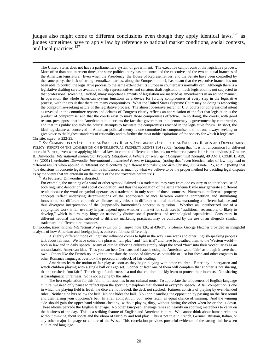judges also might come to different conclusions even though they apply identical laws,<sup>126</sup> as judges sometimes have to apply law by reference to national market conditions, social contexts, and local practices.<sup>127</sup>

 The United States does not have a parliamentary system of government. The executive cannot control the legislative process. More often than not, in recent times, the same political party has not controlled the executive and the two co-equal branches of the American legislature. Even when the Presidency, the House of Representatives, and the Senate have been controlled by the same party, the lack of strong centralized parties, along the European model, has meant that the executive branch has not been able to control the legislative process to the same extent that its European counterparts normally can. Although there is a legislative drafting service available to help representatives and senators draft legislation, much legislation is not subjected to that professional screening. Indeed, many important elements of legislation are inserted as amendments in an ad hoc manner. In operation, the whole American system functions as a device for forcing compromises at every step in the legislative process, with the result that there are many compromises. What the United States Supreme Court may be doing is respecting the compromise-seeking nature of the legislative process. The almost obsessive search of U.S. courts for congressional intent as revealed in the committee reports and debates of Congress clearly reflects an appreciation of the fact that legislation is the product of compromise, and that the courts exist to make those compromises effective. In so doing, the courts, with good reason, presuppose that the American public accepts the fact that government in a democracy is government by compromise, and that this public applauds the courts' attempts to facilitate the compromises reached in the legislative forum. In short, the ideal legislature as conceived in American political theory is one committed to compromise, and not one always seeking to give voice to the highest standards of rationality and to further the most noble aspirations of the society for which it legislates.<br>Christie. supra. at 222-23.

<sup>126</sup> See COMMISSION ON INTELLECTUAL PROPERTY RIGHTS, INTEGRATING INTELLECTUAL PROPERTY RIGHTS AND DEVELOPMENT POLICY: REPORT OF THE COMMISSION ON INTELLECTUAL PROPERTY RIGHTS 114 (2003) (noting that "it is not uncommon for different courts in Europe, even when applying identical law, to come to different conclusions on whether a patent is or is not obvious"); Graeme B. Dinwoodie, *International Intellectual Property Litigation: A Vehicle for Resurgent Comparativist Thought*, 49 AM. J. COMP. L. 429, 436 (2001) [hereinafter Dinwoodie, *International Intellectual Property Litigation*] (noting that "even identical rules of law may lead to different results when applied in different social contexts by different tribunals"); *see also* Christie, *supra* note 125, at 217 (noting that "the decisions in concrete legal cases will be influenced as much by what we believe to be the proper method for deciding legal disputes as by the views that we entertain on the merits of the controversies before us"). 127 As Professor Dinwoodie elaborated:

For example, the meaning of a word or other symbol claimed as a trademark may vary from one country to another because of both linguistic denotation and social connotation, and thus the application of the same trademark rule may generate a different result because the word or symbol operates as a trademark in only some of those countries. Numerous intellectual property concepts reflect underlying determinations of the appropriate balance between ensuring competition and stimulating innovation; but different competitive climates may subsist in different national markets, warranting a different balance and thus divergent interpretation of the (supposedly harmonized) concept in question. Whether an unauthorized use of a copyrighted work is fair use may in part depend upon whether a market for such uses is "traditional, reasonable, or likely to develop," which in turn may hinge on nationally distinct social practices and technological capabilities. Consumers in different national markets, subjected to different marketing practices, may be confused by the use of an allegedly similar trademark in different circumstances.

Dinwoodie, *International Intellectual Property Litigation, supra* note 126, at 436-37. Professor George Fletcher provided an insightful analysis of how American and foreign judges conceive fairness differently:

 A slightly different mode of linguistic influence comes to light in the way Americans and other English-speaking peoples talk about fairness. We have coined the phrases "fair play" and "fair trial" and have bequeathed them to the Western world both in law and in daily speech. Many of our neighboring cultures simply adopt the word "fair" into their vocabularies as an untranslatable American idea. Thus you can hear Germans and Israelis using the American word "fair" as though it were their own. Others like the French try in vain to translate the notion of fairness as equitable or just but these and other cognates in other Romance languages overlook the procedural bedrock of fair dealing.

 Americans learn the notion of fair play as soon as they begin playing with other children. Enter any kindergarten and watch children playing with a single ball or Lego set. Sooner or later one of them will complain that another is not sharing, that he or she is "not fair." The charge of unfairness is a tool that children quickly learn to protect their interests. Not sharing is paradigmatic unfairness. So is not playing by the rules.

 The best explanation for this faith in fairness lies in our cultural roots. To appreciate the uniqueness of English-language culture, we need only pause to reflect upon the sporting metaphors that abound in everyday speech. A fair competition is one in which the playing field is level, the dice are not loaded, the deck not stacked. Fairness consists of playing by even-handed rules. Neither side hits below the belt. No one hides the ball. You don't sandbag the opposition by passing on the first round and then raising your opponent's bet. In a fair competition, both sides retain an equal chance of winning. And the winning side should gain the upper hand without cheating, without playing dirty, without hitting the other when he or she is down. These idioms pervade the English language. No other European language relies so heavily on sporting metaphors to carry on the business of the day. This is a striking feature of English and American culture. We cannot think about human relations without thinking about sports and the idiom of fair play and foul play. This is not true in French, German, Russian, Italian, or any other major language or culture of the West. This correlation provides powerful evidence of the strong link between culture and language.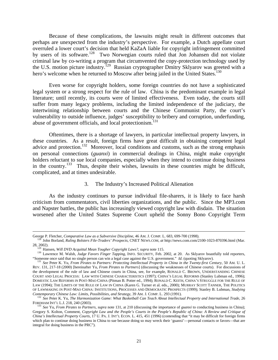Because of these complications, the lawsuits might result in different outcomes that perhaps are unexpected from the industry's perspective. For example, a Dutch appellate court overruled a lower court's decision that held KaZaA liable for copyright infringement committed by users of its software.<sup>128</sup> Two Norwegian courts ruled that Jon Johansen did not violate criminal law by co-writing a program that circumvented the copy-protection technology used by the U.S. motion picture industry.<sup>129</sup> Russian cryptographer Dmitry Sklyarov was greeted with a hero's welcome when he returned to Moscow after being jailed in the United States.<sup>130</sup>

Even worse for copyright holders, some foreign countries do not have a sophisticated legal system or a strong respect for the rule of law. China is the predominant example in legal literature; until recently, its courts were of limited effectiveness. Even today, the courts still suffer from many legacy problems, including the limited independence of the judiciary, the intertwining relationship between courts and the Chinese Communist Party, the court's vulnerability to outside influence, judges' susceptibility to bribery and corruption, underfunding, abuse of government officials, and local protectionism.<sup>131</sup>

Oftentimes, there is a shortage of lawyers, in particular intellectual property lawyers, in these countries. As a result, foreign firms have great difficult in obtaining competent legal advice and protection.<sup>132</sup> Moreover, local conditions and customs, such as the strong emphasis on personal connections (*guanxi*) in commercial dealings in China, might make copyright holders reluctant to sue local companies, especially when they intend to continue doing business in the country.<sup>133</sup> Thus, despite their wishes, lawsuits in these countries might be difficult, complicated, and at times undesirable.

#### 3. The Industry's Increased Political Alienation

As the industry continues to pursue individual file-sharers, it is likely to face harsh criticism from commentators, civil liberties organizations, and the public. Since the MP3.com and Napster battles, the public has increasingly viewed copyright law with disdain. The situation worsened after the United States Supreme Court upheld the Sonny Bono Copyright Term

George P. Fletcher, Comparative Law as a Subversive Discipline, 46 AM. J. COMP. L. 683, 699-700 (1998).<br><sup>128</sup> John Borland, *Ruling Bolsters File-Traders' Prospects*, CNET NEWS.COM, at http://news.com.com/2100-1023-870396.

<sup>28, 2002).&</sup>lt;br><sup>129</sup> Hansen, *Will DVD Acquittal Mean Tougher Copyright Laws?*, *supra* note 115.<br><sup>130</sup> Lawrence M. Walsh, *Judge Favors Finger Tapping*, INFO. SECURITY, Feb. 2002, at 20. As Sklyarov boastfully told reporters "Someone once said that no single person can win a legal case against the U.S. government." *Id.* (quoting Sklyarov).<br><sup>131</sup> See Peter K. Yu, From Pirates to Partners: Protecting Intellectual Property in China in the Twenty

REV. 131, 217-18 (2000) [hereinafter Yu, *From Pirates to Partners*] (discussing the weaknesses of Chinese courts). For discussions of the development of the rule of law and Chinese courts in China, see, for example, RONALD C. BROWN, UNDERSTANDING CHINESE COURT AND LEGAL PROCESS: LAW WITH CHINESE CHARACTERISTICS (1997); CHINA'S LEGAL REFORMS (Stanley Lubman ed., 1996); DOMESTIC LAW REFORMS IN POST-MAO CHINA (Pitman B. Potter ed., 1994); RONALD C. KEITH, CHINA'S STRUGGLE FOR THE RULE OF LAW (1994); THE LIMITS OF THE RULE OF LAW IN CHINA (Karen G. Turner et al. eds., 2000); MURRAY SCOTT TANNER, THE POLITICS OF LAWMAKING IN POST-MAO CHINA: INSTITUTIONS, PROCESSES AND DEMOCRATIC PROSPECTS (1999); Stanley B. Lubman, *Studying* 

Contemporary Chinese Law: Limits, Possibilities, and Strategy, 39 AM. J. COMP. L. 293 (1991).<br><sup>132</sup> See Peter K. Yu, *The Harmonization Game: What Basketball Can Teach About Intellectual Property and International Trade, 2* 

<sup>&</sup>lt;sup>133</sup> See Yu, *From Pirates to Partners*, *supra* note 131, at 210 (discussing the importance of *guanxi* to conducting business in China); Gregory S. Kolton, Comment, *Copyright Law and the People's Courts in the People's Republic of China: A Review and Critique of China's Intellectual Property Courts*, 17 U. PA. J. INT'L ECON. L. 415, 451 (1996) (contending that "it may be difficult for foreign firms which plan to continue doing business in China to sue because doing so may wreck their 'guanxi'—personal contacts or favors—that are integral for doing business in the PRC").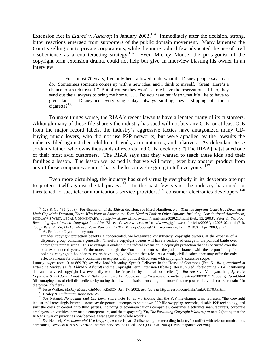Extension Act in *Eldred v. Ashcroft* in January 2003.<sup>134</sup> Immediately after the decision, strong, bitter reactions emerged from supporters of the public domain movement. Many lamented the Court's selling out to private corporations, while the more radical few advocated the use of civil disobedience as a counteracting strategy.<sup>135</sup> Even Mickey Mouse, the protagonist of the copyright term extension drama, could not help but give an interview blasting his owner in an interview:

For almost 70 years, I've only been allowed to do what the Disney people say I can do. Sometimes someone comes up with a new idea, and I think to myself, "Great! Here's a chance to stretch myself!" But of course they won't let me leave the reservation. If I do, they send out their lawyers to bring me home. . . . Do you have *any idea* what it's like to have to greet kids at Disneyland every single day, always smiling, never slipping off for a cigarette?<sup>136</sup>

To make things worse, the RIAA's recent lawsuits have alienated many of its customers. Although many of those file-sharers the industry has sued will not buy any CDs, or at least CDs from the major record labels, the industry's aggressive tactics have antagonized many CDbuying music lovers, who did not use P2P networks, but were appalled by the lawsuits the industry filed against their children, friends, acquaintances, and relatives. As defendant Jesse Jordan's father, who owns thousands of records and CDs, declared: "[The RIAA] ha[s] sued one of their most avid customers. The RIAA says that they wanted to teach these kids and their families a lesson. The lesson we learned is that we will never, ever buy another product from any of those companies again. That's the lesson we're going to tell everyone."<sup>137</sup>

Even more disturbing, the industry has sued virtually everybody in its desperate attempt to protect itself against digital piracy.<sup>138</sup> In the past few years, the industry has sued, or threatened to sue, telecommunications service providers, $139$  consumer electronics developers, $140$ 

 <sup>134 123</sup> S. Ct. 769 (2003). For discussion of the *Eldred* decision, see Marci Hamilton, *Now That the Supreme Court Has Declined to Limit Copyright Duration, Those Who Want to Shorten the Term Need to Look at Other Options, Including Constitutional Amendment*, FINDLAW'S WRIT: LEGAL COMMENTARY, *at* http://writ.news.findlaw.com/hamilton/20030213.html (Feb. 13, 2003); Peter K. Yu, *Four Remaining Questions on Copyright Law After* Eldred, GIGALAW.COM, *at* http://www.gigalaw.com/articles/2003/yu-2003-02.html (Feb. 2003); Peter K. Yu, *Mickey Mouse, Peter Pan, and the Tall Tale of Copyright Harmonization*, IP L. & BUS., Apr. 2003, at 24. <sup>135</sup> As Professor Glynn Lunney noted:

Broader copyright protection benefits a concentrated, well-organized constituency, copyright owners, at the expense of a dispersed group, consumers generally. Therefore copyright owners will have a decided advantage in the political battle over copyright's proper scope. This advantage is evident in the radical expansion in copyright protection that has occurred over the past two hundred years. Furthermore, although the Constitution entrusts the judicial branch with the responsibility for policing copyright's boundaries, courts have largely abdicated that role. As a result, civil disobedience may offer the only effective means for ordinary consumers to express their political discontent with copyright's excessive scope.

Lunney, *supra* note 10, at 869-70; *see also* Lord Macaulay, Speech Delivered in the House of Commons (Feb. 5, 1841), *reprinted in*  Extending Mickey's Life: *Eldred v. Ashcroft* and the Copyright Term Extension Debate (Peter K. Yu ed., forthcoming 2004) (cautioning that an ill-advised copyright law eventually would be "repealed by piratical booksellers"). *But see* Siva Vaidhyanathan, *After the Copyright Smackdown: What Next?*, Salon.com (Jan. 17, 2003), *at* http://www.salon.com/tech/feature/2003/01/17/copyright/print.html (discouraging acts of civil disobedience by noting that "[w]hile disobedience might be more fun, the power of civil discourse remains" in the post-*Eldred* era).

<sup>&</sup>lt;sup>136</sup> Jesse Walker, *Mickey Mouse Clubbed*, REASON, Jan. 17, 2003, *available at http://reason.com/links/links011703.shtml.*<br><sup>137</sup> Healey & Huffstutter, *supra* note 28.<br><sup>138</sup> See Netanel, *Noncommercial Use Levy*, *supra* industries' increasingly brazen—some say desperate—attempts to shut down P2P file-swapping networks, disable P2P technology, and shift the costs of control onto third parties, including telecommunications companies, consumer electronics manufacturers, corporate employers, universities, new media entrepreneurs, and the taxpayers"); Yu, *The Escalating Copyright Wars*, *supra* note 7 (noting that the

<sup>&</sup>lt;sup>139</sup> See Netanel, *Noncommercial Use Levy*, *supra* note 10, at 12 (discussing the recording industry's conflict with telecommunications companies); *see also* RIAA v. Verizon Internet Services, 351 F.3d 1229 (D.C. Cir. 2003) (lawsuit against Verizon).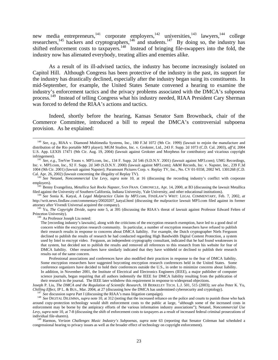new media entrepreneurs, <sup>141</sup> corporate employers, <sup>142</sup> universities, <sup>143</sup> lawyers, <sup>144</sup> college researchers,<sup>145</sup> hackers and cryptographers,<sup>146</sup> and students.<sup>147</sup> By doing so, the industry has shifted enforcement costs to taxpayers.<sup>148</sup> Instead of bringing file-swappers into the fold, the industry now has alienated everybody, treating allies and enemies alike.

As a result of its ill-advised tactics, the industry has become increasingly isolated on Capitol Hill. Although Congress has been protective of the industry in the past, its support for the industry has drastically declined, especially after the industry began suing its constituents. In mid-September, for example, the United States Senate convened a hearing to examine the industry's enforcement tactics and the privacy problems associated with the DMCA's subpoena process.<sup>149</sup> Instead of telling Congress what his industry needed, RIAA President Cary Sherman was forced to defend the RIAA's actions and tactics.

Indeed, shortly before the hearing, Kansas Senator Sam Brownback, chair of the Commerce Committee, introduced a bill to repeal the DMCA's controversial subpoena provision. As he explained:

<sup>145</sup> Yu, *The Copyright Divide*, *supra* note 5, at 395 (discussing the RIAA's threat of lawsuit against Professor Edward Felten of Princeton University).<br><sup>146</sup> As Professor Joseph Liu noted:

<sup>147</sup> See discussion *supra* Part I (discussing the RIAA's mass litigation campaign).<br><sup>148</sup> See DIGITAL DILEMMA, *supra* note 10, at 312 (noting that the increased reliance on the police and courts to punish those who hac around copy-protection technology would shift enforcement costs to the public at large, "although some of the increased costs in enforcement may be borne by the antipiracy efforts of the various information industry associations"); Netanel, *Noncommercial Use Levy*, *supra* note 10, at 7-8 (discussing the shift of enforcement costs to taxpayers as a result of increased federal criminal prosecutions of individual file-sharers).

<sup>149</sup> Harmon, *Verizon Challenges Music Industry's Subpoenas, supra* note 63 (reporting that Senator Coleman had scheduled a congressional hearing to privacy issues as well as the broader effect of technology on copyright enforcement).

 <sup>140</sup> *See, e.g.*, RIAA v. Diamond Multimedia Systems, Inc., 180 F.3d 1072 (9th Cir. 1999) (lawsuit to enjoin the manufacture and distribution of the Rio portable MP3 player); MGM Studios, Inc. v. Grokster, Ltd., 243 F. Supp. 2d 1073 (C.D. Cal. 2003), *aff'd*, 2004 U.S. App. LEXIS 17471 (9th Cir. Aug. 19, 2004) (lawsuit against Grokster and Morpheus for contributory and vicarious copyright

infringement). 141 *See, e.g.*, TeeVee Toons v. MP3.com, Inc., 134 F. Supp. 2d 546 (S.D.N.Y. 2001) (lawsuit against MP3.com); UMG Recordings, Inc. v. MP3.com, Inc., 92 F. Supp. 2d 349 (S.D.N.Y. 2000) (lawsuit against MP3.com); A&M Records, Inc. v. Napster, Inc., 239 F.3d 1004 (9th Cir. 2001) (lawsuit against Napster); Paramount Pictures Corp. v. Replay TV, Inc., No. CV 01-9358, 2002 WL 1301268 (C.D. Cal. Apr. 26, 2002) (lawsuit concerning the illegality of Replay TV). 142 *See* Netanel, *Noncommercial Use Levy*, *supra* note 10, at 16 (discussing the recording industry's conflict with corporate

employers).<br><sup>143</sup> Benny Evangelista, *Metallica Suit Rocks Napster*, SAN FRAN. CHRONICLE, Apr. 14, 2000, at B3 (discussing the lawsuit Metallica<br>filed against the University of Southern California, Indiana University, Yale

<sup>&</sup>lt;sup>144</sup> See Sonia K. Katyal, A Legal Malpractice Claim by MP3.com, FINDLAW'S WRIT: LEGAL COMMENTARY, Feb. 7, 2002, at http://writ.news.findlaw.com/commentary/20020207\_katyal.html (discussing the malpractice lawsuit MP3.com filed against its former attorney after Vivendi Universal acquired the company).

The [recording industry's lawsuits], along with the criticisms of the encryption research exemption, have led to a good deal of concern within the encryption research community. In particular, a number of encryption researchers have refused to publish their research results in response to concerns about DMCA liability. For example, the Dutch cryptographer Niels Ferguson declined to publish the results of research he had conducted regarding High Bandwidth Digital Content Protection, a system used by Intel to encrypt video. Ferguson, an independent cryptography consultant, indicated that he had found weaknesses in that system, but decided not to publish the results and removed all references to this research from his website for fear of DMCA liability. Other researchers have similarly indicated that they have withheld or declined to publish their research results out of the same concern.

Professional associations and conferences have also modified their practices in response to the fear of DMCA liability. Some encryption researchers have suggested boycotting encryption research conferences held in the United States. Some conference organizers have decided to hold their conferences outside the U.S., in order to minimize concerns about liability. In addition, in November 2001, the Institute of Electrical and Electronics Engineers (IEEE), a major publisher of computer science journals, began requiring that all authors indemnify the IEEE for DMCA liability resulting from the publication of their research in the journal. The IEEE later withdrew this requirement in response to widespread objections.

Joseph P. Liu, *The DMCA and the Regulation of Scientific Research*, 18 BERKELEY TECH. L.J. 501, 515 (2003); *see also* Peter K. Yu,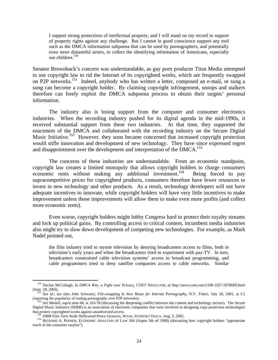I support strong protections of intellectual property, and I will stand on my record in support of property rights against any challenge. But I cannot in good conscience support any tool such as the DMCA information subpoena that can be used by pornographers, and potentially even more distasteful actors, to collect the identifying information of Americans, especially our children.150

Senator Brownback's concern was understandable, as gay porn producer Titan Media attempted to use copyright law to rid the Internet of its copyrighted works, which are frequently swapped on P2P networks.<sup>151</sup> Indeed, anybody who has written a letter, composed an e-mail, or sung a song can become a copyright holder. By claiming copyright infringement, snoops and stalkers therefore can freely exploit the DMCA subpoena process to obtain their targets' personal information.

The industry also is losing support from the computer and consumer electronics industries. When the recording industry pushed for its digital agenda in the mid-1990s, it received substantial support from these two industries. At that time, they supported the enactment of the DMCA and collaborated with the recording industry on the Secure Digital Music Initiative.<sup>152</sup> However, they soon became concerned that increased copyright protection would stifle innovation and development of new technology. They have since expressed regret and disappointment over the development and interpretation of the DMCA.<sup>153</sup>

The concerns of these industries are understandable. From an economic standpoint, copyright law creates a limited monopoly that allows copyright holders to charge consumers economic rents without making any additional investment.<sup>154</sup> Being forced to pay supracompetitive prices for copyrighted products, consumers therefore have fewer resources to invest in new technology and other products. As a result, technology developers will not have adequate incentives to innovate, while copyright holders will have very little incentives to make improvement unless those improvements will allow them to make even more profits (and collect more economic rents).

Even worse, copyright holders might lobby Congress hard to protect their royalty streams and lock up political gains. By controlling access to critical content, incumbent media industries also might try to slow down development of competing new technologies. For example, as Mark Nadel pointed out,

the film industry tried to stymie television by denying broadcasters access to films, both in television's early years and when the broadcasters tried to experiment with pay-TV. In turn, broadcasters constrained cable television systems' access to broadcast programming, and cable programmers tried to deny satellite companies access to cable networks. Similar

 <sup>150</sup> Declan McCullagh, *In DMCA War, a Fight over Privacy*, CNET NEWS.COM, *at* http://news.com.com/2100-1027-5078609.html

<sup>&</sup>lt;sup>551</sup> *See id.*; *see also* John Schwartz, *File-swapping Is New Route for Internet Pornography*, N.Y. TIMES, July 28, 2001, at C1 (reporting the popularity of trading pornography over P2P networks).

<sup>&</sup>lt;sup>2</sup> See Menell, *supra* note 68, at 163-78 (discussing the deepening conflict between the content and technology sectors). The Secure Digital Music Initiative (SDMI) is an association of electronic companies that were involved in designing copy-protection technologies that protect copyrighted works against unauthorized access.<br><sup>153</sup> DRM Foes Turn Aside Hollywood Peace Gestures, WASH. INTERNET DAILY, Aug. 5, 2002.<br><sup>154</sup> RICHARD A. POSNER, ECONOMIC ANALYSIS OF LAW 304 (Aspen 5th ed 1998)

much of the consumer surplus").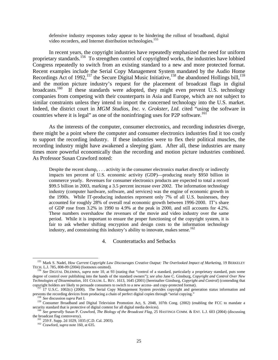defensive industry responses today appear to be hindering the rollout of broadband, digital video recorders, and Internet distribution technologies.<sup>155</sup>

In recent years, the copyright industries have repeatedly emphasized the need for uniform proprietary standards.<sup>156</sup> To strengthen control of copyrighted works, the industries have lobbied Congress repeatedly to switch from an existing standard to a new and more protected format. Recent examples include the Serial Copy Management System mandated by the Audio Home Recordings Act of 1992,<sup>157</sup> the Secure Digital Music Initiative,<sup>158</sup> the abandoned Hollings bill,<sup>159</sup> and the motion picture industry's request for the placement of broadcast flags in digital broadcasts.<sup>160</sup> If these standards were adopted, they might even prevent U.S. technology companies from competing with their counterparts in Asia and Europe, which are not subject to similar constraints unless they intend to import the concerned technology into the U.S. market. Indeed, the district court in *MGM Studios, Inc. v. Grokster, Ltd.* cited "using the software in countries where it is legal" as one of the noninfringing uses for P2P software.<sup>161</sup>

As the interests of the computer, consumer electronics, and recording industries diverge, there might be a point where the computer and consumer electronics industries find it too costly to support the recording industry. If these industries were to flex their political muscles, the recording industry might have awakened a sleeping giant. After all, these industries are many times more powerful economically than the recording and motion picture industries combined. As Professor Susan Crawford noted:

Despite the recent slump, . . . activity in the consumer electronics market directly or indirectly impacts ten percent of U.S. economic activity (GDP)—producing nearly \$950 billion in commerce yearly. Revenues for consumer electronics products are expected to total a record \$99.5 billion in 2003, marking a 3.5 percent increase over 2002. The information technology industry (computer hardware, software, and services) was the engine of economic growth in the 1990s. While IT-producing industries represent only 7% of all U.S. businesses, they accounted for roughly 28% of overall real economic growth between 1996-2000. IT's share of GDP rose from 3.2% in 1990 to 4.9% at the peak in 2000, and still accounts for 4.2%. These numbers overshadow the revenues of the movie and video industry over the same period. While it is important to ensure the proper functioning of the copyright system, it is fair to ask whether shifting encryption and design costs to the information technology industry, and constraining this industry's ability to innovate, makes sense.<sup>162</sup>

#### 4. Counterattacks and Setbacks

<sup>&</sup>lt;sup>155</sup> Mark S. Nadel, *How Current Copyright Law Discourages Creative Output: The Overlooked Impact of Marketing*, 19 BERKELEY TECH. L.J. 785, 808-09 (2004) (footnotes omitted). 156 *See* DIGITAL DILEMMA, *supra* note 10, at 93 (stating that "control of a standard, particularly a proprietary standard, puts some

degree of control over publishing into the hands of the standard owners"); *see also* Jane C. Ginsburg, *Copyright and Control Over New Technologies of Dissemination*, 101 COLUM. L. REV. 1613, 1645 (2001) [hereinafter Ginsburg, *Copyright and Control*] (contending that

<sup>17</sup> U.S.C. 1002(c) (2000). The Serial Copy Management System provides copyright and generation status information and

prevents the recording devices from producing a chain of perfect digital copies through "serial copying."<br><sup>158</sup> See discussion *supra* Part I.<br><sup>159</sup> Consumer Broadband and Digital Television Promotion Act, S. 2048, 107th C

<sup>&</sup>lt;sup>160</sup> See generally Susan P. Crawford, *The Biology of the Broadcast Flag*, 25 HASTINGS COMM. & ENT. L.J. 603 (2004) (discussing the broadcast flag controversy).

<sup>161 259</sup> F. Supp. 2d 1029, 1035 (C.D. Cal. 2003).<br><sup>162</sup> Crawford, *supra* note 160, at 635.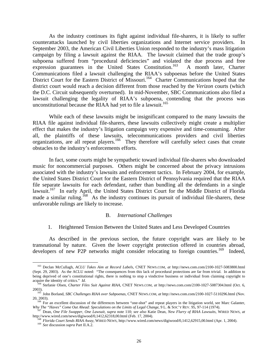As the industry continues its fight against individual file-sharers, it is likely to suffer counterattacks launched by civil liberties organizations and Internet service providers. In September 2003, the American Civil Liberties Union responded to the industry's mass litigation campaign by filing a lawsuit against the RIAA. The lawsuit claimed that the trade group's subpoena suffered from "procedural deficiencies" and violated the due process and free expression guarantees in the United States Constitution.<sup>163</sup> A month later, Charter Communications filed a lawsuit challenging the RIAA's subpoenas before the United States District Court for the Eastern District of Missouri.<sup>164</sup> Charter Communications hoped that the district court would reach a decision different from those reached by the *Verizon* courts (which the D.C. Circuit subsequently overturned). In mid-November, SBC Communications also filed a lawsuit challenging the legality of RIAA's subpoena, contending that the process was unconstitutional because the RIAA had yet to file a lawsuit.<sup>165</sup>

While each of these lawsuits might be insignificant compared to the many lawsuits the RIAA file against individual file-sharers, these lawsuits collectively might create a multiplier effect that makes the industry's litigation campaign very expensive and time-consuming. After all, the plaintiffs of these lawsuits, telecommunications providers and civil liberties organizations, are all repeat players.166 They therefore will carefully select cases that create obstacles to the industry's enforcements efforts.

In fact, some courts might be sympathetic toward individual file-sharers who downloaded music for noncommercial purposes. Others might be concerned about the privacy intrusions associated with the industry's lawsuits and enforcement tactics. In February 2004, for example, the United States District Court for the Eastern District of Pennsylvania required that the RIAA file separate lawsuits for each defendant, rather than bundling all the defendants in a single lawsuit.<sup>167</sup> In early April, the United States District Court for the Middle District of Florida made a similar ruling.<sup>168</sup> As the industry continues its pursuit of individual file-sharers, these unfavorable rulings are likely to increase.

#### B. *International Challenges*

#### 1. Heightened Tension Between the United States and Less Developed Countries

As described in the previous section, the future copyright wars are likely to be transnational by nature. Given the lower copyright protection offered in countries abroad, developers of new P2P networks might consider relocating to foreign countries.<sup>169</sup> Indeed,

 <sup>163</sup> Declan McCullagh, *ACLU Takes Aim at Record Labels*, CNET NEWS.COM, *at* http://news.com.com/2100-1027-5083800.html (Sept. 29, 2003). As the ACLU noted: "The consequences from this lack of procedural protections are far from trivial. In addition to being deprived of one's constitutional rights, there is nothing to stop a vindictive business or individual from claiming copyright to acquire the identity of critics."  $Id$ .

<sup>&</sup>lt;sup>164</sup> Stefanie Olsen, *Charter Files Suit Against RIAA*, CNET NEWS.COM, *at* http://news.com.com/2100-1027-5087304.html (Oct. 6, 2003).

<sup>&</sup>lt;sup>165</sup> John Borland, *SBC Challenges RIAA over Subpoenas*, CNET NEWS.COM, *at* http://news.com.com/2100-1027-5110296.html (Nov.

<sup>20, 2003).&</sup>lt;br><sup>166</sup> For an excellent discussion of the differences between "one-shot" and repeat players in the litigation world, see Marc Galanter,<br>*Why The "Haves" Come Out Ahead: Speculations on the Limits of Legal Change* 

<sup>&</sup>lt;sup>167</sup> Dean, *One File Swapper*, *One Lawsuit, supra* note 110; *see also* Katie Dean, *New Flurry of RIAA Lawsuits*, WIRED NEWS, *at* http://www.wired.com/news/digiwood/0,1412,62318,00.html (Feb. 17, 2004).

<sup>&</sup>lt;sup>168</sup> Florida Court Sends RIAA Away, WIRED NEWS, http://www.wired.com/news/digiwood/0,1412,62915,00.html (Apr. 1, 2004).<br><sup>169</sup> See discussion *supra* Part II.A.2.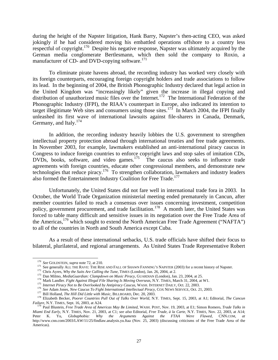during the height of the Napster litigation, Hank Barry, Napster's then-acting CEO, was asked jokingly if he had considered moving his embattled operations offshore to a country less respectful of copyright.<sup>170</sup> Despite his negative response, Napster was ultimately acquired by the German media conglomerate Bertlesmann, which then sold the company to Roxio, a manufacturer of CD- and DVD-copying software.<sup>171</sup>

To eliminate pirate havens abroad, the recording industry has worked very closely with its foreign counterparts, encouraging foreign copyright holders and trade associations to follow its lead. In the beginning of 2004, the British Phonographic Industry declared that legal action in the United Kingdom was "increasingly likely" given the increase in illegal copying and distribution of unauthorized music files over the Internet.<sup>172</sup> The International Federation of the Phonographic Industry (IFPI), the RIAA's counterpart in Europe, also indicated its intention to target illegitimate Web sites and consumers using those sites.<sup>173</sup> In March 2004, the IFPI finally unleashed its first wave of international lawsuits against file-sharers in Canada, Denmark, Germany, and Italy.<sup>174</sup>

In addition, the recording industry heavily lobbies the U.S. government to strengthen intellectual property protection abroad through international treaties and free trade agreements. In November 2003, for example, lawmakers established an anti-international piracy caucus in Congress to induce foreign countries to enforce copyright laws and stop sales of imitation CDs, DVDs, books, software, and video games.<sup>175</sup> The caucus also seeks to influence trade agreements with foreign countries, educate other congressional members, and demonstrate new technologies that reduce piracy.176 To strengthen collaboration, lawmakers and industry leaders also formed the Entertainment Industry Coalition for Free Trade.<sup>177</sup>

Unfortunately, the United States did not fare well in international trade fora in 2003. In October, the World Trade Organization ministerial meeting ended prematurely in Cancun, after member countries failed to reach a consensus over issues concerning investment, competition policy, government procurement, and trade facilitation.<sup>178</sup> A month later, the United States was forced to table many difficult and sensitive issues in its negotiation over the Free Trade Area of the Americas,  $^{179}$  which sought to extend the North American Free Trade Agreement ("NAFTA") to all of the countries in North and South America except Cuba.

As a result of these international setbacks, U.S. trade officials have shifted their focus to bilateral, plurilateral, and regional arrangements. As United States Trade Representative Robert

<sup>&</sup>lt;sup>170</sup> See GOLDSTEIN, supra note 72, at 210.<br>
<sup>171</sup> See generally ALL THE RAVE: THE RISE AND FALL OF SHAWN FANNING'S NAPSTER (2003) for a recent history of Napster.<br>
<sup>171</sup> See generally ALL THE RAVE: THE RISE AND FALL OF S

<sup>&</sup>lt;sup>179</sup> Paul Blustein, *Free Trade Area of Americas May Be Limited*, WASH. POST, Nov. 19, 2003, at E1; Simon Romero, *Trade Talks in Miami End Early*, N.Y. TIMES, Nov. 21, 2003, at C1; *see also* Editorial, *Free Trade, à la Carte*, N.Y. TIMES, Nov. 22, 2003, at A14; Peter K. Yu, *Globaphobia: Why the Arguments Against the FTAA Were Flawed*, CNN.COM, *at* http://www.cnn.com/2003/LAW/11/25/findlaw.analysis.yu.ftaa (Nov. 25, 2003) (discussing criticisms of the Free Trade Area of the Americas).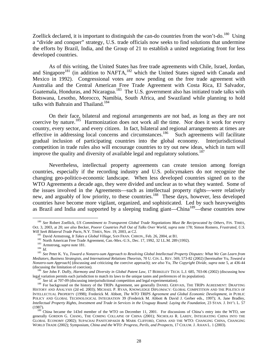Zoellick declared, it is important to distinguish the can-do countries from the won't-do.<sup>180</sup> Using a "divide and conquer" strategy, U.S. trade officials now seeks to find solutions that undermine the efforts by Brazil, India, and the Group of 21 to establish a united negotiating front for less developed countries.

As of this writing, the United States has free trade agreements with Chile, Israel, Jordan, and Singapore<sup>181</sup> (in addition to NAFTA,<sup>182</sup> which the United States signed with Canada and Mexico in 1992). Congressional votes are now pending on the free trade agreement with Australia and the Central American Free Trade Agreement with Costa Rica, El Salvador, Guatemala, Honduras, and Nicaragua.<sup>183</sup> The U.S. government also has initiated trade talks with Botswana, Lesotho, Morocco, Namibia, South Africa, and Swaziland while planning to hold talks with Bahrain and Thailand.<sup>184</sup>

On their face, bilateral and regional arrangements are not bad, as long as they are not coercive by nature.<sup>185</sup> Harmonization does not work all the time. Nor does it work for every country, every sector, and every citizen. In fact, bilateral and regional arrangements at times are effective in addressing local concerns and circumstances.<sup>186</sup> Such agreements will facilitate gradual inclusion of participating countries into the global economy. Interjurisdictional competition in trade rules also will encourage countries to try out new ideas, which in turn will improve the quality and diversity of available legal and regulatory solutions.<sup>187</sup>

Nevertheless, intellectual property agreements can create tension among foreign countries, especially if the recording industry and U.S. policymakers do not recognize the changing geo-politico-economic landscape. When less developed countries signed on to the WTO Agreements a decade ago, they were divided and unclear as to what they wanted. Some of the issues involved in the Agreements—such as intellectual property rights—were relatively new, and arguably of low priority, to these countries.<sup>188</sup> These days, however, less developed countries have become more vigilant, organized, and sophisticated. Led by such heavyweights as Brazil and India and supported by a sleeping trading giant—China189—these countries now

<sup>&</sup>lt;sup>180</sup> See Robert Zoellick, *US Commitment to Transparent Global Trade Negotiations Must Be Reciprocated by Others, FIN. TIMES,* Oct. 3, 2003, at 20; *see also* Becker, *Poorer Countries Pull Out of Talks Over World*, *supra* note 178; Simon Romero, *Frustrated, U.S.* 

Will Seek Bilateral Trade Pacts, N.Y. TIMES, Nov. 19, 2003, at C2.<br><sup>181</sup> David Armstrong, *It Takes a Global Village*, SAN FRAN. CHRON., Feb. 26, 2004, at B1.<br><sup>182</sup> North American Free Trade Agreement, Can.-Mex.-U.S., Dec. *Mediators, Business Strategists, and International Relations Theorists*, 70 U. CIN. L. REV. 569, 573-82 (2002) [hereinafter Yu, *Toward a Nonzero-sum Approach*] (discussing and criticizing the coercive approach); *see also* Yu, *The Copyright Divide*, *supra* note 5, at 436-44 (discussing the limitation of coercion). <sup>186</sup> *See* John F. Duffy, *Harmony and Diversity in Global Patent Law*, 17 BERKELEY TECH. L.J. 685, 703-06 (2002) (discussing how

legal variation permits each jurisdiction to match its laws to the unique tastes and preferences of its population).<br><sup>187</sup> See id. at 707-09 (discussing interjurisdictional competition and legal experimentation).<br><sup>188</sup> For

HISTORY AND ANALYSIS (2d ed. 2003); MICHAEL P. RYAN, KNOWLEDGE DIPLOMACY: GLOBAL COMPETITION AND THE POLITICS OF INTELLECTUAL PROPERTY (1998); Frederick M. Abbott, *The WTO TRIPS Agreement and Global Economic Development*, *in* PUBLIC POLICY AND GLOBAL TECHNOLOGICAL INTEGRATION 39 (Frederick M. Abbott & David J. Gerber eds., 1997); A. Jane Bradley, *Intellectual Property Rights, Investment and Trade in Services in the Uruguay Round: Laying the Foundation, 23 STAN. J. INT'L L. 57* (1987).

 $189$ <sup>(189</sup>). Thina became the 143rd member of the WTO on December 11, 2001. For discussions of China's entry into the WTO, see generally GORDON G. CHANG, THE COMING COLLAPSE OF CHINA (2001); NICHOLAS R. LARDY, INTEGRATING CHINA INTO THE GLOBAL ECONOMY (2002); SUPACHAI PANITCHPAKDI & MARK CLIFFORD, CHINA AND THE WTO: CHANGING CHINA, CHANGING WORLD TRADE (2002); Symposium, *China and the WTO: Progress, Perils, and Prospects*, 17 COLUM. J. ASIAN L. 1 (2003).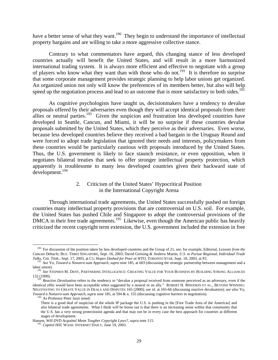have a better sense of what they want.<sup>190</sup> They begin to understand the importance of intellectual property bargains and are willing to take a more aggressive collective stance.

Contrary to what commentators have argued, this changing stance of less developed countries actually will benefit the United States, and will result in a more harmonized international trading system. It is always more efficient and effective to negotiate with a group of players who know what they want than with those who do not.<sup>191</sup> It is therefore no surprise that some corporate management provides strategic planning to help labor unions get organized. An organized union not only will know the preferences of its members better, but also will help speed up the negotiation process and lead to an outcome that is more satisfactory to both sides.<sup>192</sup>

As cognitive psychologists have taught us, decisionmakers have a tendency to devalue proposals offered by their adversaries even though they will accept identical proposals from their allies or neutral parties.<sup>193</sup> Given the suspicion and frustration less developed countries have developed in Seattle, Cancun, and Miami, it will be no surprise if these countries devalue proposals submitted by the United States, which they perceive as their adversaries. Even worse, because less developed countries believe they received a bad bargain in the Uruguay Round and were forced to adopt trade legislation that ignored their needs and interests, policymakers from these countries would be particularly cautious with proposals introduced by the United States. Thus, the U.S. government is likely to face staunch resistance, or even opposition, when it negotiates bilateral treaties that seek to offer stronger intellectual property protection, which apparently is troublesome to many less developed countries given their backward state of development.194

### 2. Criticism of the United States' Hypocritical Position in the International Copyright Arena

Through international trade agreements, the United States successfully pushed on foreign countries many intellectual property provisions that are controversial on U.S. soil. For example, the United States has pushed Chile and Singapore to adopt the controversial provisions of the DMCA in their free trade agreements.<sup>195</sup> Likewise, even though the American public has heavily criticized the recent copyright term extension, the U.S. government included the extension in free

 <sup>190</sup> For discussion of the position taken by less developed countries and the Group of 21, see, for example, Editorial, *Lessons from the Cancun Debacle*, BUS. TIMES SINGAPORE, Sept. 16, 2003; David Greising & Andrew Martin, *U.S. to Pursue Regional, Individual Trade*  Talks, CHI. TRIB., Sept. 17, 2003, at C1; Hopes Dashed for Poor at WTO, TORONTO STAR, Sept. 18, 2003, at P2.<br><sup>191</sup> See Yu, Toward a Nonzero-sum Approach, supra note 185, at 603 (discussing the strategic partnership between

labor union). 192 *See* STEPHEN M. DENT, PARTNERING INTELLIGENCE: CREATING VALUE FOR YOUR BUSINESS BY BUILDING STRONG ALLIANCES 132 (1999). 193 *Reactive Devaluation* refers to the tendency to "devalue a proposal received from someone perceived as an adversary, even if the

identical offer would have been acceptable when suggested by a neutral or an ally." ROBERT H. MNOOKIN ET AL., BEYOND WINNING: NEGOTIATING TO CREATE VALUE IN DEALS AND DISPUTES 165 (2000); *see id*. at 165-66 (discussing reactive devaluation); *see also* Yu, *Toward a Nonzero-sum Approach, supra* note 185, at 594 & n. 155 (discussing cognitive barriers in negotiation). <sup>194</sup> As Professor Peter Jaszi noted:

There is a good deal of suspicion of the whole IP package the U.S. is pushing in the [Free Trade Area of the Americas] and also bilateral trade agreements. What I think will be borne out is that there is an increasing sense within that community that the U.S. has a very strong protectionist agenda and that may not be in every case the best approach for countries at different stages of development.<br>Hansen, Will DVD Acquittal Mean Tougher Copyright Laws?, supra note 115.

<sup>&</sup>lt;sup>195</sup> Capitol Hill, WASH. INTERNET DAILY, June 19, 2003.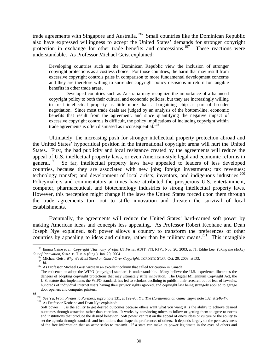trade agreements with Singapore and Australia.<sup>196</sup> Small countries like the Dominican Republic also have expressed willingness to accept the United States' demands for stronger copyright protection in exchange for other trade benefits and concessions.<sup>197</sup> These reactions were understandable. As Professor Michael Geist explained:

Developing countries such as the Dominican Republic view the inclusion of stronger copyright protections as a costless choice. For those countries, the harm that may result from excessive copyright controls pales in comparison to more fundamental development concerns and they are therefore willing to surrender copyright policy decisions in return for tangible benefits in other trade areas.

Developed countries such as Australia may recognize the importance of a balanced copyright policy to both their cultural and economic policies, but they are increasingly willing to treat intellectual property as little more than a bargaining chip as part of broader negotiation. Since most trade deals are judged by an analysis of the bottom-line, economic benefits that result from the agreement, and since quantifying the negative impact of excessive copyright controls is difficult, the policy implications of including copyright within trade agreements is often dismissed as inconsequential.<sup>198</sup>

Ultimately, the increasing push for stronger intellectual property protection abroad and the United States' hypocritical position in the international copyright arena will hurt the United States. First, the bad publicity and local resistance created by the agreements will reduce the appeal of U.S. intellectual property laws, or even American-style legal and economic reforms in general.<sup>199</sup> So far, intellectual property laws have appealed to leaders of less developed countries, because they are associated with new jobs; foreign investments; tax revenues; technology transfer; and development of local artists, inventors, and indigenous industries.<sup>200</sup> Policymakers and commentators at times have attributed the prosperous U.S. entertainment, computer, pharmaceutical, and biotechnology industries to strong intellectual property laws. However, this perception might change if the laws the United States forced upon them through the trade agreements turn out to stifle innovation and threaten the survival of local establishments.

Eventually, the agreements will reduce the United States' hard-earned soft power by making American ideas and concepts less appealing. As Professor Robert Keohane and Dean Joseph Nye explained, soft power allows a country to transform the preferences of other countries by appealing to ideas and culture, rather than by military means.<sup>201</sup> This intangible

 <sup>196</sup> Emma Caine et al., *Copyright 'Harmony' Profits US Firms*, AUST. FIN. REV., Nov. 20, 2003, at 71; Eddie Lee, *Taking the Mickey* 

<sup>&</sup>lt;sup>197</sup> Michael Geist, *Why We Must Stand on Guard Over Copyright*, TORONTO STAR, Oct. 20, 2003, at D3.<br><sup>198</sup> *Id.* As Professor Michael Geist wrote in an excellent column that called for caution in Canada:

The reticence to adopt the WIPO [copyright] standard is understandable. Many believe the U.S. experience illustrates the dangers of adopting copyright protections that may ultimately stifle innovation. The Digital Millennium Copyright Act, the U.S. statute that implements the WIPO standard, has led to scholars declining to publish their research out of fear of lawsuits, hundreds of individual Internet users having their privacy rights ignored, and copyright law being strangely applied to garage door openers and computer printers.

*Id.* <sup>200</sup> *See* Yu, *From Pirates to Partners*, *supra* note 131, at 192-93; Yu, *The Harmonization Game*, *supra* note 132, at 246-47. 201 As Professor Keohane and Dean Nye explained:

Soft power . . . is the ability to get desired outcomes because others want what you want; it is the ability to achieve desired outcomes through attraction rather than coercion. It works by convincing others to follow or getting them to agree to norms and institutions that produce the desired behavior. Soft power can rest on the appeal of one's ideas or culture or the ability to set the agenda through standards and institutions that shape the preferences of others. It depends largely on the persuasiveness of the free information that an actor seeks to transmit. If a state can make its power legitimate in the eyes of others and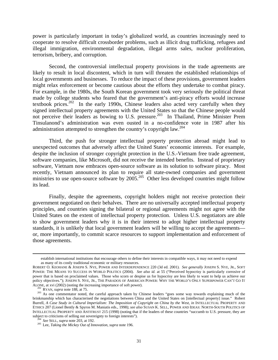power is particularly important in today's globalized world, as countries increasingly need to cooperate to resolve difficult crossborder problems, such as illicit drug trafficking, refugees and illegal immigration, environmental degradation, illegal arms sales, nuclear proliferation, terrorism, bribery, and corruption.

Second, the controversial intellectual property provisions in the trade agreements are likely to result in local discontent, which in turn will threaten the established relationships of local governments and businesses. To reduce the impact of these provisions, government leaders might relax enforcement or become cautious about the efforts they undertake to combat piracy. For example, in the 1980s, the South Korean government took very seriously the political threat made by college students who feared that the government's anti-piracy efforts would increase textbook prices.202 In the early 1990s, Chinese leaders also acted very carefully when they signed intellectual property agreements with the United States so that the Chinese people would not perceive their leaders as bowing to U.S. pressure.<sup>203</sup> In Thailand, Prime Minister Prem Tinsulanond's administration was even ousted in a no-confidence vote in 1987 after his administration attempted to strengthen the country's copyright law.<sup>204</sup>

Third, the push for stronger intellectual property protection abroad might lead to unexpected outcomes that adversely affect the United States' economic interests. For example, despite the inclusion of stronger copyright protection in the U.S.-Vietnam free trade agreement, software companies, like Microsoft, did not receive the intended benefits. Instead of proprietary software, Vietnam now embraces open-source software as its solution to software piracy. Most recently, Vietnam announced its plan to require all state-owned companies and government ministries to use open-source software by  $2005$ .<sup>205</sup> Other less developed countries might follow its lead.

Finally, despite the agreements, copyright holders might not receive protection their government negotiated on their behalves. There are no universally accepted intellectual property principles, and countries signing the bilateral or regional agreements might not agree with the United States on the extent of intellectual property protection. Unless U.S. negotiators are able to show government leaders why it is in their interest to adopt higher intellectual property standards, it is unlikely that local government leaders will be willing to accept the agreements or, more importantly, to commit scarce resources to support implementation and enforcement of those agreements.

establish international institutions that encourage others to define their interests in compatible ways, it may not need to expend as many of its costly traditional economic or military resources.

ROBERT O. KEOHANE & JOSEPH S. NYE, POWER AND INTERDEPENDENCE 220 (3d ed. 2001). *See generally* JOSEPH S. NYE, JR., SOFT POWER: THE MEANS TO SUCCESS IN WORLD POLITICS (2004). *See also id.* at 55 ("Perceived hypocrisy is particularly corrosive of power that is based on proclaimed values. Those who scorn or despise us for hypocrisy are less likely to want to help us achieve our policy objectives."); JOSEPH S. NYE, JR., THE PARADOX OF AMERICAN POWER: WHY THE WORLD'S ONLY SUPERPOWER CAN'T GO IT ALONE, at xvi (2002) (noting the increasing importance of soft power).

<sup>&</sup>lt;sup>202</sup> RYAN, *supra* note 188, at 75.<br><sup>203</sup> As one commentator noted, the careful approach taken by Chinese leaders "goes some way towards explaining much of the brinkmanship which has characterised the negotiations between China and the United States on [intellectual property] issue." Robert Burrell, *A Case Study in Cultural Imperialism: The Imposition of Copyright on China by the West*, *in* INTELLECTUAL PROPERTY AND ETHICS 207 (Lionel Bently & Spyros M. Maniatis eds., 1998); *see also* SUSAN K. SELL, POWER AND IDEAS: NORTH-SOUTH POLITICS OF INTELLECTUAL PROPERTY AND ANTITRUST 215 (1998) (noting that if the leaders of these countries "succumb to U.S. pressure, they are subject to criticisms of selling out sovereignty to foreign interests").

<sup>&</sup>lt;sup>204</sup> See SELL, *supra* note 203, at 192.<br><sup>205</sup> Lee, *Taking the Mickey Out of Innovation*, *supra* note 196.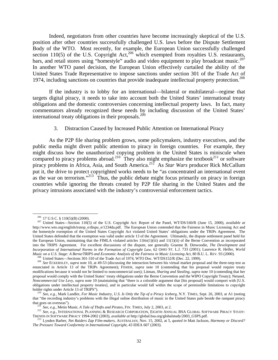Indeed, negotiators from other countries have become increasingly skeptical of the U.S. position after other countries successfully challenged U.S. laws before the Dispute Settlement Body of the WTO. Most recently, for example, the European Union successfully challenged section 110(5) of the U.S. Copyright Act,<sup>206</sup> which exempted from royalties U.S. restaurants, bars, and retail stores using "homestyle" audio and video equipment to play broadcast music.<sup>207</sup> In another WTO panel decision, the European Union effectively curtailed the ability of the United States Trade Representative to impose sanctions under section 301 of the Trade Act of 1974, including sanctions on countries that provide inadequate intellectual property protection.<sup>208</sup>

If the industry is to lobby for an international—bilateral or multilateral—regime that targets digital piracy, it needs to take into account both the United States' international treaty obligations and the domestic controversies concerning intellectual property laws. In fact, many commentators already recognized these needs by including discussion of the United States' international treaty obligations in their proposals.<sup>209</sup>

#### 3. Distraction Caused by Increased Public Attention on International Piracy

As the P2P file sharing problem grows, some policymakers, industry executives, and the public media might divert public attention to piracy in foreign countries. For example, they might discuss how the unauthorized copying problem in the United States is miniscule when compared to piracy problems abroad.<sup>210</sup> They also might emphasize the textbook<sup>211</sup> or software piracy problems in Africa, Asia, and South America.212 As *Star Wars* producer Rick McCallum put it, the drive to protect copyrighted works needs to be "as concentrated an international event as the war on terrorism."<sup>213</sup> Thus, the public debate might focus primarily on piracy in foreign countries while ignoring the threats created by P2P file sharing in the United States and the privacy intrusions associated with the industry's controversial enforcement tactics.

 <sup>206 17</sup> U.S.C. § 110(5)(B) (2000). 207 United States—Section 110(5) of the U.S. Copyright Act: Report of the Panel, WT/DS/160/R (June 15, 2000), *available at*  http://www.wto.org/english/tratop\_e/dispu\_e/1234da.pdf. The European Union contended that the Fairness in Music Licensing Act and the homestyle exemption of the United States Copyright Act violated United States' obligations under the TRIPs Agreement. The United States defended that the exemption was valid under article 13 of the Agreement. Ultimately, the dispute settlement panel held for the European Union, maintaining that the FIMLA violated articles 11*bis*(1)(iii) and 11(1)(ii) of the Berne Convention as incorporated into the TRIPS Agreement. For excellent discussions of the dispute, see generally Graeme B. Dinwoodie, *The Development and Incorporation of International Norms in the Formation of Copyright Law*, 62 OHIO ST. L.J. 733 (2001); Laurence R. Helfer, *World Music on a U.S. Stage: A Berne/TRIPS and Economic Analysis of the Fairness in Music Licensin* 

<sup>&</sup>lt;sup>208</sup> United States—Sections 301-310 of the Trade Act of 1974, WTO Doc. WT/DS152/R (Dec. 22, 1999).<br><sup>209</sup> See ECKERSLEY, *supra* note 10, at 49-53 (discussing the interaction between his virtual market proposal and the th enunciated in Article 13 of the TRIPs Agreement); FISHER, *supra* note 10 (contending that his proposal would require treaty modifications because it would not be limited to noncommercial uses); Litman, *Sharing and Stealing*, *supra* note 10 (contending that her proposal would comply with the United States' treaty obligations under the Berne Convention and the WIPO Copyright Treaty); Netanel, *Noncommercial Use Levy, supra* note 10 (maintaining that "there is a colorable argument that [his proposal] would comport with [U.S. obligations under intellectual property treaties], and in particular would fall within the scope of permissible limitations to copyright

<sup>&</sup>lt;sup>210</sup> See, e.g., Mark Landler, *For Music Industry, U.S. Is Only the Tip of a Piracy Iceberg*, N.Y. TIMES, Sept. 26, 2003, at A1 (noting that "the recording industry's problems with the illegal online distribution of music in the United States pale beside the rampant piracy that goes on overseas").

<sup>&</sup>lt;sup>217</sup> See, e.g., Metin Munir, *A Tale of Thefts and Pirates*, FIN. TIMES, July 2, 2003, at 2.<br><sup>212</sup> See, e.g., INTERNATIONAL PLANNING & RESEARCH CORPORATION, EIGHTH ANNUAL BSA GLOBAL SOFTWARE PIRACY STUDY:<br>TRENDS IN SOFTW

<sup>&</sup>lt;sup>213</sup> Lynden Barber, Net Raiders Zap Film-makers, AUSTRALIAN, Nov. 15, 2002, at 5, quoted in Matt Jackson, Harmony or Discord? *The Pressure Toward Conformity in International Copyright*, 43 IDEA 607 (2003).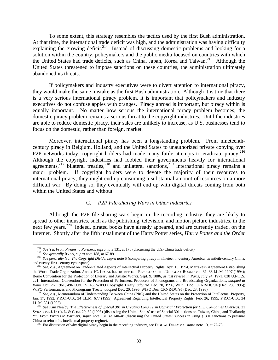To some extent, this strategy resembles the tactics used by the first Bush administration. At that time, the international trade deficit was high, and the administration was having difficulty explaining the growing deficit.<sup>214</sup> Instead of discussing domestic problems and looking for a solution within the country, policymakers and the public media focused on countries with which the United States had trade deficits, such as China, Japan, Korea and Taiwan.<sup>215</sup> Although the United States threatened to impose sanctions on these countries, the administration ultimately abandoned its threats.

If policymakers and industry executives were to divert attention to international piracy, they would make the same mistake as the first Bush administration. Although it is true that there is a very serious international piracy problem, it is important that policymakers and industry executives do not confuse apples with oranges. Piracy abroad is important, but piracy within is equally important. No matter how serious the international piracy problem becomes, the domestic piracy problem remains a serious threat to the copyright industries. Until the industries are able to reduce domestic piracy, their sales are unlikely to increase, as U.S. businesses tend to focus on the domestic, rather than foreign, market.

Moreover, international piracy has been a longstanding problem. From nineteenthcentury piracy in Belgium, Holland, and the United States to unauthorized private copying over P2P networks today, copyright holders had made many futile attempts to eradicate piracy.<sup>216</sup> Although the copyright industries had lobbied their governments heavily for international agreements,<sup>217</sup> bilateral treaties,<sup>218</sup> and unilateral sanctions,<sup>219</sup> international piracy remains a major problem. If copyright holders were to devote the majority of their resources to international piracy, they might end up consuming a substantial amount of resources on a more difficult war. By doing so, they eventually will end up with digital threats coming from both within the United States and without.

### C. *P2P File-sharing Wars in Other Industries*

Although the P2P file-sharing wars begin in the recording industry, they are likely to spread to other industries, such as the publishing, television, and motion picture industries, in the next few years.<sup>220</sup> Indeed, pirated books have already appeared, and are currently traded, on the Internet. Shortly after the fifth installment of the Harry Potter series, *Harry Potter and the Order* 

<sup>&</sup>lt;sup>214</sup> See Yu, From Pirates to Partners, supra note 131, at 178 (discussing the U.S.-China trade deficit).<br><sup>215</sup> See generally RYAN, supra note 188, at 67-89.<br><sup>216</sup> See generally Yu, The Copyright Divide, supra note 5 (com

See, e.g., Agreement on Trade-Related Aspects of Intellectual Property Rights, Apr. 15, 1994, Marrakesh Agreement Establishing the World Trade Organization, Annex 1C, LEGAL INSTRUMENTS—RESULTS OF THE URUGUAY ROUND vol. 31, 33 I.L.M. 1197 (1994); Berne Convention for the Protection of Literary and Artistic Works, Sept. 9, 1886, *as last revised in Paris*, July 24, 1971, 828 U.N.T.S. 221; International Convention for the Protection of Performers, Producers of Phonograms and Broadcasting Organizations, *adopted at Rome* Oct. 26, 1961, 496 U.N.T.S. 43; WIPO Copyright Treaty, *adopted* Dec. 20, 1996, WIPO Doc. CRNR/DC/94 (Dec. 23, 1996); WIPO Performances and Phonograms Treaty, *adopted* Dec. 20, 1996, WIPO Doc. CRNR/DC/95 (Dec. 23,

<sup>&</sup>lt;sup>218</sup> See, e.g., Memorandum of Understanding Between China (PRC) and the United States on the Protection of Intellectual Property, Jan. 17, 1992, P.R.C.-U.S., 34 I.L.M. 677 (1995); Agreement Regarding Intellectual Property Rights, Feb. 26, 1995, P.R.C.-U.S., 34

I.L.M. 881 (1995). 219 *See* Kim Newby, *The Effectiveness of Special 301 in Creating Long Term Copyright Protection for U.S. Companies Overseas*, 21 SYRACUSE J. INT'L L. & COM. 29, 39 (1995) (discussing the United States' use of Special 301 actions on Taiwan, China, and Thailand); Yu, *From Pirates to Partners*, *supra* note 131, at 140-48 (discussing the United States' success in using § 301 sanctions to pressure

<sup>&</sup>lt;sup>220</sup> For discussion of why digital piracy begin in the recording industry, see DIGITAL DILEMMA, *supra* note 10, at 77-78.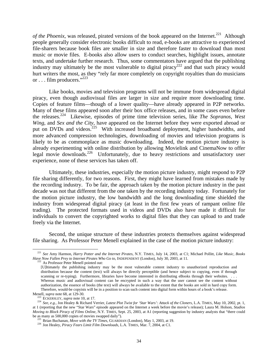*of the Phoenix*, was released, pirated versions of the book appeared on the Internet.<sup>221</sup> Although people generally consider electronic books difficult to read, e-books are attractive to experienced file-sharers because book files are smaller in size and therefore faster to download than most music or movie files. E-books also allow users to conduct searches, highlight issues, annotate texts, and undertake further research. Thus, some commentators have argued that the publishing industry may ultimately be the most vulnerable to digital piracy<sup>222</sup> and that such piracy would hurt writers the most, as they "rely far more completely on copyright royalties than do musicians or . . . film producers."<sup>223</sup>

Like books, movies and television programs will not be immune from widespread digital piracy, even though audiovisual files are larger in size and require more downloading time. Copies of feature films—though of a lower quality—have already appeared in P2P networks. Many of these films appeared soon after their box office releases, and in some cases even before the releases.224 Likewise, episodes of prime time television series, like *The Sopranos*, *West Wing*, and *Sex and the City*, have appeared on the Internet before they were exported abroad or put on DVDs and videos.<sup>225</sup> With increased broadband deployment, higher bandwidths, and more advanced compression technologies, downloading of movies and television programs is likely to be as commonplace as music downloading. Indeed, the motion picture industry is already experimenting with online distribution by allowing Movielink and CinemaNow to offer legal movie downloads.226 Unfortunately, due to heavy restrictions and unsatisfactory user experience, none of these services has taken off.

Ultimately, these industries, especially the motion picture industry, might respond to P2P file sharing differently, for two reasons. First, they might have learned from mistakes made by the recording industry. To be fair, the approach taken by the motion picture industry in the past decade was not that different from the one taken by the recording industry today. Fortunately for the motion picture industry, the low bandwidth and the long downloading time shielded the industry from widespread digital piracy (at least in the first few years of rampant online file trading). The protected formats used in videos and DVDs also have made it difficult for individuals to convert the copyrighted works to digital files that they can upload to and trade freely via the Internet.

Second, the unique structure of these industries protects themselves against widespread file sharing. As Professor Peter Menell explained in the case of the motion picture industry:

 <sup>221</sup> *See* Amy Harmon, *Harry Potter and the Internet Pirates*, N.Y. TIMES, July 14, 2003, at C1; Michael Pollitt, *Like Music, Books Have Now Fallen Prey to Internet Pirates Who Go to*, INDEPENDENT (London), July 30, 2003, at 11. <sup>222</sup> As Professor Peter Menell pointed out:

<sup>[</sup>U]ltimately the publishing industry may be the most vulnerable content industry to unauthorized reproduction and distribution because the content (text) will always be directly perceptible (and hence subject to copying, even if through scanning or re-typing). Furthermore, libraries have become interested in distributing eBooks through their websites. . . . Whereas music and audiovisual content can be encrypted in such a way that the user cannot see the content without authorization, the essence of books (the text) will always be available to the extent that the books are sold in hard copy form. Therefore, would-be copyists will be in a position to scan such content into digital form within hours of a book's release.

Menell, *supra* note 68, at 129-30.<br><sup>223</sup> ECKERSLEY, *supra* note 10, at 17.<br><sup>224</sup> See, e.g., Jon Healey & Richard Verrier, *Latest Plot Twist for 'Star Wars': Attack of the Cloners*, L.A. TIMES, May 10, 2002, pt. 1, at 1 (reporting that the new "Star Wars" episode appeared on the Internet a week before the movie's release); Laura M. Holson, *Studios Moving to Block Piracy of Films Online*, N.Y. TIMES, Sept. 25, 2003, at A1 (reporting suggestion by industry analysts that "there could be as many as 500,000 copies of movies swapped daily").

<sup>&</sup>lt;sup>225</sup> Brian Buchanan, *Move with the TV Times*, GUARDIAN (London), May 1, 2003, at 19.<br><sup>226</sup> Jon Healey, *Piracy Fears Limit Film Downloads*, L.A. TIMES, Mar. 7, 2004, at C1.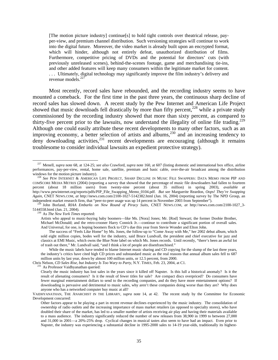[The motion picture industry] continue[s] to hold tight controls over theatrical release, payper-view, and premium channel distribution. Such versioning strategies will continue to work into the digital future. Moreover, the video market is already built upon an encrypted format, which will hinder, although not entirely defeat, unauthorized distribution of films. Furthermore, competitive pricing of DVDs and the potential for directors' cuts (with previously unreleased scenes), behind-the-scenes footage, game and merchandising tie-ins, and other added features will keep many consumers within the legitimate market for content. . . . Ultimately, digital technology may significantly improve the film industry's delivery and revenue models.<sup>227</sup>

Most recently, record sales have rebounded, and the recording industry seems to have mounted a comeback. For the first time in the past three years, the continuous sharp decline of record sales has slowed down. A recent study by the Pew Internet and American Life Project showed that music downloads fell drastically by more than fifty percent,<sup>228</sup> while a private study commissioned by the recording industry showed that more than sixty percent, as compared to thirty-five percent prior to the lawsuits, now understand the illegality of online file trading.<sup>229</sup> Although one could easily attribute these recent developments to many other factors, such as an improving economy, a better selection of artists and albums,<sup>230</sup> and an increasing tendency to deny downloading activities,  $231$  recent developments are encouraging (although it remains troublesome to consider individual lawsuits an expedient protective strategy).

 <sup>227</sup> Menell, *supra* note 68, at 124-25; *see also* Crawford, *supra* note 160, at 607 (listing domestic and international box office, airline performances, pay-per-view, rental, home sale, satellite, premium and basic cable, over-the-air broadcast among the distribution windows for the motion picture industry).<br><sup>228</sup> See PEW INTERNET & AMERICAN LIFE PROJECT, SHARP DECLINE IN MUSIC FILE SWAPPERS: DATA MEMO FROM PIP AND

COMSCORE MEDIA METRIX (2004) (reporting a survey that showed that the percentage of music file downloaders had fallen to fourteen percent (about 18 million users) from twenty-nine percent (about 35 million) in spring 2003), *available at* http://www.pewinternet.org/reports/pdfs/PIP\_File\_Swapping\_Memo\_0104.pdf. *But see* Marguerite Reardon, *Oops! They're Swapping Again*, CNET NEWS.COM, *at* http://news.com.com/2100-1027-5142382.html (Jan. 16, 2004) (reporting survey by The NPD Group, an independent market research firm, that "peer-to-peer usage was up 14 percent in November 2003 f

John Borland, RIAA Embarks on New Round of Piracy Suits, CNET NEWS.COM, at http://news.com.com/2100-1027\_3-5144558.html (Jan. 21, 2004). 230 As *The New York Times* reported:

Artists who appeal to music-buying baby boomers—like Ms. [Nora] Jones; Mr. [Rod] Stewart; the former Doobie Brother, Michael McDonald; and the retro-crooner Harry Connick Jr.—continue to contribute a significant portion of overall sales. And Universal, for one, is hoping boomers flock to CD's due this year from Stevie Wonder and Elton John.

The success of "Feels Like Home" by Ms. Jones, the follow-up to "Come Away with Me," her 2002 debut album, which sold eight million copies, bodes well for the industry, said Bruce Lundvall, the president and chief executive for jazz and classics at EMI Music, which owns the Blue Note label on which Ms. Jones records. Until recently, "there's been an awful lot of trash out there," Mr. Lundvall said, "and I think a lot of people are disenfranchised."

While the music labels have tended to blame Internet music sharing and CD copying for the slump of the last three years, the industry's critics have cited high CD prices and substandard music as the real reasons that annual album sales fell to 687 million units by last year, down by almost 100 million units, or 12.5 percent, from 2000.

Chris Nelson, *CD Sales Rise, but Industry Is Too Wary to Party*, N.Y. TIMES, Feb. 23, 2004, at C1. 231 As Professor Vaidhyanathan queried:

Clearly the music industry has lost sales in the years since it killed off Napster. Is this lull a historical anomaly? Is it the result of alienating consumers? Is it the result of fewer titles for sale? Are compact discs overpriced? Do consumers have fewer marginal entertainment dollars to send to the recording companies, and do they have more entertainment options? If downloading is pervasive and detrimental to music sales, why aren't these companies doing worse than they are? Why does anyone who has a networked computer buy music at all?

VAIDHYANATHAN, THE ANARCHIST IN THE LIBRARY, *supra* note 14, at 42. The recent study by the Committee for Economic Development concurred:

Other factors appear to be playing a part in recent revenue declines experienced by the music industry. The consolidation of ownership of radio outlets and the increasing importance of mass market retailers (as opposed to specialty stores), who have doubled their share of the market, has led to a smaller number of artists receiving air play and having their materials available to a mass audience. The industry significantly reduced the number of new releases from 38,900 in 1999 to between 27,000 and 31,000 in 2001—a 20%-25% drop. Cyclical changes in musical tastes also seem to have had an impact. Even prior to Napster, the industry was experiencing a substantial decline in 1995-2000 sales to 14-19 year-olds, traditionally its highest-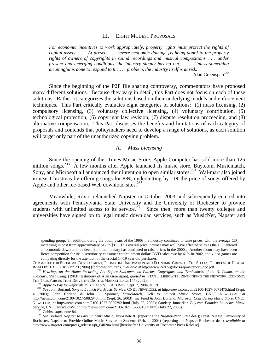#### III. EIGHT MODEST PROPOSALS

*For economic incentives to work appropriately, property rights must protect the rights of capital assets. . . . At present . . . severe economic damage [is being done] to the property rights of owners of copyrights in sound recordings and musical compositions . . . under present and emerging conditions, the industry simply has no out. . . . Unless something meaningful is done to respond to the . . . problem, the industry itself is at risk.* 

— Alan Greenspan<sup>232</sup>

Since the beginning of the P2P file sharing controversy, commentators have proposed many different solutions. Because they vary in detail, this Part does not focus on each of these solutions. Rather, it categorizes the solutions based on their underlying models and enforcement techniques. This Part critically evaluates eight categories of solutions: (1) mass licensing, (2) compulsory licensing, (3) voluntary collective licensing, (4) voluntary contribution, (5) technological protection, (6) copyright law revision, (7) dispute resolution proceeding, and (8) alternative compensation. This Part discusses the benefits and limitations of each category of proposals and contends that policymakers need to develop a range of solutions, as each solution will target only part of the unauthorized copying problem.

## A. *Mass Licensing*

Since the opening of the iTunes Music Store, Apple Computer has sold more than 125 million songs.<sup>233</sup> A few months after Apple launched its music store, Buy.com, Musicmatch, Sony, and Microsoft all announced their intention to open similar stores.<sup>234</sup> Wal-mart also joined in near Christmas by offering songs for  $88¢$ , undercutting by  $11¢$  the price of songs offered by Apple and other fee-based Web download sites.<sup>235</sup>

Meanwhile, Roxio relaunched Napster in October 2003 and subsequently entered into agreements with Pennsylvania State University and the University of Rochester to provide students with unlimited access to its service.<sup>236</sup> Since then, more than twenty colleges and universities have signed on to legal music download services, such as MusicNet, Napster and

spending group. In addition, during the boom years of the 1990s the industry continued to raise prices, with the average CD increasing in cost from approximately \$12 to \$15. This overall price increase may well have affected sales as the U.S. entered an economic downturn—undeed [sic], the industry has continued to raise prices in the 2000s. Another factor may have been fierce competition for the discretionary consumer entertainment dollar: DVD sales rose by 61% in 2002, and video games are competing directly for the attention of the crucial 14-19 year old purchaser.

COMMITTEE FOR ECONOMIC DEVELOPMENT, PROMOTING INNOVATION AND ECONOMIC GROWTH: THE SPECIAL PROBLEM OF DIGITAL INTELLECTUAL PROPERTY 29 (2004) (footnotes omitted), available at http://www.ced.org/docs/report/report\_dcc.pdf.<br><sup>232</sup> Hearings on the Home Recording Act Before Subcomm. on Patents, Copyrights, and Trademarks of the S. Com

*Judiciary*, 99th Cong. (1983) (testimony of Alan Greenspan), *quoted in* STAN J. LIEBOWITZ, RE-THINKING THE NETWORK ECONOMY:

<sup>&</sup>lt;sup>233</sup> Apple to Pay for Referrals to iTunes Site, L.A. TIMES, Sept. 2, 2004, at C9.<br><sup>234</sup> See John Borland, Sony to Launch Net Music Service, CNET NEWS.COM, at http://news.com.com/2100-1027-5071475.html (Sept. 4, 2003); John Borland & John G. Spooner, *MusicMatch, Dell to Launch Music Stores*, CNET NEWS.COM, *at* http://news.com.com/2100-1027-5082948.html (Sept. 26, 2003); Ina Fried & John Borland, *Microsoft Considering Music Store*, CNET NEWS.COM, *at* http://news.com.com/2100-1027-5055392.html (July 25, 2003); Sandeep Junnarkar, *Buy.com Founder Launches Music* 

<sup>&</sup>lt;sup>235</sup> Cobbs, *supra* note 84.<br><sup>236</sup> See Borland, *Napster to Give Students Music*, *supra* note 81 (reporting the Napster-Penn State deal); Press Release, University of Rochester, Napster to Provide Online Music Service to Students (Feb. 4, 2004) (reporting the Napster-Rochester deal), *available at* http://www.napster.com/press\_releases/pr\_040204.html [hereinafter University of Rochester Press Release].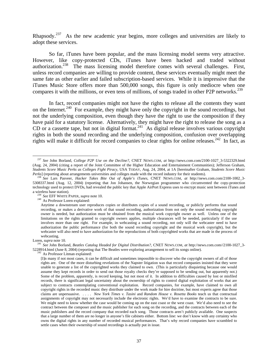Rhapsody.237 As the new academic year begins, more colleges and universities are likely to adopt these services.

So far, iTunes have been popular, and the mass licensing model seems very attractive. However, like copy-protected CDs, iTunes have been hacked and traded without authorization.<sup>238</sup> The mass licensing model therefore comes with several challenges. First, unless record companies are willing to provide content, these services eventually might meet the same fate as other earlier and failed subscription-based services. While it is impressive that the iTunes Music Store offers more than 500,000 songs, this figure is only mediocre when one compares it with the millions, or even tens of millions, of songs traded in other P2P networks.<sup>239</sup>

In fact, record companies might not have the rights to release all the contents they want on the Internet.<sup>240</sup> For example, they might have only the copyright in the sound recordings, but not the underlying composition, even though they have the right to use the composition if they have paid for a statutory license. Alternatively, they might have the right to release the song as a CD or a cassette tape, but not in digital format.<sup>241</sup> As digital release involves various copyright rights in both the sound recording and the underlying composition, confusion over overlapping rights will make it difficult for record companies to clear rights for online releases.<sup>242</sup> In fact, as

Loren, *supra* note 10. 241 *See* John Borland, *Beatles Catalog Headed for Digital Distribution?*, CNET NEWS.COM, *at* http://news.com.com//2100-1027\_3- 5228914.html (June 8, 2004) (reporting that The Beatles were exploring arrangement to sell its songs online). 242 As Professor Litman explained:

 <sup>237</sup> *See* John Borland, *College P2P Use on the Decline?*, CNET NEWS.COM, *at* http://news.com.com/2100-1027\_3-5322329.html (Aug. 24, 2004) (citing a report of the Joint Committee of the Higher Education and Entertainment Communities); Jefferson Graham, *Students Score Music Perks as Colleges Fight Piracy*, USA TODAY, Aug. 24, 2004, at 1A [hereinafter Graham, *Students Score Music* 

Perks] (reporting about arrangements universities and colleges made with the record industry for their students).<br><sup>238</sup> See Lars Pasveer, *Hacker Takes Bite Out of Apple's iTunes*, CNET NEWS.COM, *at* http://news.com.com/2 5308337.html (Aug. 12, 2004) (reporting that Jon Johansen, the Norwegian programmer who circumvented the copy-protection technology used to protect DVDs, had revealed the public key that Apple AirPort Express uses to encrypt music sent between iTunes and a wireless base station). 239 *See* EFF WHITE PAPER, *supra* note 10. 240 As Professor Loren explained:

Anytime a downstream user reproduces copies or distributes copies of a sound recording, or publicly performs that sound recording, or makes a derivative work of that sound recording, authorization from not only the sound recording copyright owner is needed, but authorization must be obtained from the musical work copyright owner as well. Unless one of the limitations on the rights granted to copyright owners applies, multiple clearances will be needed, particularly if the use involves more than one right. For example, in webcasting a sound recording, not only will the webcaster need to have authorization the public performance (for both the sound recording copyright and the musical work copyright), but the webcaster will also need to have authorization for the reproductions of both copyrighted works that are made in the process of

webcasting.<br>Loren, *supra* note 10.

<sup>[</sup>I]n many if not most cases, it can be difficult and sometimes impossible to discover who the copyright owners of all of those rights are. One of the more disturbing revelations of the Napster litigation was that record companies insisted that they were unable to generate a list of the copyrighted works they claimed to own. (This is particularly disquieting because one would assume they kept records in order to send out those royalty checks they're supposed to be sending out, but apparently not.) Some of the problem, apparently, is record keeping, but not most of it. In addition to difficulties caused by lost or misfiled records, there is significant legal uncertainty about the ownership of rights to control digital exploitation of works that are subject to contracts contemplating conventional exploitation. Record companies, for example, have claimed to own all copyright rights in the recorded music they distribute under the work made for hire doctrine, but most experts agree that those claims are unpersuasive. . . . . *New York Times v. Tasini* and *Random House v. Rosetta Books* teach us that contractual assignments of copyright may not necessarily include the electronic rights. We'd have to examine the contracts to be sure. We might need to know whether the case would be coming up on the east coast or the west coast. We'd also need to see the contract between the composer and the music publisher for each song on the recording, and the contracts between each of the music publishers and the record company that recorded each song. Those contracts aren't publicly available. One suspects that a large number of them are no longer in anyone's file cabinets either. Bottom line: we don't know with any certainty who owns the digital rights in any number of recorded musical performances. That's why record companies have scrambled to settle cases when their ownership of sound recordings is actually put in issue.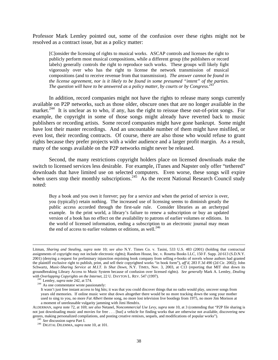Professor Mark Lemley pointed out, some of the confusion over these rights might not be resolved as a contract issue, but as a policy matter:

[C]onsider the licensing of rights to musical works. ASCAP controls and licenses the right to publicly perform most musical compositions, while a different group (the publishers or record labels) generally controls the right to reproduce such works. These groups will likely fight vigorously over who has the right to license the network transmission of musical compositions (and to receive revenue from that transmission). *The answer cannot be found in the license agreement, nor is it likely to be found in some presumed "intent" of the parties. The question will have to be answered as a policy matter, by courts or by Congress.<sup>243</sup>*

In addition, record companies might not have the rights to release many songs currently available on P2P networks, such as those older, obscure ones that are no longer available in the market.<sup>244</sup> It is unclear as to who, if any, has the right to reissue these out-of-print songs. For example, the copyright in some of those songs might already have reverted back to music publishers or recording artists. Some record companies might have gone bankrupt. Some might have lost their master recordings. And an uncountable number of them might have misfiled, or even lost, their recording contracts. Of course, there are also those who would refuse to grant rights because they prefer projects with a wider audience and a larger profit margin. As a result, many of the songs available on the P2P networks might never be released.

Second, the many restrictions copyright holders place on licensed downloads make the switch to licensed services less desirable. For example, iTunes and Napster only offer "tethered" downloads that have limited use on selected computers. Even worse, these songs will expire when users stop their monthly subscriptions.<sup>245</sup> As the recent National Research Council study noted:

Buy a book and you own it forever; pay for a service and when the period of service is over, you (typically) retain nothing. The increased use of licensing seems to diminish greatly the public access accorded through the first-sale rule. Consider libraries as an archetypal example. In the print world, a library's failure to renew a subscription or buy an updated version of a book has no effect on the availability to patrons of earlier volumes or editions. In the world of licensed information, ending a subscription to an electronic journal may mean the end of access to earlier volumes or editions, as well. $^{246}$ 

Litman, *Sharing and Stealing*, *supra* note 10; *see also* N.Y. Times Co. v. Tasini, 533 U.S. 483 (2001) (holding that contractual assignments of copyright may not include electronic rights); Random House, Inc. v. Rosetta Books LLC, 150 F. Supp. 2d 613 (S.D.N.Y. 2001) (denying a request for preliminary injunction enjoining book company from selling e-books of novels whose authors had granted the plaintiff exclusive right to publish, print, and sell their copyrighted works "in book form"), *aff'd*, 283 F.3d 490 (2d Cir. 2002); John Schwartz, *Music-Sharing Service at M.I.T. Is Shut Down*, N.Y. TIMES, Nov. 3, 2003, at C13 (reporting that MIT shut down its groundbreaking Library Access to Music System because of confusion over licensed rights). *See generally* Mark A. Lemley, *Dealing with Overlapping Copyrights on the Internet*, 22 U. DAYTON L. REV. 547 (1997).<br><sup>243</sup> Lemley, *supra* note 242, at 574.<br><sup>244</sup> As one commentator wrote passionately:

It wasn't just free instant access to big hits; it was that you could discover things that no radio would play, uncover songs from years old memories. If online music were shut down altogether there would be no more tracking down the song your mother used to sing to you, no more *Fat Albert* theme song, no more lost television live bootlegs from 1975, no more Jim Morison at a moment of unreleasable vulgarity jamming with Jimi Hendrix.

ALDERMAN, *supra* note 72, at 169; *see also* Netanel, *Noncommercial Use Levy*, *supra* note 10, at 3 (contending that "P2P file sharing is not just downloading music and movies for free . . . [but] a vehicle for finding works that are otherwise not available, discovering new genres, making personalized compilations, and posting creative remixes, sequels, and modifications of popular works"). 245 *See* discussion *supra* Part I. 246 DIGITAL DILEMMA, *supra* note 10, at 101.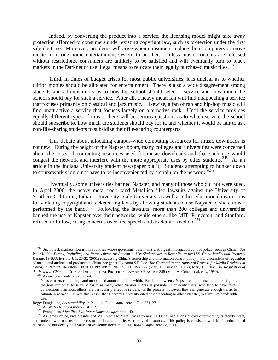Indeed, by converting the product into a service, the licensing model might take away protection afforded to consumers under existing copyright law, such as protection under the first sale doctrine. Moreover, problems will arise when consumers replace their computers or move music from one home entertainment system to another. Unless music contents are released without restrictions, consumers are unlikely to be satisfied and will eventually turn to black markets in the Darknet or use illegal means to relocate their legally purchased music files.<sup>247</sup>

Third, in times of budget crises for most public universities, it is unclear as to whether tuition monies should be allocated for entertainment. There is also a wide disagreement among students and administrators as to how the school should select a service and how much the school should pay for such a service. After all, a heavy metal fan will find unappealing a service that focuses primarily on classical and jazz music. Likewise, a fan of rap and hip-hop music will find unattractive a service that focuses largely on alternative rock. Until the service provides equally different types of music, there will be serious questions as to which service the school should subscribe to, how much the students should pay for it, and whether it would be fair to ask non-file-sharing students to subsidize their file-sharing counterparts.

This debate about allocating campus-wide computing resources for music downloads is not new. During the height of the Napster boom, many colleges and universities were concerned about the costs of computing resources used for music downloads and that such use would congest the network and interfere with the more appropriate uses by other students.<sup>248</sup> As an article in the Indiana University student newspaper put it, "Students attempting to hunker down to coursework should not have to be inconvenienced by a strain on the network."<sup>249</sup>

Eventually, some universities banned Napster, and many of those who did not were sued. In April 2000, the heavy metal rock band Metallica filed lawsuits against the University of Southern California, Indiana University, Yale University, as well as other educational institutions for violating copyright and racketeering laws by allowing students to use Napster to share music performed by the band.<sup>250</sup> Following the lawsuits, more than 200 colleges and universities banned the use of Napster over their networks, while others, like MIT, Princeton, and Stanford, refused to follow, citing concerns over free speech and academic freedom.<sup>251</sup>

 <sup>247</sup> Such black markets flourish in countries whose government maintains a stringent information control policy, such as China. *See* Peter K. Yu, *Piracy, Prejudice, and Perspectives: An Attempt to Use Shakespeare to Reconfigure the U.S.-China Intellectual Property Debate*, 19 B.U. INT'L L.J. 1, 28-32 (2001) (discussing China's censorship and information control policy). For discussions of regulation of media and audiovisual products in China, see generally Anna S.F. Lee, *The Censorship and Approval Process for Media Products in China*, *in* PROTECTING INTELLECTUAL PROPERTY RIGHTS IN CHINA 127 (Mary L. Riley ed., 1997); Mary L. Riley, *The Regulation of the Media in China*, *in* CHINESE INTELLECTUAL PROPERTY: LAW AND PRACTICE 355 (Mark A. Cohen et al. eds., 1999).

Napster users eat up large and unbounded amounts of bandwidth. By default, when a Napster client is installed, it configures the host computer to serve MP3s to as many other Napster clients as possible. University users, who tend to have faster connections than most others, are particularly effective servers. In the process, however, they can generate enough traffic to saturate a network. It was this reason that Harvard University cited when deciding to allow Napster, yet limit its bandwidth

use.<br>Roger Dingledine, Accountability, in PEER-TO-PEER, supra note 117, at 271, 271.

<sup>&</sup>lt;sup>249</sup> ALDERMAN, *supra* note 72, at 112.<br><sup>250</sup> Evangelista, *Metallica Suit Rocks Napster*, *supra* note 143.<br><sup>251</sup> As James Bruce, vice president of MIT, wrote to Metallica's attorney, "MIT has had a long history of provi and students with uncensored access to the Internet and its vast array of resources. This policy is consistent with MIT's educational mission and our deeply held values of academic freedom." ALDERMAN, *supra* note 72, at 112.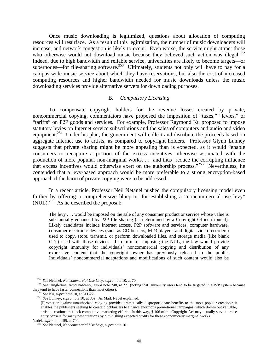Once music downloading is legitimized, questions about allocation of computing resources will resurface. As a result of this legitmization, the number of music downloaders will increase, and network congestion is likely to occur. Even worse, the service might attract those who otherwise would not download music because they believed such action was illegal. $^{252}$ Indeed, due to high bandwidth and reliable service, universities are likely to become targets—or supernodes—for file-sharing software.<sup>253</sup> Ultimately, students not only will have to pay for a campus-wide music service about which they have reservations, but also the cost of increased computing resources and higher bandwidth needed for music downloads unless the music downloading services provide alternative servers for downloading purposes.

# B. *Compulsory Licensing*

To compensate copyright holders for the revenue losses created by private, noncommercial copying, commentators have proposed the imposition of "taxes," "levies," or "tariffs" on P2P goods and services. For example, Professor Raymond Ku proposed to impose statutory levies on Internet service subscriptions and the sales of computers and audio and video equipment.<sup>254</sup> Under his plan, the government will collect and distribute the proceeds based on aggregate Internet use to artists, as compared to copyright holders. Professor Glynn Lunney suggests that private sharing might be more appealing than is expected, as it would "enable consumers to recapture a portion of the excess incentives otherwise associated with the production of more popular, non-marginal works. . . [and thus] reduce the corrupting influence that excess incentives would otherwise exert on the authorship process."<sup>255</sup> Nevertheless, he contended that a levy-based approach would be more preferable to a strong encryption-based approach if the harm of private copying were to be addressed.

In a recent article, Professor Neil Netanel pushed the compulsory licensing model even further by offering a comprehensive blueprint for establishing a "noncommercial use levy"  $(NULL)$ <sup>256</sup> As he described the proposal:

The levy . . . would be imposed on the sale of any consumer product or service whose value is substantially enhanced by P2P file sharing (as determined by a Copyright Office tribunal). Likely candidates include Internet access, P2P software and services, computer hardware, consumer electronic devices (such as CD burners, MP3 players, and digital video recorders) used to copy, store, transmit, or perform downloaded files, and storage media (like blank CDs) used with those devices. In return for imposing the NUL, the law would provide copyright immunity for individuals' noncommercial copying and distribution of any expressive content that the copyright owner has previously released to the public. Individuals' noncommercial adaptations and modifications of such content would also be

<sup>&</sup>lt;sup>252</sup> See Netanel, *Noncommercial Use Levy*, *supra* note 10, at 70.<br><sup>253</sup> See Dingledine, *Accountability*, *supra* note 248, at 271 (noting that University users tend to be targeted in a P2P system because they tend to

<sup>&</sup>lt;sup>254</sup> *See Ku, supra* note 10, at 311-22. <sup>255</sup> *See Lunney, <i>supra* note 10, at 869. As Mark Nadel explained:

<sup>[</sup>P]rotection against unauthorized copying provides dramatically disproportionate benefits to the most popular creations: it enables the publishers seeking to create blockbusters to finance enormous promotional campaigns, which drown out valuable, artistic creations that lack competitive marketing efforts. In this way, § 106 of the Copyright Act may actually serve to raise entry barriers for many new creations by diminishing expected profits for these economically marginal works.<br>Nadel, *supra* note 155, at 790.

Nadel, *supra* note 155, at 790. 256 *See* Netanel, *Noncommercial Use Levy*, *supra* note 10.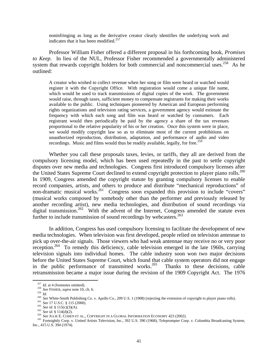noninfringing as long as the derivative creator clearly identifies the underlying work and indicates that it has been modified.<sup>257</sup>

Professor William Fisher offered a different proposal in his forthcoming book, *Promises to Keep*. In lieu of the NUL, Professor Fisher recommended a governmentally administered system that rewards copyright holders for both commercial and noncommercial uses.<sup>258</sup> As he outlined:

A creator who wished to collect revenue when her song or film were heard or watched would register it with the Copyright Office. With registration would come a unique file name, which would be used to track transmissions of digital copies of the work. The government would raise, through taxes, sufficient money to compensate registrants for making their works available to the public. Using techniques pioneered by American and European performing rights organizations and television rating services, a government agency would estimate the frequency with which each song and film was heard or watched by consumers. Each registrant would then periodically be paid by the agency a share of the tax revenues proportional to the relative popularity of his or her creation. Once this system were in place, we would modify copyright law so as to eliminate most of the current prohibitions on unauthorized reproduction, distribution, adaptation, and performance of audio and video recordings. Music and films would thus be readily available, legally, for free.<sup>259</sup>

Whether you call these proposals taxes, levies, or tariffs, they all are derived from the compulsory licensing model, which has been used repeatedly in the past to settle copyright disputes over new media and technologies. Congress first introduced compulsory licenses after the United States Supreme Court declined to extend copyright protection to player piano rolls.<sup>260</sup> In 1909, Congress amended the copyright statute by granting compulsory licenses to enable record companies, artists, and others to produce and distribute "mechanical reproductions" of non-dramatic musical works.<sup>261</sup> Congress soon expanded this provision to include "covers" (musical works composed by somebody other than the performer and previously released by another recording artist), new media technologies, and distribution of sound recordings via digital transmission.<sup>262</sup> With the advent of the Internet, Congress amended the statute even further to include transmission of sound recordings by webcasters.<sup>263</sup>

In addition, Congress has used compulsory licensing to facilitate the development of new media technologies. When television was first developed, people relied on television antennae to pick up over-the-air signals. Those viewers who had weak antennae may receive no or very poor reception.<sup>264</sup> To remedy this deficiency, cable television emerged in the late 1960s, carrying television signals into individual homes. The cable industry soon won two major decisions before the United States Supreme Court, which found that cable system operators did not engage in the public performance of transmitted works.<sup>265</sup> Thanks to these decisions, cable retransmission became a major issue during the revision of the 1909 Copyright Act. The 1976

<sup>&</sup>lt;sup>257</sup> *Id.* at 4 (footnotes omitted).<br>
<sup>258</sup> *See* FISHER, *supra* note 10, ch. 6.<br>
<sup>258</sup> *Id.*<br>
<sup>260</sup> *See* White-Smith Publishing Co. v. Apollo Co., 209 U.S. 1 (1908) (rejecting the extension of copyright to player pian Inc., 415 U.S. 394 (1974).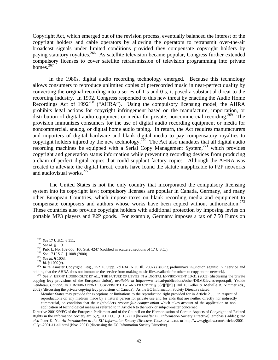Copyright Act, which emerged out of the revision process, eventually balanced the interest of the copyright holders and cable operators by allowing the operators to retransmit over-the-air broadcast signals under limited conditions provided they compensate copyright holders by paying statutory royalties.<sup>266</sup> As satellite television became popular, Congress further extended compulsory licenses to cover satellite retransmission of television programming into private homes. $267$ 

In the 1980s, digital audio recording technology emerged. Because this technology allows consumers to reproduce unlimited copies of prerecorded music in near-perfect quality by converting the original recording into a series of 1's and 0's, it posed a substantial threat to the recording industry. In 1992, Congress responded to this new threat by enacting the Audio Home Recordings Act of 1992<sup>268</sup> ("AHRA"). Using the compulsory licensing model, the AHRA prohibits legal actions for copyright infringement based on the manufacture, importation, or distribution of digital audio equipment or media for private, noncommercial recording.<sup>269</sup> The provision immunizes consumers for the use of digital audio recording equipment or media for noncommercial, analog, or digital home audio taping. In return, the Act requires manufacturers and importers of digital hardware and blank digital media to pay compensatory royalties to copyright holders injured by the new technology.<sup>270</sup> The Act also mandates that all digital audio recording machines be equipped with a Serial Copy Management System, $271$  which provides copyright and generation status information while preventing recording devices from producing a chain of perfect digital copies that could supplant factory copies. Although the AHRA was created to alleviate the digital threat, courts have found the statute inapplicable to P2P networks and audiovisual works.272

The United States is not the only country that incorporated the compulsory licensing system into its copyright law; compulsory licenses are popular in Canada, Germany, and many other European Countries, which impose taxes on blank recording media and equipment to compensate composers and authors whose works have been copied without authorization.<sup>273</sup> These countries also provide copyright holders with additional protection by imposing levies on portable MP3 players and P2P goods. For example, Germany imposes a tax of 7.50 Euros on

<sup>&</sup>lt;sup>266</sup> See 17 U.S.C. § 111.<br><sup>267</sup> See id. § 119.<br><sup>268</sup> Pub. L. No. 102-563, 106 Stat. 4247 (codified in scattered sections of 17 U.S.C.).<br><sup>269</sup> See 17 U.S.C. § 1008 (2000).<br><sup>270</sup> See id. § 1003.<br><sup>271</sup> Id. § 1002(c).<br><sup>272</sup> holding that the AHRA does not immunize the service from making music files available for others to copy on the network).<br><sup>273</sup> See P. BERNT HUGENHOLTZ ET AL., THE FUTURE OF LEVIES IN A DIGITAL ENVIRONMENT 10-31 (2003) (d

copying levy provisions of the European Union), *available at* http://www.ivir.nl/publications/other/DRM&levies-report.pdf; Ysolde Gendreau, *Canada*, *in* 1 INTERNATIONAL COPYRIGHT LAW AND PRACTICE § 8[2][f][ii] (Paul E. Geller & Melville B. Nimmer eds., 2002) (discussing the private copying levy provisions of Canada). As the EC Information Society Directive stated:

Member States may provide for exceptions or limitations to the reproduction right provided for in Article 2 . . . in respect of reproductions on any medium made by a natural person for private use and for ends that are neither directly nor indirectly commercial, on condition that the rightholders *receive fair compensation* which takes account of the application or nonapplication of technological measures referred to in Article 6 to the work or subject-matter concerned.

Directive 2001/29/EC of the European Parliament and of the Council on the Harmonisation of Certain Aspects of Copyright and Related Rights in the Information Society art. 5(2), 2001 O.J. (L 167) 10 [hereinafter EC Information Society Directive] (emphasis added); *see also* Peter K. Yu, *An Introduction to the EU Information Society Directive*, GIGALAW.COM, *at* http://www.gigalaw.com/articles/2001 all/yu-2001-11-all.html (Nov. 2001) (discussing the EC Information Society Directive).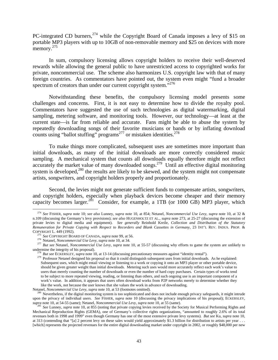PC-integrated CD burners,<sup>274</sup> while the Copyright Board of Canada imposes a levy of \$15 on portable MP3 players with up to 10GB of non-removable memory and \$25 on devices with more memory.<sup>275</sup>

In sum, compulsory licensing allows copyright holders to receive their well-deserved rewards while allowing the general public to have unrestricted access to copyrighted works for private, noncommercial use. The scheme also harmonizes U.S. copyright law with that of many foreign countries. As commentators have pointed out, the system even might "fund a broader spectrum of creators than under our current copyright system."<sup>276</sup>

Notwithstanding these benefits, the compulsory licensing model presents some challenges and concerns. First, it is not easy to determine how to divide the royalty pool. Commentators have suggested the use of such technologies as digital watermarking, digital sampling, metering software, and monitoring tools. However, our technology—at least at the current state—is far from reliable and accurate. Fans might be able to abuse the system by repeatedly downloading songs of their favorite musicians or bands or by inflating download counts using "ballot stuffing" programs<sup>277</sup> or mistaken identities.<sup>278</sup>

To make things more complicated, subsequent uses are sometimes more important than initial downloads, as many of the initial downloads are more correctly considered music sampling. A mechanical system that counts all downloads equally therefore might not reflect accurately the market value of many downloaded songs.<sup>279</sup> Until an effective digital monitoring system is developed,  $^{280}$  the results are likely to be skewed, and the system might not compensate artists, songwriters, and copyright holders properly and proportionately.

Second, the levies might not generate sufficient funds to compensate artists, songwriters, and copyright holders, especially when playback devices become cheaper and their memory capacity becomes larger.<sup>281</sup> Consider, for example, a 1TB (or 1000 GB) MP3 player, which

 <sup>274</sup> *See* FISHER, *supra* note 10; *see also* Lunney, *supra* note 10, at 854; Netanel, *Noncommercial Use Levy*, *supra* note 10, at 32 & n.109 (discussing the Germany's levy provisions); *see also* HUGENHOLTZ ET AL., *supra* note 273, at 25-27 (discussing the extension of private levies to digital media and equipment). *See generally* Reinhold Kreile, *Collection and Distribution of the Statutory Remuneration for Private Copying with Respect to Recorders and Blank Cassettes in Germany*, 23 INT'L REV. INDUS. PROP. &

COPYRIGHT L. 449 (1992).<br><sup>275</sup> See COPYRIGHT BOARD OF CANADA, *supra* note 99, at 56.<br><sup>276</sup> Netanel, *Noncommercial Use Levy, supra* note 10, at 34.<br><sup>277</sup> But see Netanel, *Noncommercial Use Levy, supra* note 10, at 55-57

undermine the integrity of his proposal).<br><sup>278</sup> *But see* ECKERSLEY, *supra* note 10, at 13-14 (discussing precautionary measures against "identity rental").<br><sup>279</sup> Professor Netanel designed his proposal so that it could Subsequent uses, which might entail viewing or listening to a work or copying it onto an MP3 player or other portable device, should be given greater weight than initial downloads. Metering such uses would more accurately reflect each work's value to users than merely counting the number of downloads or even the number of hard copy purchases. Certain types of works tend to be subject to more repeated viewing, reading, or listening than others, and such ongoing use is an important component of a work's value. In addition, it appears that users often download works from P2P networks merely to determine whether they like the work, not because the user knows that she values the work in advance of downloading.<br>Netanel, *Noncommercial Use Levy*, *supra* note 10, at 53 (footnotes omitted).

<sup>&</sup>lt;sup>280</sup> Nevertheless, if the digital monitoring system is too sophisticated and does not include enough privacy safeguards, it might intrude upon the privacy of individual users. *See FISHER, supra* note 10 (discussing the privacy implications of his proposal); ECKERSLEY, *supra* note 10, at 54-55 (same); Netanel, *Noncommercial Use Levy*, *supra* note 10, at 5

<sup>&</sup>lt;sup>281</sup> See Lunney, supra note 10, at 855 (noting that private copying levies received by the Society for Musical Performing Rights and Mechanical Reproduction Rights (GEMA), one of Germany's collective rights organizations, "amounted to roughly 2.6% of its total revenues both in 1998 and 1999" even though Germany has one of the most extensive private levy systems). *But see* Ku, *supra* note 10, at 313 (contending that "[a] 2 percent levy on these sales would yield approximately \$1.3 billion for distribution to artists per year . . . [which] represents the projected revenues for the entire digital downloading market under copyright in 2002, or roughly \$48,000 per new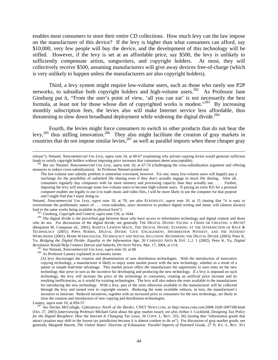enables most consumers to store their entire CD collections. How much levy can the law impose on the manufacturer of this device? If the levy is higher than what consumers can afford, say \$10,000, very few people will buy the device, and the development of this technology will be stifled. However, if the levy is set at an affordable price, say \$500, the levy is unlikely to sufficiently compensate artists, songwriters, and copyright holders. At most, they will collectively receive \$500, assuming manufacturers will give away devices free-of-charge (which is very unlikely to happen unless the manufacturers are also copyright holders).

Third, a levy system might require low-volume users, such as those who rarely use P2P networks, to subsidize both copyright holders and high-volume users.<sup>282</sup> As Professor Jane Ginsburg put it, "From the user's point of view, 'all you can eat' is not necessarily the best formula, at least not for those whose diet of copyrighted works is modest."<sup>283</sup> By increasing monthly subscription fees, the levies also will make Internet service less affordable, thus threatening to slow down broadband deployment while widening the digital divide.<sup>284</sup>

Fourth, the levies might force consumers to switch to other products that do not bear the levy,<sup>285</sup> thus stifling innovation.<sup>286</sup> They also might facilitate the creation of gray markets in countries that do not impose similar levies,  $287$  as well as parallel imports when these cheaper gray

Netanel, *Noncommercial Use Levy*, *supra* note 10, at 70; *see also* ECKERSLEY, *supra* note 10, at 15 (noting that "it is easy to overestimate the problematic nature of . . . cross-subsidies, since incentives to produce digital writing and music will (almost always) lead to the same works being available in physical form").

<sup>283</sup> Ginsburg, *Copyright and Control, supra* note 156, at 1644.<br><sup>284</sup> The digital divide is the proverbial gap between those who have access to information technology and digital content and those who do not. For discussions of the digital divide, see generally THE DIGITAL DIVIDE: FACING A CRISIS OR CREATING A MYTH? (Benjamin M. Compaine ed., 2001); RANETA LAWSON MACK, THE DIGITAL DIVIDE: STANDING AT THE INTERSECTION OF RACE & TECHNOLOGY (2001); PIPPA NORRIS, DIGITAL DIVIDE: CIVIC ENGAGEMENT, INFORMATION POVERTY, AND THE INTERNET WORLDWIDE (2001); MARK WARSCHAUER, TECHNOLOGY AND SOCIAL INCLUSION: RETHINKING THE DIGITAL DIVIDE (2003); Peter K. Yu, *Bridging the Digital Divide: Equality in the Information Age*, 20 CARDOZO ARTS & ENT. L.J. 1 (2002); Peter K. Yu, *Digital* 

<sup>287</sup> See Declan McCullagh, *Cyberpiracy North of the Border*, CNET NEWS.COM, *at* http://news.com.com/2008-1028-5097180.html (Oct. 27, 2003) (interviewing Professor Michael Geist about the gray market issue); *see also* Arthur J. Cockfield, *Designing Tax Policy for the Digital Biosphere: How the Internet Is Changing Tax Laws*, 34 CONN. L. REV. 333, 342 (noting that "information goods that attract taxation may shift to the lowest tax jurisdiction because it is almost costless to do so"). For discussion of gray-market goods, see generally Margreth Barrett, *The United States' Doctrine of Exhaustion: Parallel Imports of Patented Goods*, 27 N. KY. L. REV. 911

release"); Netanel, *Noncommercial Use Levy*, *supra* note 10, at 60-67 (explaining why private copying levies would generate sufficient funds to satisfy copyright holders without imposing price increases that consumers deem unacceptable).<br><sup>282</sup> But see Netanel, Noncommercial Use Levy, supra note 10, at 67-74 (challenging the cross-subsidization argument an

measures to reduce cross-subsidization). As Professor Netanel pointed out:

The low-volume user subsidy problem is somewhat overstated, however. For one, many low-volume users will happily pay a surcharge for the possibility of unlimited file sharing even if they don't actually engage in much file sharing. After all, consumers regularly buy computers with far more memory and processing capacity than they actually use. . . . Further, imposing the levy will encourage some low-volume users to become high-volume users. If paying an extra \$35 for a personal computer enables me legally to use it to trade music and video files, I will be more likely to use the computer for that purpose and I might find that I enjoy doing so.

<sup>&</sup>lt;sup>285</sup> *See* Netanel, *Noncommercial Use Levy*, *supra* note 10, at 68.<br><sup>286</sup> As Professor Lunney explained in economic terms:

<sup>[</sup>A] levy discourages the creation and dissemination of new distribution technologies. With the introduction of innovative copying technology, a manufacturer is likely to enjoy some market power with the new technology, whether as a result of a patent or simple lead-time advantage. This market power offers the manufacturer the opportunity to earn rents on the new technology that serve in turn as the incentive for developing and producing the new technology. If a levy is imposed on such technology, the levy will increase the price of the technology to consumers, creating an artificial price increase and its resulting inefficiencies, as it would for existing technologies. The levy will also reduce the rents available to the manufacturer for introducing the new technology. With a levy, part of the rents otherwise available to the manufacturer will be collected through the levy and turned over to copyright owners. Reducing the rents available reduces, in turn, the manufacturer's incentive to innovate. Reduced incentives, together with an increased price to consumers for the new technology, are likely to slow the creation and introduction of new copying and distribution technologies.<br>Lunney, *supra* note 10, at 856-57.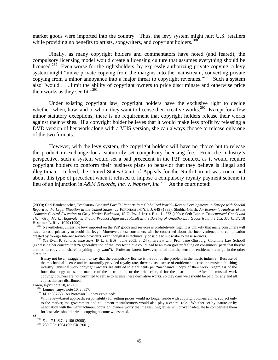market goods were imported into the country. Thus, the levy system might hurt U.S. retailers while providing no benefits to artists, songwriters, and copyright holders.<sup>288</sup>

Finally, as many copyright holders and commentators have noted (and feared), the compulsory licensing model would create a licensing culture that assumes everything should be licensed.<sup>289</sup> Even worse for the rightsholders, by expressly authorizing private copying, a levy system might "move private copying from the margins into the mainstream, converting private copying from a minor annoyance into a major threat to copyright revenues."<sup>290</sup> Such a system also "would . . . limit the ability of copyright owners to price discriminate and otherwise price their works as they see fit."<sup>291</sup>

Under existing copyright law, copyright holders have the exclusive right to decide whether, when, how, and to whom they want to license their creative works.<sup>292</sup> Except for a few minor statutory exceptions, there is no requirement that copyright holders release their works against their wishes. If a copyright holder believes that it would make less profit by releasing a DVD version of her work along with a VHS version, she can always choose to release only one of the two formats.

However, with the levy system, the copyright holders will have no choice but to release the product in exchange for a statutorily set compulsory licensing fee. From the industry's perspective, such a system would set a bad precedent in the P2P context, as it would require copyright holders to conform their business plans to behavior that they believe is illegal and illegitimate. Indeed, the United States Court of Appeals for the Ninth Circuit was concerned about this type of precedent when it refused to impose a compulsory royalty payment scheme in lieu of an injunction in *A&M Records, Inc. v. Napster, Inc.*<sup>293</sup> As the court noted:

 <sup>(2000);</sup> Carl Baudenbacher, *Trademark Law and Parallel Imports in a Globalized World—Recent Developments in Europe with Special Regard to the Legal Situation in the United States*, 22 FORDHAM INT'L L.J. 645 (1999); Shubha Ghosh, *An Economic Analysis of the Common Control Exception to Gray Market Exclusion*, 15 U. PA. J. INT'L BUS. L. 373 (1994); Seth Lipner, *Trademarked Goods and Their Gray Market Equivalents: Should Product Differences Result in the Barring of Unauthorized Goods from the U.S. Markets?*, 18

<sup>&</sup>lt;sup>288</sup> Nevertheless, unless the levy imposed on the P2P goods and services is prohibitively high, it is unlikely that many consumers will travel abroad primarily to avoid the levy. Moreover, most consumers will be concerned about the inconvenience and complication created by foreign Internet service providers, even though it is technically possible to subscribe to these services.<br><sup>289</sup> See Evan P. Schultz, Jane Says, IP L. & BUS., June 2003, at 24 (interview with Prof. Jane Ginsburg

<sup>(</sup>expressing her concern that "a generalization of the levy technique could lead to an even greater feeling on consumers' parts that they're entitled to copy and "share" anything they want"). Professor Loren, however, noted that the sense of entitlement can go in the other direction:

It may not be an exaggeration to say that the compulsory license is the root of the problem in the music industry. Because of the mechanical license and its statutorily provided royalty rate, there exists a sense of entitlement across the music publishing industry: musical work copyright owners are entitled to eight cents per "mechanical" copy of their work, regardless of the form that copy takes, the manner of the distribution, or the price charged for the distribution. After all, musical work copyright owners are not permitted to refuse to license these derivative works, so they darn well should be paid for any and all copies that are distributed.<br>Loren, *supra* note 10, at 710.

<sup>&</sup>lt;sup>290</sup> Lunney, *supra* note 10, at 857.<br><sup>291</sup> *Id.* at 857-58. As Professor Lunney explained:

With a levy-based approach, responsibility for setting prices would no longer reside with copyright owners alone, subject only to the market; the government and equipment manufacturers would also play a central role. Whether set by statute or by negotiation with the manufacturers, copyright owners worry that the resulting levies will prove inadequate to compensate them for lost sales should private copying become widespread.

*Id.* <sup>292</sup> *See* 17 U.S.C. § 106 (2000).

<sup>&</sup>lt;sup>293</sup> 239 F.3d 1004 (9th Cir. 2001).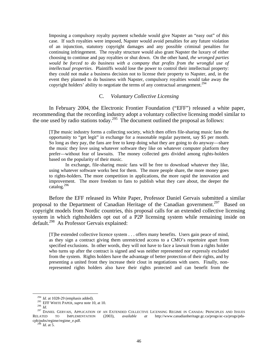Imposing a compulsory royalty payment schedule would give Napster an "easy out" of this case. If such royalties were imposed, Napster would avoid penalties for any future violation of an injunction, statutory copyright damages and any possible criminal penalties for continuing infringement. The royalty structure would also grant Napster the luxury of either choosing to continue and pay royalties or shut down. On the other hand, *the wronged parties*  would be forced to do business with a company that profits from the wrongful use of *intellectual properties*. Plaintiffs would lose the power to control their intellectual property: they could not make a business decision not to license their property to Napster, and, in the event they planned to do business with Napster, compulsory royalties would take away the copyright holders' ability to negotiate the terms of any contractual arrangement.<sup>294</sup>

# C. *Voluntary Collective Licensing*

In February 2004, the Electronic Frontier Foundation ("EFF") released a white paper, recommending that the recording industry adopt a voluntary collective licensing model similar to the one used by radio stations today.<sup>295</sup> The document outlined the proposal as follows:

[T]he music industry forms a collecting society, which then offers file-sharing music fans the opportunity to "get legit" in exchange for a reasonable regular payment, say \$5 per month. So long as they pay, the fans are free to keep doing what they are going to do anyway—share the music they love using whatever software they like on whatever computer platform they prefer—without fear of lawsuits. The money collected gets divided among rights-holders based on the popularity of their music.

 In exchange, file-sharing music fans will be free to download whatever they like, using whatever software works best for them. The more people share, the more money goes to rights-holders. The more competition in applications, the more rapid the innovation and improvement. The more freedom to fans to publish what they care about, the deeper the catalog.296

Before the EFF released its White Paper, Professor Daniel Gervais submitted a similar proposal to the Department of Canadian Heritage of the Canadian government.<sup>297</sup> Based on copyright models from Nordic countries, this proposal calls for an extended collective licensing system in which rightsholders opt out of a P2P licensing system while remaining inside on default.298 As Professor Gervais explained:

[T]he extended collective licence system . . . offers many benefits. Users gain peace of mind, as they sign a contract giving them unrestricted access to a CMO's repertoire apart from specified exclusions. In other words, they will not have to face a lawsuit from a rights holder who turns up after the contract is signed and was neither represented nor expressly excluded from the system. Rights holders have the advantage of better protection of their rights, and by presenting a united front they increase their clout in negotiations with users. Finally, nonrepresented rights holders also have their rights protected and can benefit from the

<sup>&</sup>lt;sup>294</sup> *Id.* at 1028-29 (emphasis added).<br><sup>295</sup> EFF WHITE PAPER, *supra* note 10, at 10.<br><sup>296</sup> *Id.* 297 DANIEL GERVAIS, APPLICATION OF AN EXTENDED COLLECTIVE LICENSING REGIME IN CANADA: PRINCIPLES AND ISSUES<br>RELATED TO IMP RELATED TO IMPLEMENTATION (2003), *available at* http://www.canadianheritage.gc.ca/progs/ac-ca/progs/pdacpb/pubs/regime/regime\_e.pdf. 298 *Id*. at 5.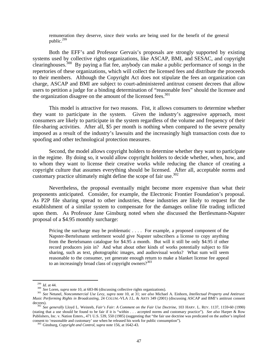remuneration they deserve, since their works are being used for the benefit of the general public.299

Both the EFF's and Professor Gervais's proposals are strongly supported by existing systems used by collective rights organizations, like ASCAP, BMI, and SESAC, and copyright clearinghouses.300 By paying a flat fee, anybody can make a public performance of songs in the repertories of these organizations, which will collect the licensed fees and distribute the proceeds to their members. Although the Copyright Act does not stipulate the fees an organization can charge, ASCAP and BMI are subject to court-administered antitrust consent decrees that allow users to petition a judge for a binding determination of "reasonable fees" should the licensee and the organization disagree on the amount of the licensed fees.<sup>301</sup>

This model is attractive for two reasons. Fist, it allows consumers to determine whether they want to participate in the system. Given the industry's aggressive approach, most consumers are likely to participate in the system regardless of the volume and frequency of their file-sharing activities. After all, \$5 per month is nothing when compared to the severe penalty imposed as a result of the industry's lawsuits and the increasingly high transaction costs due to spoofing and other technological protection measures.

Second, the model allows copyright holders to determine whether they want to participate in the regime. By doing so, it would allow copyright holders to decide whether, when, how, and to whom they want to license their creative works while reducing the chance of creating a copyright culture that assumes everything should be licensed. After all, acceptable norms and customary practice ultimately might define the scope of fair use. $302$ 

Nevertheless, the proposal eventually might become more expensive than what their proponents anticipated. Consider, for example, the Electronic Frontier Foundation's proposal. As P2P file sharing spread to other industries, these industries are likely to request for the establishment of a similar system to compensate for the damages online file trading inflicted upon them. As Professor Jane Ginsburg noted when she discussed the Bertlesmann-Napster proposal of a \$4.95 monthly surcharge:

Pricing the surcharge may be problematic . . . . For example, a proposed component of the Napster-Bertelsmann settlement would give Napster subscribers a license to copy anything from the Bertelsmann catalogue for \$4.95 a month. But will it still be only \$4.95 if other record producers join in? And what about other kinds of works potentially subject to file sharing, such as text, photographic images, and audiovisual works? What sum will seem reasonable to the consumer, yet generate enough return to make a blanket license fee appeal to an increasingly broad class of copyright owners? $3^{303}$ 

<sup>&</sup>lt;sup>299</sup> Id. at 44.<br><sup>300</sup> See Loren, *supra* note 10, at 683-86 (discussing collective rights organizations).<br><sup>301</sup> See Netanel, *Noncommercial Use Levy, supra* note 10, at 31; *see also* Michael A. Einhorn, *Intellectual Pr Music Performing Rights in Broadcasting*, 24 COLUM.-VLA J.L. & ARTS 349 (2001) (discussing ASCAP and BMI's antitrust consent decrees). 302 *See generally* Lloyd L. Weinreb, *Fair's Fair: A Comment on the Fair Use Doctrine*, 103 HARV. L. REV. 1137, 1159-60 (1990)

<sup>(</sup>stating that a use should be found to be fair if it is "within . . . accepted norms and customary practice"). *See also* Harper & Row Publishers, Inc. v. Nation Enters., 471 U.S. 539, 550 (1985) (suggesting that "the fair use doctrine was predicated on the author's implied consent to 'reasonable and customary' use when he released his work for public con

<sup>&</sup>lt;sup>303</sup> Ginsburg, *Copyright and Control, supra* note 156, at 1642-43.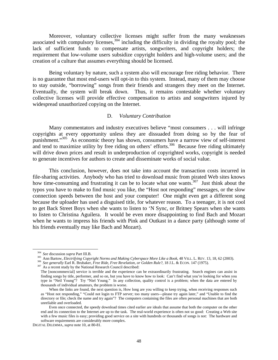Moreover, voluntary collective licenses might suffer from the many weaknesses associated with compulsory licenses,<sup>304</sup> including the difficulty in dividing the royalty pool; the lack of sufficient funds to compensate artists, songwriters, and copyright holders; the requirement that low-volume users subsidize copyright holders and high-volume users; and the creation of a culture that assumes everything should be licensed.

Being voluntary by nature, such a system also will encourage free riding behavior. There is no guarantee that most end-users will opt-in to this system. Instead, many of them may choose to stay outside, "borrowing" songs from their friends and strangers they meet on the Internet. Eventually, the system will break down. Thus, it remains contestable whether voluntary collective licenses will provide effective compensation to artists and songwriters injured by widespread unauthorized copying on the Internet.

### D. *Voluntary Contribution*

Many commentators and industry executives believe "most consumers . . . will infringe copyrights at every opportunity unless they are dissuaded from doing so by the fear of punishment."305 As economic theory has shown, consumers have a narrow view of self-interest and tend to maximize utility by free riding on others' efforts.<sup>306</sup> Because free riding ultimately will drive down prices and result in underproduction of copyrighted works, copyright is needed to generate incentives for authors to create and disseminate works of social value.

This conclusion, however, does not take into account the transaction costs incurred in file-sharing activities. Anybody who has tried to download music from pirated Web sites knows how time-consuming and frustrating it can be to locate what one wants.<sup>307</sup> Just think about the typos you have to make to find music you like, the "Host not responding" messages, or the slow connection speeds between the host and your computer! One might even get a different song because the uploader has used a disguised title, for whatever reason. To a teenager, it is not cool to get Back Street Boys when she wants to listen to 'N Sync, or Britney Spears when she wants to listen to Christina Aguilera. It would be even more disappointing to find Bach and Mozart when he wants to impress his friends with Pink and Outkast in a dance party (although some of his friends eventually may like Bach and Mozart).

<sup>&</sup>lt;sup>304</sup> See discussion *supra* Part III.B.<br><sup>305</sup> Ann Bartow, *Electrifying Copyright Norms and Making Cyberspace More Like a Book*, 48 VILL. L. REV. 13, 18, 62 (2003).<br><sup>306</sup> See generally Earl R. Brubaker, *Free Ride, Free* 

The [noncommercial] service is terrible and the experience can be extraordinarily frustrating. Search engines can assist in finding songs by title, performer, and so on, but you have to know how to look: Can't find what you're looking for when you type in "Neil Young"? Try "Niel Young." In any collection, quality control is a problem; when the data are entered by thousands of individual amateurs, the problem is worse.

When the links are found, the next question is, How long are you willing to keep trying, when receiving responses such as "Host not responding," "Could not login to FTP server; too many users—please try again later," and "Unable to find the directory or file; check the name and try again"? The computers containing the files are often personal machines that are both unreliable and overloaded.

Even once connected, the speedy download times cited earlier are ideals that assume that both the computer on the other end and its connection to the Internet are up to the task. The real-world experience is often not so good: Creating a Web site with a few music files is easy; providing good service on a site with hundreds or thousands of songs is not: The hardware and software requirements are considerably more complex.

DIGITAL DILEMMA, *supra* note 10, at 80-81.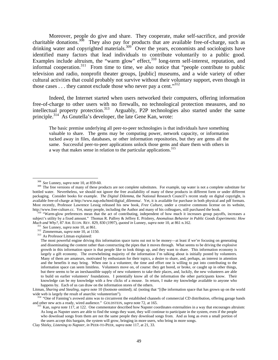Moreover, people do give and share. They cooperate, make self-sacrifice, and provide charitable donations.<sup>308</sup> They also pay for products that are available free-of-charge, such as drinking water and copyrighted materials.<sup>309</sup> Over the years, economists and sociologists have identified many factors that lead individuals to contribute voluntarily to a public good. Examples include altruism, the "warm glow" effect, $310$  long-term self-interest, reputation, and informal cooperation.<sup>311</sup> From time to time, we also notice that "people contribute to public television and radio, nonprofit theater groups, [public] museums, and a wide variety of other cultural activities that could probably not survive without their voluntary support, even though in those cases  $\dots$  they cannot exclude those who never pay a cent."<sup>312</sup>

Indeed, the Internet started when users networked their computers, offering information free-of-charge to other users with no firewalls, no technological protection measures, and no intellectual property protection.<sup>313</sup> Arguably, P2P technologies also started under the same principle.314 As Gnutella's developer, the late Gene Kan, wrote:

The basic premise underlying all peer-to-peer technologies is that individuals have something valuable to share. The gems may be computing power, network capacity, or information tucked away in files, databases, or other information repositories, but they are gems all the same. Successful peer-to-peer applications unlock those gems and share them with others in a way that makes sense in relation to the particular applications.<sup>315</sup>

<sup>&</sup>lt;sup>308</sup> *See* Lunney, *supra* note 10, at 859-60.<br><sup>309</sup> The free versions of many of these products are not complete substitutes. For example, tap water is not a complete substitute for bottled water. Nevertheless, we should not ignore the free availability of many of these products in different form or under different packaging. Consider books for example. *The Digital Dilemma*, the National Research Council's recent study on digital copyright, is available free-of-charge at http://www.nap.edu/html/digital\_dilemma/. Yet, it is available for purchase in both physical and pdf formats. Most recently, Professor Lawrence Lessig released his new book, *Free Culture*, under a creative commons license on its website, http://www.free-culture.cc. Yet, many people, including the Author and many of his colleagues, still purchased the book.<br><sup>310</sup> "Warm-glow preferences mean that the act of contributing, independent of how much it increases

subject's utility by a fixed amount." Thomas R. Palfrey & Jeffrey E. Prisbrey, *Anomalous Behavior in Public Goods Experiments: How*  Much and Why?, 87 AM. ECON. REV. 829, 830 (1997), quoted in Lunney, supra note 10, at 861 n.162.<br><sup>311</sup> See Lunney, supra note 10, at 861.<br><sup>312</sup> Zimmerman, supra note 10, at 1150.<br><sup>313</sup> As Professor Litman explained:

The most powerful engine driving this information space turns out not to be money—at least if we're focusing on generating and disseminating the content rather than constructing the pipes that it moves through. What seems to be driving the explosive growth in this information space is that people like to look things up, and they want to share. This information economy is largely a gift economy. The overwhelming majority of the information I'm talking about is initially posted by volunteers. Many of them are amateurs, motivated by enthusiasm for their topics, a desire to share, and, perhaps, an interest in attention and the benefits it may bring. When one is a volunteer, the time and effort one is willing to put into contributing to the information space can seem limitless. Volunteers move on, of course: they get bored, or broke, or caught up in other things, but there seems to be an inexhaustible supply of new volunteers to take their places, and, luckily, the new volunteers are able to build on earlier volunteers' foundations. I potentially know all of the information the other participants know. Their knowledge can be my knowledge with a few clicks of a mouse. In return, I make my knowledge available to anyone who happens by. Each of us can draw on the information stores of the others.

Litman, *Sharing and Stealing*, *supra* note 10 (footnote omitted); *id.* (noting that "[t]he information space that has grown up on the world

wide web is largely the result of anarchic volunteerism").<br><sup>314</sup> "One of Fanning's avowed aims was to circumvent the established channels of commercial CD distribution, offering garage bands<br>and other new acts a ready, wi

<sup>&</sup>lt;sup>15</sup> Kan, *supra* note 117, at 122. One commentator described how Napster coordinates externalities in a way that encourages altruism: As long as Napster users are able to find the songs they want, they will continue to participate in the system, even if the people who download songs from them are not the same people they download songs from. And as long as even a small portion of the users accept this bargain, the system will grow, bringing in more users, who bring in more songs.

Clay Shirky, *Listening to Napster, in* PEER-TO-PEER, *supra* note 117, at 21, 33.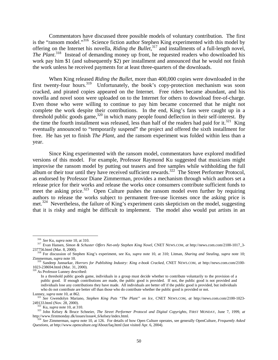Commentators have discussed three possible models of voluntary contribution. The first is the "ransom model."316 Science fiction author Stephen King experimented with this model by offering on the Internet his novella, *Riding the Bullet*, 317 and installments of a full-length novel, *The Plant*. 318 Instead of demanding money up front, he requested readers who downloaded his work pay him \$1 (and subsequently \$2) per installment and announced that he would not finish the work unless he received payments for at least three-quarters of the downloads.

When King released *Riding the Bullet*, more than 400,000 copies were downloaded in the first twenty-four hours.<sup>319</sup> Unfortunately, the book's copy-protection mechanism was soon cracked, and pirated copies appeared on the Internet. Free riders became abundant, and his novella and novel soon were uploaded on to the Internet for others to download free-of-charge. Even those who were willing to continue to pay him became concerned that he might not complete the work despite their contributions. In the end, King's fans were caught up in a threshold public goods game,<sup>320</sup> in which many people found deflection in their self-interest. By the time the fourth installment was released, less than half of the readers had paid for it.<sup>321</sup> King eventually announced to "temporarily suspend" the project and offered the sixth installment for free. He has yet to finish *The Plant*, and the ransom experiment was folded within less than a year.

Since King experimented with the ransom model, commentators have explored modified versions of this model. For example, Professor Raymond Ku suggested that musicians might improvise the ransom model by putting out teasers and free samples while withholding the full album or their tour until they have received sufficient rewards.<sup>322</sup> The Street Performer Protocol, as endorsed by Professor Diane Zimmerman, provides a mechanism through which authors set a release price for their works and release the works once consumers contribute sufficient funds to meet the asking price.<sup>323</sup> Open Culture pushes the ransom model even further by requiring authors to release the works subject to permanent free-use licenses once the asking price is met.<sup>324</sup> Nevertheless, the failure of King's experiment casts skepticism on the model, suggesting that it is risky and might be difficult to implement. The model also would put artists in an

<sup>316</sup> *See* Ku, *supra* note 10, at 310. 317 Evan Hansen, *Simon & Schuster Offers Net-only Stephen King Novel*, CNET NEWS.COM, *at* http://news.com.com/2100-1017\_3- 237756.html (Mar. 8, 2000). 318 For discussion of Stephen King's experiment, see Ku, *supra* note 10, at 310; Litman, *Sharing and Stealing*, *supra* note 10;

Zimmerman, *supra* note 10. 319 Sandeep Junnarkar, *Horrors for Publishing Industry: King e-book Cracked*, CNET NEWS.COM, *at* http://news.com.com/2100-

<sup>1023-238694.</sup>html (Mar. 31, 2000).

<sup>&</sup>lt;sup>320</sup> As Professor Lunney described:

In a threshold public goods game, individuals in a group must decide whether to contribute voluntarily to the provision of a public good. If enough contributions are made, the public good is provided. If not, the public good is not provided and individuals lose any contributions they have made. All individuals are better off if the public good is provided, but individuals who do not contribute are better off than those who do contribute whether the public good is provided or not.

Lunney, *supra* note 10, at 862.<br><sup>321</sup> *See* Gwendolyn Mariano, *Stephen King Puts "The Plant" on Ice*, CNET NEWS.COM, *at* http://news.com.com/2100-1023-<br>249133.html (Nov. 28, 2000).

<sup>&</sup>lt;sup>322</sup> Ku, *supra* note 10, at 310.<br><sup>323</sup> John Kelsey & Bruce Schneier, *The Street Performer Protocol and Digital Copyrights*, FIRST MONDAY, June 7, 1999, *at*<br>http://www.firstmonday.dk/issues/issue4\_6/kelsey/index.html.

<sup>&</sup>lt;sup>24</sup> See Zimmerman, *supra* note 10, at 126. For details of how Open Culture operates, see generally OpenCulture, *Frequently Asked Questions*, *at* http://www.openculture.org/About/faq.html (last visited Apr. 6, 2004).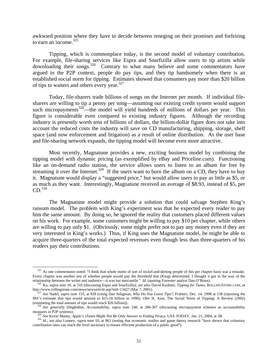awkward position where they have to decide between reneging on their promises and forfeiting to earn an income. $325$ 

Tipping, which is commonplace today, is the second model of voluntary contribution. For example, file-sharing services like Espra and Snarfizilla allow users to tip artists while downloading their songs.326 Contrary to what many believe and some commentators have argued in the P2P context, people do pay tips, and they tip handsomely when there is an established social norm for tipping. Estimates showed that consumers pay more than \$20 billion of tips to waiters and others every year.<sup>327</sup>

Today, file-sharers trade billions of songs on the Internet per month. If individual filesharers are willing to tip a penny per song—assuming our existing credit system would support such micropayments<sup>328</sup>—the model will yield hundreds of millions of dollars per year. This figure is considerable even compared to existing industry figures. Although the recording industry is presently worth tens of billions of dollars, the billion-dollar figure does not take into account the reduced costs the industry will save on CD manufacturing, shipping, storage, shelf space (and now enforcement and litigation) as a result of online distribution. As the user base and file-sharing network expands, the tipping model will become even more attractive.

Most recently, Magnatune provides a new, exciting business model by combining the tipping model with dynamic pricing (as exemplified by eBay and Priceline.com). Functioning like an on-demand radio station, the service allows users to listen to an album for free by streaming it over the Internet.<sup>329</sup> If the users want to burn the album on a CD, they have to buy it. Magnatune would display a "suggested price," but would allow users to pay as little as \$5, or as much as they want. Interestingly, Magnatune received an average of \$8.93, instead of \$5, per  $CD.<sup>330</sup>$ 

The Magnatune model might provide a solution that could salvage Stephen King's ransom model. The problem with King's experiment was that he expected every reader to pay him the same amount. By doing so, he ignored the reality that customers placed different values on his work. For example, some customers might be willing to pay \$10 per chapter, while others are willing to pay only \$1. (Obviously, some might prefer not to pay any money even if they are very interested in King's works.) Thus, if King uses the Magnatune model, he might be able to acquire three-quarters of the total expected revenues even though less than three-quarters of his readers pay their contributions.

<sup>&</sup>lt;sup>325</sup> As one commentator noted: "I think that whole motto of sort of nickel-and-diming people of this per chapter basis was a mistake. Every chapter was another test of whether people would pay the threshold that (King) determined. I thought it got in the way of the relationship between the writer and audience—it was too mercantile."  $Id$ . (quoting Forres

<sup>&</sup>lt;sup>326</sup> Ku, *supra* note 10, at 310 (discussing Espra and Snarfizilla); see also David Kushner, *Tipping for Tunes*, ROLLINGSTONE.COM, at http://www.rollingstone.com/news/newsarticle.asp?nid=13427 (Mar 7, 2001).

<sup>&</sup>lt;sup>27</sup> See Nadel, *supra* note 155, at 839 (citing Dan Seligman, *Why Do You Leave Tips?*, FORBES, Dec. 14, 1998 at 138 (reporting the IRS's estimate that tips would amount to \$15-18 billion in 1996); Ofer H. Azar, The Social Norm of Tipping: A Review (2002)

<sup>&</sup>lt;sup>328</sup> See generally Dingledine, *Accountability*, *supra* note 248, at 286-307 (discussing micropayment schemes as accountability measures in P2P systems).<br><sup>329</sup> See Kevin Maney, Apple's iTunes Might Not Be Only Answer to Ending Piracy, USA TODAY, Jan. 21, 2004, at 3B.<br><sup>330</sup> Id.; see also Lunney, supra note 10, at 863 (noting that economic studies an

contribution rates can reach the level necessary to ensure efficient production of a public good").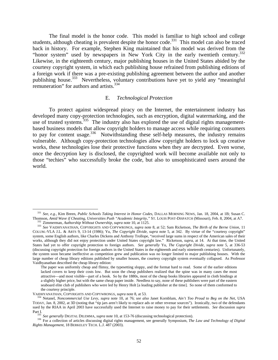The final model is the honor code. This model is familiar to high school and college students, although cheating is prevalent despite the honor code.<sup>331</sup> This model can also be traced back in history. For example, Stephen King maintained that his model was derived from the "honor system" used by newspapers in New York City in the early twentieth century. $332$ Likewise, in the eighteenth century, major publishing houses in the United States abided by the courtesy copyright system, in which each publishing house refrained from publishing editions of a foreign work if there was a pre-existing publishing agreement between the author and another publishing house.<sup>333</sup> Nevertheless, voluntary contributions have yet to yield any "meaningful remuneration" for authors and artists.<sup>334</sup>

### E. *Technological Protection*

To protect against widespread piracy on the Internet, the entertainment industry has developed many copy-protection technologies, such as encryption, digital watermarking, and the use of trusted systems.<sup>335</sup> The industry also has explored the use of digital rights managementbased business models that allow copyright holders to manage access while requiring consumers to pay for content usage.<sup>336</sup> Notwithstanding these self-help measures, the industry remains vulnerable. Although copy-protection technologies allow copyright holders to lock up creative works, these technologies lose their protective functions when they are decrypted. Even worse, once the decryption key is disclosed, the copyrighted work will become available not only to those "techies" who successfully broke the code, but also to unsophisticated users around the world.

 <sup>331</sup> *See, e.g.*, Kim Breen, *Public Schools Taking Interest in Honor Codes*, DALLAS MORNING NEWS, Jan. 18, 2004, at 1B; Susan C.

<sup>332</sup> Zimmerman, Authorship Without Ownership, supra note 10, at 1125.<br>333 See VAIDHYANATHAN, COPYRIGHTS AND COPYWRONGS, supra note 8, at 52; Sam Ricketson, *The Birth of the Berne Union*, 11 COLUM.-VLA J.L. & ARTS 9, 13-14 (1986); Yu, *The Copyright Divide*, *supra* note 5, at 342. By virtue of the "courtesy copyright" system, some English authors, like Charles Dickens and Anthony Trollope, "received large sums in respect of the American sales of their works, although they did not enjoy protection under United States copyright law." Ricketson, *supra*, at 14. At that time, the United States had yet to offer copyright protection to foreign authors. *See generally* Yu, *The Copyright Divide*, *supra* note 5, at 336-53 (discussing copyright protection for foreign authors in the United States in the eighteenth and early nineteenth centuries). Unfortunately, the system soon became ineffective as competition grew and publication was no longer limited to major publishing houses. With the large number of cheap library editions published by smaller houses, the courtesy copyright system eventually collapsed. As Professor Vaidhyanathan described the cheap library edition:

The paper was uniformly cheap and flimsy, the typesetting sloppy, and the format hard to read. Some of the earlier editions lacked covers to keep their costs low. But soon the cheap publishers realized that the spine was in many cases the most attractive—and most visible—part of a book. So by the 1880s, most of the cheap books libraries appeared in cloth bindings at a slightly higher price, but with the same cheap paper inside. Needless to say, none of these publishers were part of the eastern seaboard elite club of publishers who were led by Henry Holt [a leading publisher at the time]. So none of them conformed to the courtesy principle.<br>VAIDHYANATHAN, COPYRIGHTS AND COPYWRONGS, *supra* note 8, at 53.

<sup>&</sup>lt;sup>334</sup> Netanel, *Noncommercial Use Levy*, *supra* note 10, at 76; *see also Janet Kornblum, Ain't Too Proud to Beg on the Net*, USA TODAY, Jan. 8, 2002, at 3D (noting that "tip jars aren't likely to replace ads or other revenue sources"). Ironically, two of the defendants sued by the RIAA in April 2003 have successfully used the Internet to raise money to pay for their settlements. *See* discussion *supra*  Part I.<br><sup>335</sup> See generally DIGITAL DILEMMA, supra note 10, at 153-76 (discussing technological protection).<br><sup>336</sup> For a collection of articles discussing digital rights management, see generally Symposium, *The Law and Te* 

*Rights Management*, 18 BERKELEY TECH. L.J. 487 (2003).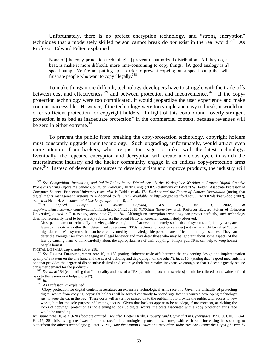Unfortunately, there is no prefect encryption technology, and "strong encryption" techniques that a moderately skilled person cannot break do *not* exist in the real world.337 As Professor Edward Felten explained:

None of [the copy-protection technologies] prevent unauthorized distribution. All they do, at best, is make it more difficult, more time-consuming to copy things. [A good analogy is a] speed bump. You're not putting up a barrier to prevent copying but a speed bump that will frustrate people who want to copy illegally.<sup>338</sup>

To make things more difficult, technology developers have to struggle with the trade-offs between cost and effectiveness<sup>339</sup> and between protection and inconvenience.<sup>340</sup> If the copyprotection technology were too complicated, it would jeopardize the user experience and make content inaccessible. However, if the technology were too simple and easy to break, it would not offer sufficient protection for copyright holders. In light of this conundrum, "overly stringent protection is as bad as inadequate protection" in the commercial context, because revenues will be zero in either extreme.<sup>341</sup>

To prevent the public from breaking the copy-protection technology, copyright holders must constantly upgrade their technology. Such upgrading, unfortunately, would attract even more attention from hackers, who are just too eager to tinker with the latest technology. Eventually, the repeated encryption and decryption will create a vicious cycle in which the entertainment industry and the hacker community engage in an endless copy-protection arms race.<sup>342</sup> Instead of devoting resources to develop artists and improve products, the industry will

consumer demand for the product").<br><sup>340</sup> *See id.* at 154 (contending that "the quality and cost of a TPS [technical protection services] should be tailored to the values of and risks to the resources it helps protect").

 <sup>337</sup> *See Competition, Innovation, and Public Policy in the Digital Age: Is the Marketplace Working to Protect Digital Creative Works?: Hearing Before the Senate Comm. on Judiciary*, 107th Cong. (2002) (testimony of Edward W. Felten, Associate Professor of Computer Science, Princeton University); *see also* P. Biddle et al., *The Darknet and the Future of Content Distribution* (noting that digital rights management systems "are doomed to failure"), *available at* http://crypto.stanford.edu/DRM2002/darknet5.doc (2002), *quoted in* Netanel, *Noncommercial Use Levy*, *supra* note 10, at 10.<br><sup>338</sup> *A* "*Speed Bump" vs. Music Copying*, BUS. WK., Jan. 9, 2002,

http://www.businessweek.com/bwdaily/dnflash/jan2002/nf2002019\_7170.htm (interview with Professor Edward Felten of Princeton University), *quoted in* GOLDSTEIN, *supra* note 72, at 184. Although no encryption technology can protect perfectly, such technology does not necessarily need to be perfectly robust. As the recent National Research Council study observed:

Most people are not technically knowledgeable enough to defeat even moderately sophisticated systems and, in any case, are law-abiding citizens rather than determined adversaries. TPSs [technical protection services] with what might be called "curbhigh deterrence"—systems that can be circumvented by a knowledgeable person—are sufficient in many instances. They can deter the average user from engaging in illegal behavior and may deter those who may be ignorant about some aspects of the law by causing them to think carefully about the appropriateness of their copying. Simply put, TPSs can help to keep honest people honest.

DIGITAL DILEMMA, *supra* note 10, at 218. 339 *See* DIGITAL DILEMMA, *supra* note 10, at 153 (noting "inherent trade-offs between the engineering design and implementation quality of a system on the one hand and the cost of building and deploying it on the other"); *id.* at 164 (stating that "a good mechanism is one that provides the degree of disincentive desired to discourage theft but remains inexpensive enough so that it doesn't greatly reduce

 $\frac{841}{341}$  *Id.* 342 As Professor Ku explained: [C]opy protection for digital content necessitates an expensive technological arms race . . . Given the difficulty of protecting digital works from copying, copyright holders will be forced constantly to spend significant resources developing technology just to keep the cat in the bag. These costs will in turn be passed on to the public, not to provide the public with access to new works, but for the sole purpose of limiting access. Given that hackers appear to be as adept, if not more so, at picking the locks of copyright protection as those trying to lock up digital works, the costs associated with a copy protection arms race would be unending.

Ku, *supra* note 10, at 319-20 (footnote omitted); *see also* Trotter Hardy, *Property (and Copyright) in Cyberspace*, 1996 U. CHI. LEGAL F. 217, 251 (discussing the "wasteful 'arms race' of technological-protection schemes, with each side increasing its spending to outperform the other's technology"); Peter K. Yu, *How the Motion Picture and Recording Industries Are Losing the Copyright War by*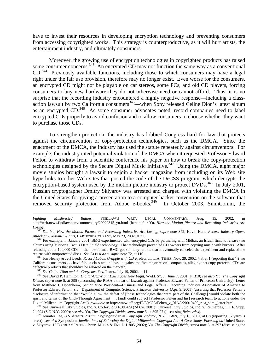have to invest their resources in developing encryption technology and preventing consumers from accessing copyrighted works. This strategy is counterproductive, as it will hurt artists, the entertainment industry, and ultimately consumers.

Moreover, the growing use of encryption technologies in copyrighted products has raised some consumer concerns.<sup>343</sup> An encrypted CD may not function the same way as a conventional CD.<sup>344</sup> Previously available functions, including those to which consumers may have a legal right under the fair use provision, therefore may no longer exist. Even worse for the consumers, an encrypted CD might not be playable on car stereos, some PCs, and old CD players, forcing consumers to buy new hardware they do not otherwise need or cannot afford. Thus, it is no surprise that the recording industry encountered a highly negative response—including a classaction lawsuit by two California consumers<sup>345</sup>—when Sony released Celine Dion's latest album as an encrypted  $CD$ <sup>346</sup>. As some consumer advocates noted, record companies need to label encrypted CDs properly to avoid confusion and to allow consumers to choose whether they want to purchase those CDs.

To strengthen protection, the industry has lobbied Congress hard for law that protects against the circumvention of copy-protection technologies, such as the DMCA. Since the enactment of the DMCA, the industry has used the statute repeatedly against circumventors. For example, the industry cited potential violation of the DMCA when it requested Professor Edward Felton to withdraw from a scientific conference his paper on how to break the copy-protection technologies designed by the Secure Digital Music Initiative.<sup>347</sup> Using the DMCA, eight major movie studios brought a lawsuit to enjoin a hacker magazine from including on its Web site hyperlinks to other Web sites that posted the code of the DeCSS program, which decrypts the encryption-based system used by the motion picture industry to protect DVDs.<sup>348</sup> In July 2001, Russian cryptographer Dmitry Sklyarov was arrested and charged with violating the DMCA in the United States for giving a presentation to a computer hacker convention on the software that removed security protection from Adobe e-books.<sup>349</sup> In October 2003, SunnComm, the

<u>.</u>

*Fighting Misdirected Battles*, FINDLAW'S WRIT: LEGAL COMMENTARY, Aug. 15, 2002, *at*  http://writ.news.findlaw.com/commentary/20020815\_yu.html [hereinafter Yu, *How the Motion Picture and Recording Industries Are* 

*Losing*]. 343 *See* Yu, *How the Motion Picture and Recording Industries Are Losing*, *supra* note 342; Kevin Hunt, *Record Industry Opens Attack on Consumer Rights*, HARTFORD COURANT, May 23, 2002, at 21. 344 For example, in January 2001, BMG experimented with encrypted CDs by partnering with Midbar, an Israeli firm, to release two

albums using Midbar's Cactus Data Shield technology. That technology prevented CD owners from copying music with burners. After releasing about 100,000 CDs in the new format, BMG got so many returns that it eventually canceled the experiment and replaced the returns with nonprotected discs. *See* ALDERMAN, *supra* note 72, at 110. 345 Jon Healey & Jeff Leeds, *Record Labels Grapple with CD Protection*, L.A. TIMES, Nov. 29, 2002, § 3, at 1 (reporting that "[t]wo

California consumers . . . have filed a class-action lawsuit against the five major record companies, alleging that copy-protected CDs are defective products that shouldn't be allowed on the market").<br><sup>346</sup> See Celine Dion and the Copycats, FIN. TIMES, July 19, 2002, at 11.<br><sup>347</sup> See David P. Hamilton, Digital-Copyright Law Faces New Fight, WALL ST. J., June

*Divide*, *supra* note 5, at 395 (discussing the RIAA's threat of lawsuit against Professor Edward Felten of Princeton University); Letter from Matthew J. Oppenheim, Senior Vice President—Business and Legal Affairs, Recording Industry Association of America to Professor Edward Felton [sic], Department of Computer Science, Princeton University (Apr. 9, 2001) (asserting that Professor Felten's disclosure of information that "would allow the defeat of [those technologies that were part of the Challenge] would violate both the spirit and terms of the Click-Through Agreement . . . [and] could subject [Professor Felten and his] research team to actions under the Digital Millennium Copyright Act"), *available at* http://www.eff.org/IP/DMCA/Felten\_v

<sup>&</sup>lt;sup>348</sup> See Universal City Studios, Inc. v. Corley, 273 F.3d 429 (2d Cir. 2001); Universal City Studios, Inc. v. Reimerdes, 111 F. Supp. 2d 294 (S.D.N.Y. 2000); see also Yu, The Copyright Divide, supra note 5, at 395-97 (dis

<sup>&</sup>lt;sup>349</sup> Jennifer Lee, U.S. Arrests Russian Cryptographer as Copyright Violator, N.Y. TIMES, July 18, 2001, at C8 (reporting Sklyarov's arrest); *see also* Symposium, *Implications of Enforcing the Digital Millennium Copyright Act: A Case Study, Focusing on* United States v. Sklyarov, 12 FORDHAM INTELL. PROP. MEDIA & ENT. L.J. 805 (2002); Yu, *The Copyright Divide*, *supra* note 5, at 397 (discussing the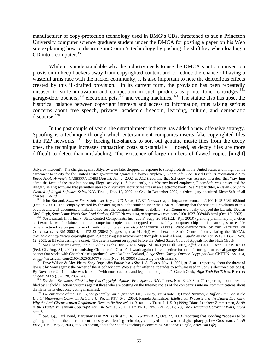manufacturer of copy-protection technology used in BMG's CDs, threatened to sue a Princeton University computer science graduate student under the DMCA for posting a paper on his Web site explaining how to disarm SunnComm's technology by pushing the shift key when loading a CD into a computer.<sup>350</sup>

While it is understandable why the industry needs to use the DMCA's anticircumvention provision to keep hackers away from copyrighted content and to reduce the chance of having a wasteful arms race with the hacker community, it is also important to note the deleterious effects created by this ill-drafted provision. In its current form, the provision has been repeatedly misused to stifle innovation and competition in such products as printer-toner cartridges,<sup>351</sup> garage-door openers,  $352$  electronic pets,  $353$  and voting machines.  $354$  The statute also has upset the historical balance between copyright interests and access to information, thus raising serious concerns about free speech, privacy, academic freedom, learning, culture, and democratic discourse.<sup>355</sup>

In the past couple of years, the entertainment industry has added a new offensive strategy. Spoofing is a technique through which entertainment companies inserts fake copyrighted files into P2P networks.<sup>356</sup> By forcing file-sharers to sort out genuine music files from the decoy ones, the technique increases transaction costs substantially. Indeed, as decoy files are more difficult to detect than mislabeling, "the existence of large numbers of flawed copies [might]

Sklyarov incident). The charges against Sklyarov were later dropped in response to strong protests in the United States and in light of his agreement to testify for the United States government against his former employer, ElcomSoft. *See* David Frith, *A Promotion a Day Keeps Apple A-weigh*, CANBERRA TIMES (Austl.), Jan. 7, 2002, at A12 (reporting that Sklyarov was released in a deal that "saw him admit the facts of the case but not any illegal activity"). Subsequently, his Moscow-based employer, ElcomSoft, was prosecuted for illegally selling software that permitted users to circumvent security features in an electronic book. *See* Matt Richtel, *Russian Company Cleared of Illegal Software Sales*, N.Y. TIMES, Dec. 18, 2002, at C4. In December 2002, a federal jury acquitted ElcomSoft of all

charges. *See id*. 350 John Borland, *Student Faces Suit over Key to CD Locks*, CNET NEWS.COM, *at* http://news.com.com/2100-1025-5089168.html (Oct. 9, 2003). The company reacted by threatening to sue the student under the DMCA, claiming that the student's revelation of this obvious and well-documented limitation had cost the company millions of dollars. SunnComm eventually dropped the lawsuit. Declan McCullagh, SunnComm Won't Sue Grad Student, CNET NEWS.COM, at http://news.com.com/2100-1027-5

<sup>&</sup>lt;sup>351</sup> See Lexmark Int'l, Inc. v. Static Control Components, Inc., 253 F. Supp. 2d 943 (E.D. Ky., 2003) (granting preliminary injunction to Lexmark, which claimed that its competitor copied the encrypted code used by computer chips in its cartridges to enable remanufactured cartridges to work with its printers); *see also* MARYBETH PETERS, RECOMMENDATION OF THE REGISTER OF COPYRIGHTS IN RM 2002-4, at 172-83 (2003) (suggesting that §1201(f) would exempt Static Control from violating the DMCA), *available at* http://www.copyright.gov/1201/docs/registers-recommendation.pdf; Frank Ahrens, *Caught by the Act*, WASH. POST, Nov.

See Chamberlain Group, Inc. v. Skylink Techs., Inc., 292 F. Supp. 2d 1040 (N.D. Ill. 2003), aff d, 2004 U.S. App. LEXIS 18513 (Fed. Cir. Aug. 31, 2004) (dismissing Chamberlain Group's lawsuit against its competitor for manufacturing a universal garage-door opener that works with Chamberlain's products); *see also* John Borland, *Judge Shuts Garage Opener Copyright Suit*, CNET NEWS.COM, *at* http://news.com.com/2100-1025-5107779.html (Nov. 14, 2003) (discussing the dismissal).

<sup>353</sup> Dave Wilson & Alex Pham, *Sony Dogs Aibo Enthusiast's Site*, L.A. TIMES, Nov. 1, 2001, pt. 3, at 1 (reporting about the threat of lawsuit by Sony against the owner of the Aibohack.com Web site for offering upgrades to software used in Sony's electronic pet dogs). By November 2001, the site was back up "with more cautions and legal mumbo jumbo." Gareth Cook, *High-Tech Pet Tricks*, BOSTON GLOBE (MAG.), Jan. 20, 2002, at 8. 354 *See* John Schwartz, *File Sharing Pits Copyright Against Free Speech*, N.Y. TIMES, Nov. 3, 2003, at C1 (reporting about lawsuits

filed by Diebold Election Systems against those who are posting on the Internet copies of the company's internal communications about the flaws in its electronic voting machines).

<sup>&</sup>lt;sup>355</sup> For criticisms of the DMCA, see generally Liu, *supra* note 146; Lunney, *supra* note 10; David Nimmer, *A Riff on Fair Use in the Digital Millennium Copyright Act*, 148 U. PA. L. REV. 673 (2000); Pamela Samuelson, *Intellectual Property and the Digital Economy: Why the Anti-Circumvention Regulations Need to Be Revised*, 14 BERKELEY TECH. L.J. 519 (1999); Diane Leenheer Zimmerman, *Adrift in the Digital Millennium Copyright Act: The Sequel*, 26 U. DAYTON L. REV. 279 (2001); Yu, *The Escalating Copyright Wars*, *supra*  note 7. 356 *See, e.g.*, Paul Bond, *Mercenaries in P2P Tech War*, HOLLYWOOD REP., Oct. 22, 2003 (reporting that spoofing "appears to be

gaining traction in the entertainment industry as a leading technology employed in the war on digital piracy"); Lev Grossman, *It's All Free!*, TIME, May 5, 2003, at 60 (reporting about the spoofing technique concerning Madonna's single, *American Life*).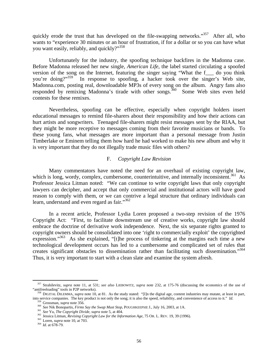quickly erode the trust that has developed on the file-swapping networks."<sup>357</sup> After all, who wants to "experience 30 minutes or an hour of frustration, if for a dollar or so you can have what you want easily, reliably, and quickly?"<sup>358</sup>

Unfortunately for the industry, the spoofing technique backfires in the Madonna case. Before Madonna released her new single, *American Life*, the label started circulating a spoofed version of the song on the Internet, featuring the singer saying "What the f\_\_\_ do you think you're doing?"359 In response to spoofing, a hacker took over the singer's Web site, Madonna.com, posting real, downloadable MP3s of every song on the album. Angry fans also responded by remixing Madonna's tirade with other songs.<sup>360</sup> Some Web sites even held contests for these remixes.

Nevertheless, spoofing can be effective, especially when copyright holders insert educational messages to remind file-sharers about their responsibility and how their actions can hurt artists and songwriters. Teenaged file-sharers might resist messages sent by the RIAA, but they might be more receptive to messages coming from their favorite musicians or bands. To these young fans, what messages are more important than a personal message from Justin Timberlake or Eminem telling them how hard he had worked to make his new album and why it is very important that they do not illegally trade music files with others?

# F. *Copyright Law Revision*

Many commentators have noted the need for an overhaul of existing copyright law, which is long, wordy, complex, cumbersome, counterintuitive, and internally inconsistent.<sup>361</sup> As Professor Jessica Litman noted: "We can continue to write copyright laws that only copyright lawyers can decipher, and accept that only commercial and institutional actors will have good reason to comply with them, or we can contrive a legal structure that ordinary individuals can learn, understand and even regard as fair."<sup>362</sup>

In a recent article, Professor Lydia Loren proposed a two-step revision of the 1976 Copyright Act: "First, to facilitate downstream use of creative works, copyright law should embrace the doctrine of derivative work independence. Next, the six separate rights granted to copyright owners should be consolidated into one 'right to commercially exploit' the copyrighted expression."<sup>363</sup> As she explained, "[t]he process of tinkering at the margins each time a new technological development occurs has led to a cumbersome and complicated set of rules that creates significant obstacles to dissemination rather than facilitating such dissemination."364 Thus, it is very important to start with a clean slate and examine the system afresh.

<sup>&</sup>lt;sup>357</sup> Strahilevitz, *supra* note 11, at 531; *see also* LIEBOWITZ, *supra* note 232, at 175-76 (discussing the economics of the use of "antifreeloading" tools in P2P networks).

<sup>&</sup>lt;sup>358</sup> DIGITAL DILEMMA, *supra* note 10, at 81. As the study stated: "[I]n the digital age, content industries may mutate, at least in part, into service companies. The key product is not only the song; it is also the speed

<sup>&</sup>lt;sup>359</sup> Grossman, *supra* note 356.<br><sup>360</sup> See Nik Bonopartis, *Firms Say the Swap Must Stop*, POUGHKEEPSIE J., July 16, 2003, at 1A.<br><sup>361</sup> See Yu, *The Copyright Divide*, *supra* note 5, at 404.<br><sup>362</sup> Jessica Litman, *Revis*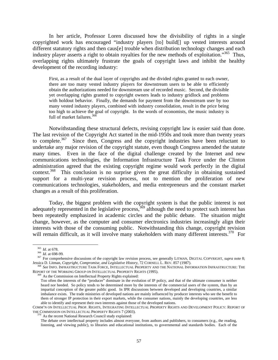In her article, Professor Loren discussed how the divisibility of rights in a single copyrighted work has encouraged "industry players [to] build[] up vested interests around different statutory rights and then caus[e] trouble when distribution technology changes and each industry player asserts a right to obtain royalties for the new methods of exploitation."<sup>365</sup> Thus, overlapping rights ultimately frustrate the goals of copyright laws and inhibit the healthy development of the recording industry:

First, as a result of the dual layer of copyrights and the divided rights granted to each owner, there are too many vested industry players for downstream users to be able to efficiently obtain the authorizations needed for downstream use of recorded music. Second, the divisible yet overlapping rights granted to copyright owners leads to industry gridlock and problems with holdout behavior. Finally, the demands for payment from the downstream user by too many vested industry players, combined with industry consolidation, result in the price being too high to achieve the goal of copyright. In the words of economists, the music industry is full of market failures. $36$ 

Notwithstanding these structural defects, revising copyright law is easier said than done. The last revision of the Copyright Act started in the mid-1950s and took more than twenty years to complete. $367$  Since then, Congress and the copyright industries have been reluctant to undertake any major revision of the copyright statute, even though Congress amended the statute many times. Even in the face of the digital challenge created by the Internet and new communications technologies, the Information Infrastructure Task Force under the Clinton administration agreed that the existing copyright regime would work perfectly in the digital context.<sup>368</sup> This conclusion is no surprise given the great difficulty in obtaining sustained support for a multi-year revision process, not to mention the proliferation of new communications technologies, stakeholders, and media entrepreneurs and the constant market changes as a result of this proliferation.

Today, the biggest problem with the copyright system is that the public interest is not adequately represented in the legislative process,  $369$  although the need to protect such interest has been repeatedly emphasized in academic circles and the public debate. The situation might change, however, as the computer and consumer electronics industries increasingly align their interests with those of the consuming public. Notwithstanding this change, copyright revision will remain difficult, as it will involve many stakeholders with many different interests.<sup>370</sup> For

<sup>&</sup>lt;sup>365</sup> *Id.* at 678.<br><sup>366</sup> *Id.* at 698-99.<br><sup>367</sup> For comprehensive discussions of the copyright law revision process, see generally LITMAN, DIGITAL COPYRIGHT, *supra* note 8; Jessica D. Litman, *Copyright, Compromise, and Legislative History*, 72 CORNELL L. REV. 857 (1987). <sup>368</sup> *See* INFO. INFRASTRUCTURE TASK FORCE, INTELLECTUAL PROPERTY AND THE NATIONAL INFORMATION INFRASTRUCTURE: THE

REPORT OF THE WORKING GROUP ON INTELLECTUAL PROPERTY RIGHTS (1995).<br><sup>369</sup> As the Commission on Intellectual Property Rights explained:

Too often the interests of the "producer" dominate in the evolution of IP policy, and that of the ultimate consumer is neither heard nor heeded. So policy tends to be determined more by the interests of the commercial users of the system, than by an impartial conception of the greater public good. In IPR discussions between developed and developing countries, a similar imbalance exists. The trade ministries of developed nations are mainly influenced by producer interests who see the benefit to them of stronger IP protection in their export markets, while the consumer nations, mainly the developing countries, are less able to identify and represent their own interests against those of the developed nations.

COMM'N ON INTELLECTUAL PROP. RIGHTS, INTEGRATING INTELLECTUAL PROPERTY RIGHTS AND DEVELOPMENT POLICY: REPORT OF THE COMMISSION ON INTELLECTUAL PROPERTY RIGHTS 7 (2003).<br><sup>370</sup> As the recent National Research Council study explained:

The debate over intellectual property includes almost everyone, from authors and publishers, to consumers (e.g., the reading, listening, and viewing public), to libraries and educational institutions, to governmental and standards bodies. Each of the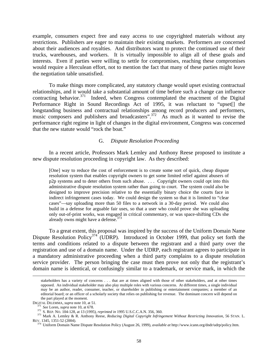example, consumers expect free and easy access to use copyrighted materials without any restrictions. Publishers are eager to maintain their existing markets. Performers are concerned about their audiences and royalties. And distributors want to protect the continued use of their trucks, warehouses, and workers. It is virtually impossible to align all of these goals and interests. Even if parties were willing to settle for compromises, reaching these compromises would require a Herculean effort, not to mention the fact that many of these parties might leave the negotiation table unsatisfied.

To make things more complicated, any statutory change would upset existing contractual relationships, and it would take a substantial amount of time before such a change can influence contracting behavior. $371$  Indeed, when Congress contemplated the enactment of the Digital Performance Right in Sound Recordings Act of 1995, it was reluctant to "upset[] the longstanding business and contractual relationships among record producers and performers, music composers and publishers and broadcasters".<sup>372</sup> As much as it wanted to revise the performance right regime in light of changes in the digital environment, Congress was concerned that the new statute would "rock the boat."

# G. *Dispute Resolution Proceeding*

In a recent article, Professors Mark Lemley and Anthony Reese proposed to institute a new dispute resolution proceeding in copyright law. As they described:

[One] way to reduce the cost of enforcement is to create some sort of quick, cheap dispute resolution system that enables copyright owners to get some limited relief against abusers of p2p systems and to deter others from such abuse. . . . Copyright owners could opt into this administrative dispute resolution system rather than going to court. The system could also be designed to improve precision relative to the essentially binary choice the courts face in indirect infringement cases today. We could design the system so that it is limited to "clear cases"—say uploading more than 50 files to a network in a 30-day period. We could also build in a defense for arguable fair uses, so that a user who could prove she was uploading only out-of-print works, was engaged in critical commentary, or was space-shifting CDs she already owns might have a defense.<sup>373</sup>

To a great extent, this proposal was inspired by the success of the Uniform Domain Name Dispute Resolution Policy<sup>374</sup> (UDRP). Introduced in October 1999, that policy set forth the terms and conditions related to a dispute between the registrant and a third party over the registration and use of a domain name. Under the UDRP, each registrant agrees to participate in a mandatory administrative proceeding when a third party complains to a dispute resolution service provider. The person bringing the case must then prove not only that the registrant's domain name is identical, or confusingly similar to a trademark, or service mark, in which the

stakeholders has a variety of concerns . . . that are at times aligned with those of other stakeholders, and at other times opposed. An individual stakeholder may also play multiple roles with various concerns. At different times, a single individual may be an author, reader, consumer, teacher, or shareholder in publishing or entertainment companies; a member of an editorial board; or an officer of a scholarly society that relies on publishing for revenue. The dominant concern will depend on the part played at the moment.<br>DIGITAL DILEMMA, *supra* note 10, at 51.

 $\frac{371}{372}$  See Loren, supra note 10, at 678.<br> $\frac{372}{372}$  S. REP. NO. 104-128, at 13 (1995), reprinted in 1995 U.S.C.C.A.N. 356, 360.<br> $\frac{372}{373}$  Mark A. Lemley & R. Anthony Reese, *Reducing Digital Copyright Infrin* REV. 1345, 1351-52 (2004).

<sup>374</sup> Uniform Domain Name Dispute Resolution Policy (August 26, 1999), *available at* http://www.icann.org/dndr/udrp/policy.htm.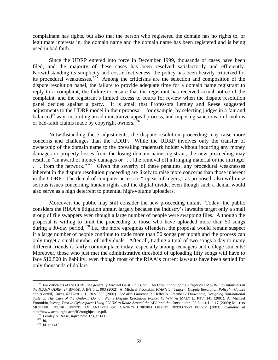complainant has rights, but also that the person who registered the domain has no rights to, or legitimate interests in, the domain name and the domain name has been registered and is being used in bad faith.

Since the UDRP entered into force in December 1999, thousands of cases have been filed, and the majority of these cases has been resolved satisfactorily and efficiently. Notwithstanding its simplicity and cost-effectiveness, the policy has been heavily criticized for its procedural weaknesses.375 Among the criticisms are the selection and composition of the dispute resolution panel, the failure to provide adequate time for a domain name registrant to reply to a complaint, the failure to ensure that the registrant has received actual notice of the complaint, and the registrant's limited access to courts for review when the dispute resolution panel decides against a party. It is small that Professors Lemley and Reese suggested adjustments to the UDRP model in their proposal—for example, by selecting judges in a fair and balanced® way, instituting an administrative appeal process, and imposing sanctions on frivolous or bad-faith claims made by copyright owners.<sup>376</sup>

Notwithstanding these adjustments, the dispute resolution proceeding may raise more concerns and challenges than the UDRP. While the UDRP involves only the transfer of ownership of the domain name to the prevailing trademark holder without incurring any money damages or property losses from the losing domain name registrant, the new proceeding may result in "an award of money damages or . . . [the removal of] infringing material or the infringer  $\ldots$  from the network."<sup>377</sup> Given the severity of these penalties, any procedural weaknesses inherent in the dispute resolution proceeding are likely to raise more concerns than those inherent in the UDRP. The denial of computer access to "repeat infringers," as proposed, also will raise serious issues concerning human rights and the digital divide, even though such a denial would also serve as a high deterrent to potential high-volume uploaders.

Moreover, the public may still consider the new proceeding unfair. Today, the public considers the RIAA's litigation unfair, largely because the industry's lawsuits target only a small group of file swappers even though a large number of people were swapping files. Although the proposal is willing to limit the proceeding to those who have uploaded more than 50 songs during a 30-day period,  $378$  i.e., the more egregious offenders, the proposal would remain suspect if a large number of people continue to trade more than 50 songs per month and the process can only target a small number of individuals. After all, trading a total of two songs a day to many different friends is fairly commonplace today, especially among teenagers and college students! Moreover, those who just met the administrative threshold of uploading fifty songs will have to face \$12,500 in liability, even though most of the RIAA's current lawsuits have been settled for only thousands of dollars.

 <sup>375</sup> For criticisms of the UDRP, see generally Michael Geist, *Fair.Com?: An Examination of the Allegations of Systemic Unfairness in the ICANN UDRP*, 27 BROOK. J. INT'L L. 903 (2002); A. Michael Froomkin, *ICANN's "Uniform Dispute Resolution Policy"—Causes and (Partial) Cures*, 67 BROOK. L. REV. 605 (2002). *See also* Laurence R. Helfer & Graeme B. Dinwoodie, *Designing Non-national Systems: The Case of the Uniform Domain Name Dispute Resolution Policy*, 43 WM. & MARY L. REV. 141 (2001); A. Michael Froomkin, *Wrong Turn in Cyberspace: Using ICANN to Route Around the APA and the Constitution*, 50 DUKE L.J. 17 (2000); MILTON MUELLER, ROUGH JUSTICE: AN ANALYSIS OF ICANN'S UNIFORM DISPUTE RESOLUTION POLICY (2003), *available at* 

http://www.acm.org/usacm/IG/roughjustice.pdf. 376 Lemley & Reese, *supra* note 373, at 1412. 377 *Id*. 378 *Id*. at 1413.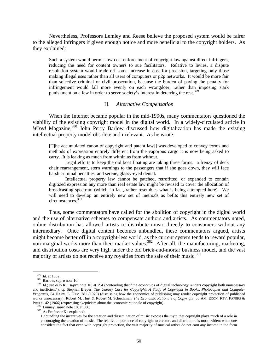Nevertheless, Professors Lemley and Reese believe the proposed system would be fairer to the alleged infringers if given enough notice and more beneficial to the copyright holders. As they explained:

Such a system would permit low-cost enforcement of copyright law against direct infringers, reducing the need for content owners to sue facilitators. Relative to levies, a dispute resolution system would trade off some increase in cost for precision, targeting only those making illegal uses rather than all users of computers or p2p networks. It would be more fair than selective criminal or civil prosecution, because the burden of paying the penalty for infringement would fall more evenly on each wrongdoer, rather than imposing stark punishment on a few in order to serve society's interest in deterring the rest.<sup>379</sup>

#### H. *Alternative Compensation*

When the Internet became popular in the mid-1990s, many commentators questioned the viability of the existing copyright model in the digital world. In a widely-circulated article in *Wired* Magazine,<sup>380</sup> John Perry Barlow discussed how digitalization has made the existing intellectual property model obsolete and irrelevant. As he wrote:

[T]he accumulated canon of copyright and patent law[] was developed to convey forms and methods of expression entirely different from the vaporous cargo it is now being asked to carry. It is leaking as much from within as from without.

Legal efforts to keep the old boat floating are taking three forms: a frenzy of deck chair rearrangement, stern warnings to the passengers that if she goes down, they will face harsh criminal penalties, and serene, glassy-eyed denial.

Intellectual property law cannot be patched, retrofitted, or expanded to contain digitized expression any more than real estate law might be revised to cover the allocation of broadcasting spectrum (which, in fact, rather resembles what is being attempted here). We will need to develop an entirely new set of methods as befits this entirely new set of circumstances.381

Thus, some commentators have called for the abolition of copyright in the digital world and the use of alternative schemes to compensate authors and artists. As commentators noted, online distribution has allowed artists to distribute music directly to consumers without any intermediary. Once digital content becomes unbundled, these commentators argued, artists might become better off in a copyright-less world, as the current system tends to reward popular, non-marginal works more than their market values.<sup>382</sup> After all, the manufacturing, marketing, and distribution costs are very high under the old brick-and-mortar business model, and the vast majority of artists do not receive any royalties from the sale of their music.<sup>383</sup>

<sup>&</sup>lt;sup>379</sup> *Id.* at 1352.<br><sup>380</sup> Barlow, *supra* note 10.<br><sup>381</sup> *Id.*; *see also* Ku, *supra* note 10, at 294 (contending that "the economics of digital technology renders copyright both unnecessary and inefficient"); *cf*. Stephen Breyer, *The Uneasy Case for Copyright: A Study of Copyright in Books, Photocopies and Computer Programs*, 84 HARV. L. REV. 281 (1970) (discussing how the economics of publishing may render copyright protection of published works unnecessary); Robert M. Hurt & Robert M. Schuchman, *The Economic Rationale of Copyright*, 56 AM. ECON. REV. PAPERS & PROCS. 42 (1966) (expressing skepticism about the economic rationale of copyright). 382 Lunney, *supra* note 10, at 886. 383 As Professor Ku explained:

Unbundling the incentives for the creation and dissemination of music exposes the myth that copyright plays much of a role in encouraging the creation of music. The relative importance of copyright to creators and distributors is most evident when one considers the fact that even with copyright protection, the vast majority of musical artists do not earn any income in the form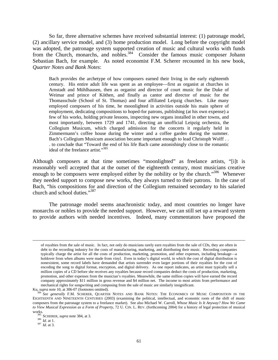So far, three alternative schemes have received substantial interest: (1) patronage model, (2) ancillary service model, and (3) home production model. Long before the copyright model was adopted, the patronage system supported creation of music and cultural works with funds from the Church, monarchs, and nobles.<sup>384</sup> Consider the famous music composer Johann Sebastian Bach, for example. As noted economist F.M. Scherer recounted in his new book, *Quarter Notes and Bank Notes*:

Bach provides the archetype of how composers earned their living in the early eighteenth century. His entire adult life was spent as an employee—first as organist at churches in Arnstadt and Mühlhausen, then as organist and director of court music for the Duke of Weimar and prince of Köthen, and finally as cantor and director of music for the Thomasschule (School of St. Thomas) and four affiliated Leipzig churches. Like many employed composers of his time, he moonlighted in activities outside his main sphere of employment, dedicating compositions to hoped-for patrons, publishing (at his own expense) a few of his works, holding private lessons, inspecting new organs installed in other towns, and most importantly, between 1729 and 1741, directing an unofficial Leipzig orchestra, the Collegium Musicum, which charged admission for the concerts it regularly held in Zimmermann's coffee house during the winter and a coffee garden during the summer. Bach's Collegium Musicum association became important enough to lead Christoph Wolff . . . to conclude that "Toward the end of his life Bach came astonishingly close to the romantic ideal of the freelance artist."<sup>385</sup>

Although composers at that time sometimes "moonlighted" as freelance artists, "[i]t is reasonably well accepted that at the outset of the eighteenth century, most musicians creative enough to be composers were employed either by the nobility or by the church."<sup>386</sup> Whenever they needed support to compose new works, they always turned to their patrons. In the case of Bach, "his compositions for and direction of the Collegium remained secondary to his salaried church and school duties."<sup>387</sup>

The patronage model seems anachronistic today, and most countries no longer have monarchs or nobles to provide the needed support. However, we can still set up a reward system to provide authors with needed incentives. Indeed, many commentators have proposed the

of royalties from the sale of music. In fact, not only do musicians rarely earn royalties from the sale of CDs, they are often in debt to the recording industry for the costs of manufacturing, marketing, and distributing their music. Recording companies typically charge the artist for all the costs of production, marketing, promotion, and other expenses, including breakage—a holdover from when albums were made from vinyl. Even in today's digital world, in which the cost of digital distribution is nonexistent, some record labels have demanded that artists surrender even larger portions of their royalties for the cost of encoding the song to digital format, encryption, and digital delivery. As one report indicates, an artist must typically sell a million copies of a CD before she receives any royalties because record companies deduct the costs of production, marketing, promotion, and other expenses from the musician's royalties. Meanwhile, the same million copies will have earned the record company approximately \$11 million in gross revenue and \$4 million net. The income to most artists from performance and mechanical rights for songwriting and composing from the sale of music are similarly insignificant.<br>Ku. *supra* note 10. at 306-07 (footnotes omitted).

<sup>&</sup>lt;sup>884</sup> See generally F.M. SCHERER, QUARTER NOTES AND BANK NOTES: THE ECONOMICS OF MUSIC COMPOSITION IN THE EIGHTEENTH AND NINETEENTH CENTURIES (2003) (examining the political, intellectual, and economic roots of the shift of music composers from the patronage system to a freelance market). See also Michael W. Carroll, *Whose Music Is It Anyway? How We Came to View Musical Expression as a Form of Property*, 72 U. CIN. L. REV. (forthcoming 2004) for a history of legal protection of musical

works. 385 SCHERER, *supra* note 384, at 3. 386 *Id*. at 1. 387 *Id*. at 3.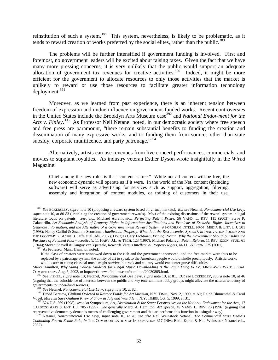reinstitution of such a system.<sup>388</sup> This system, nevertheless, is likely to be problematic, as it tends to reward creation of works preferred by the social elites, rather than the public.<sup>389</sup>

The problems will be further intensified if government funding is involved. First and foremost, no government leaders will be excited about raising taxes. Given the fact that we have many more pressing concerns, it is very unlikely that the public would support an adequate allocation of government tax revenues for creative activities.390 Indeed, it might be more efficient for the government to allocate resources to only those activities that the market is unlikely to reward or use those resources to facilitate greater information technology deployment. $391$ 

Moreover, as we learned from past experience, there is an inherent tension between freedom of expression and undue influence on government-funded works. Recent controversies in the United States include the Brooklyn Arts Museum case<sup>392</sup> and *National Endowment for the Arts v. Finley*. 393 As Professor Neil Netanel noted, in our democratic society where free speech and free press are paramount, "there remain substantial benefits to funding the creation and dissemination of many expressive works, and to funding them from sources other than state subsidy, corporate munificence, and party patronage."<sup>394</sup>

Alternatively, artists can use revenues from live concert performances, commercials, and movies to supplant royalties. As industry veteran Esther Dyson wrote insightfully in the *Wired*  Magazine:

Chief among the new rules is that "content is free." While not all content will be free, the new economic dynamic will operate as if it were. In the world of the Net, content (including software) will serve as advertising for services such as support, aggregation, filtering, assembly and integration of content modules, or training of customers in their use.

 <sup>388</sup> *See* ECKERSLEY, *supra* note 10 (proposing a reward system based on virtual markets). *But see* Netanel, *Noncommercial Use Levy*, *supra* note 10, at 80-83 (criticizing the creation of government rewards). Most of the existing discussions of the reward system in legal literature focus on patents. *See, e.g.*, Michael Abramowicz, *Perfecting Patent Prizes*, 56 VAND. L. REV. 115 (2003); Steve P. Calandrillo, *An Economic Analysis of Property Rights in Information: Justifications and Problems of Exclusive Rights, Incentives to Generate Information, and the Alternative of a Government-run Reward System*, 9 FORDHAM INTELL. PROP. MEDIA & ENT. L.J. 301 (1998); Nancy Gallini & Suzanne Scotchmer, *Intellectual Property: When Is It the Best Incentive System?*, *in* INNOVATION POLICY AND THE ECONOMY 2 (Adam B. Jaffe et al. eds, 2002); Douglas Gary Lichtman, *Pricing Prozac: Why the Government Should Subsidize the Purchase of Patented Pharmaceuticals*, 11 HARV. J.L. & TECH. 123 (1997); Michael Polanvyi, *Patent Reform*, 11 REV. ECON. STUD. 61 (1944); Steven Shavell & Tanguy van Ypersele, *Rewards Versus Intellectual Property Rights*, 44 J.L. & ECON. 525 (2001). 389 As Professor Marci Hamilton noted:

If the class of creators were winnowed down to the rich and the government-sponsored, and the free market were thus to be replaced by a patronage system, the ability of art to speak to the American people would dwindle precipitously. Artistic works would cater to elites; classical music might survive, but rock and country would encounter grave difficulties.

Marci Hamilton, *Why Suing College Students for Illegal Music Downloading Is the Right Thing to Do*, FINDLAW'S WRIT: LEGAL COMMENTARY, Aug. 5, 2003, *at* http://writ.news.findlaw.com/hamilton/20030805.html.

See FISHER, supra note 10; Netanel, Noncommercial Use Levy, supra note 10, at 81. But see ECKERSLEY, supra note 10, at 46 (arguing that the coincidence of interests between the public and key entertainment lobby groups might alleviate the natural tendency of

<sup>&</sup>lt;sup>391</sup> See Netanel, *Noncommercial Use Levy*, *supra* note 10, at 82.<br><sup>392</sup> David Barstow, *Giuliani Ordered to Restore Funds for Art Museum*, N.Y. TIMES, Nov. 2, 1999, at A1; Ralph Blumenthal & Carol Vogel, *Museum Says Gi* 

<sup>524</sup> U.S. 569 (1998); see also Symposium, Art, Distribution & the State: Perspectives on the National Endowment for the Arts, 17 CARDOZO ARTS & ENT. L.J. 705 (1999). *See generally* Marci A. Hamilton, *Art Speech*, 49 VAND. L. REV. 73 (1996) (arguing that representative democracy demands means of challenging government and that art performs this function in a singular way).<br><sup>394</sup> Netanel, *Noncommercial Use Levy, supra* note 10, at 76; see also Neil Weinstock Netanel, *The* 

*Continuing Fourth Estate Role*, *in* THE COMMODIFICATION OF INFORMATION 317 (Niva Elkin-Koren & Neil Weinstock Netanel eds., 2002).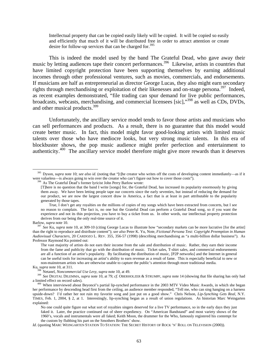Intellectual property that can be copied easily likely will be copied. It will be copied so easily and efficiently that much of it will be distributed free in order to attract attention or create desire for follow-up services that can be charged for.<sup>395</sup>

This is indeed the model used by the band The Grateful Dead, who gave away their music by letting audiences tape their concert performances.<sup>396</sup> Likewise, artists in countries that have limited copyright protection have been supporting themselves by earning additional incomes through other professional ventures, such as movies, commercials, and endorsements. If musicians are half as entrepreneurial as director George Lucas, they also might earn secondary rights through merchandising or exploitation of their likenesses and on-stage persona.<sup>397</sup> Indeed, as recent examples demonstrated, "file trading can spur demand for live public performances, broadcasts, webcasts, merchandising, and commercial licensees [sic],"398 as well as CDs, DVDs, and other musical products.399

Unfortunately, the ancillary service model tends to favor those artists and musicians who can sell performances and products. As a result, there is no guarantee that this model would create better music. In fact, this model might favor good-looking artists with limited music talents over those who have mediocre looks, but very strong music talents. In this era of blockbuster shows, the pop music audience might prefer perfection and entertainment to authenticity.400 The ancillary service model therefore might give more rewards than it deserves

 <sup>395</sup> Dyson, *supra* note 10; *see also id*. (noting that "[t]he creator who writes off the costs of developing content immediately—as if it were valueless—is always going to win over the creator who can't figure out how to cover those costs"). <sup>396</sup> As The Grateful Dead's former lyricist John Perry Barlow wrote:

<sup>[</sup>T]here is no question that the band I write [songs] for, the Grateful Dead, has increased its popularity enormously by giving them away. We have been letting people tape our concerts since the early seventies, but instead of reducing the demand for our product, we are now the largest concert draw in America, a fact that is at least in part attributable to the popularity generated by those tapes.

True, I don't get any royalties on the millions of copies of my songs which have been extracted from concerts, but I see no reason to complain. The fact is, no one but the Grateful Dead can perform a Grateful Dead song, so if you want the experience and not its thin projection, you have to buy a ticket from us. In other words, our intellectual property protection derives from our being the only real-time source of it.

Barlow, *supra* note 10.<br><sup>397</sup> *See* Ku, *supra* note 10, at 309-10 (citing George Lucas to illustrate how "secondary markets can be more lucrative [for the artist] than the right to reproduce and distribute content"); *see also* Peter K. Yu, Note, *Fictional Persona Test: Copyright Preemption in Human Audiovisual Characters*, 20 CARDOZO L. REV. 355, 356-57 (1998) (describing merchandising as "a multi-billion dollar business"). As Professor Raymond Ku pointed out:

The vast majority of artists do not earn their income from the sale and distribution of music. Rather, they earn their income from the fame and publicity that go with the distribution of music. Ticket sales, T-shirt sales, and commercial endorsements are all a function of an artist's popularity. By facilitating the distribution of music, [P2P networks] and the Internet in general can be useful tools for increasing an artist's ability to earn revenue as a result of fame. This is especially beneficial to new or non-mainstream artists who are otherwise unable to capture the public's attention through more traditional media.

Ku, *supra* note 10, at 311.<br><sup>398</sup> Netanel, *Noncommercial Use Levy*, *supra* note 10, at 49.<br><sup>399</sup> See DIGITAL DILEMMA, *supra* note 10, at 79; *cf.* OBERHOLZER & STRUMPF, *supra* note 14 (showing that file sharing has on a limited effect on record sales).<br><sup>400</sup> When interviewed about Beyoncé's partial lip-synched performance in the 2003 MTV Video Music Awards, in which she began

her performance by descending head first from the ceiling, an audience member responded, "Tell me, who can sing hanging on a harness upside-down? I'd rather her not ruin my favorite song and just put on a good show." Chris Nelson, *Lip-Synching Gets Real*, N.Y. TIMES, Feb. 1, 2004, § 2, at 1. Interestingly, lip-synching began as a result of union regulations. As historian Marc Weingarten explained:

No one could quite figure out what sort of royalties singers deserved for a live TV performance, so in the early days they just faked it. Later, the practice continued out of sheer expediency. On "American Bandstand" and most variety shows of the 1960's, vocals and instrumentals were all faked; Keith Moon, the drummer for the Who, famously registered his contempt for the custom by flubbing his part on the Smothers Brothers' show.

*Id.* (quoting MARC WEINGARTEN STATION TO STATION: THE SECRET HISTORY OF ROCK 'N' ROLL ON TELEVISION (2000)).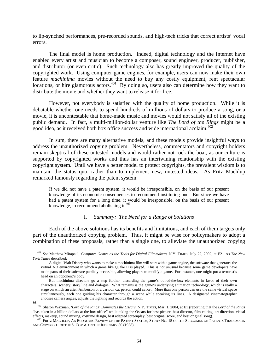to lip-synched performances, pre-recorded sounds, and high-tech tricks that correct artists' vocal errors.

The final model is home production. Indeed, digital technology and the Internet have enabled every artist and musician to become a composer, sound engineer, producer, publisher, and distributor (or even critic). Such technology also has greatly improved the quality of the copyrighted work. Using computer game engines, for example, users can now make their own feature *machinima* movies without the need to buy any costly equipment, rent spectacular locations, or hire glamorous actors.<sup>401</sup> By doing so, users also can determine how they want to distribute the movie and whether they want to release it for free.

However, not everybody is satisfied with the quality of home production. While it is debatable whether one needs to spend hundreds of millions of dollars to produce a song, or a movie, it is uncontestable that home-made music and movies would not satisfy all of the existing public demand. In fact, a multi-million-dollar venture like *The Lord of the Rings* might be a good idea, as it received both box office success and wide international acclaim.<sup>402</sup>

In sum, there are many alternative models, and these models provide insightful ways to address the unauthorized copying problem. Nevertheless, commentators and copyright holders remain skeptical of these untested models and would rather not rock the boat, as our culture is supported by copyrighted works and thus has an intertwining relationship with the existing copyright system. Until we have a better model to protect copyrights, the prevalent wisdom is to maintain the status quo, rather than to implement new, untested ideas. As Fritz Machlup remarked famously regarding the patent system:

If we did not have a patent system, it would be irresponsible, on the basis of our present knowledge of its economic consequences to recommend instituting one. But since we have had a patent system for a long time, it would be irresponsible, on the basis of our present knowledge, to recommend abolishing it. $403$ 

## I. *Summary: The Need for a Range of Solutions*

Each of the above solutions has its benefits and limitations, and each of them targets only part of the unauthorized copying problem. Thus, it might be wise for policymakers to adopt a combination of these proposals, rather than a single one, to alleviate the unauthorized copying

 <sup>401</sup> *See* Matthew Mirapaul, *Computer Games as the Tools for Digital Filmmakers*, N.Y. TIMES, July 22, 2002, at E2. As *The New York Times* described:

A digital Walt Disney who wants to make a machinima film will start with a game engine, the software that generates the virtual 3-D environment in which a game like Quake II is played. This is not unusual because some game developers have made parts of their software publicly accessible, allowing players to modify a game. For instance, one might put a terrorist's head on an opponent's body.

But machinima directors go a step further, discarding the game's out-of-the-box elements in favor of their own characters, scenery, story line and dialogue. What remains is the game's underlying animation technology, which is really a stage on which an alien Amberson or a cartoon cat person could cavort. More than one person can use the same virtual space simultaneously, each one guiding his character through a scene while speaking its lines. A designated cinematographer chooses camera angles, adjusts the lighting and records the action.

*Id*.

<sup>402</sup> Sharon Waxman, *'Lord of the Rings' Dominates the Oscars*, N.Y. TIMES, Mar. 1, 2004, at E1 (reporting that the *Lord of the Rings* "has taken in a billion dollars at the box office" while taking the Oscars for best picture, best director, film editing, art direction, visual effects, makeup, sound mixing, costume design, best adapted screenplay, best original score, and best original song).<br><sup>403</sup> FRITZ MACHLUP, AN ECONOMIC REVIEW OF THE PATENT SYSTEM, STUDY NO. 15 OF THE SUBCOMM. ON PATENTS TR

AND COPYRIGHT OF THE S. COMM. ON THE JUDICIARY 80 (1958).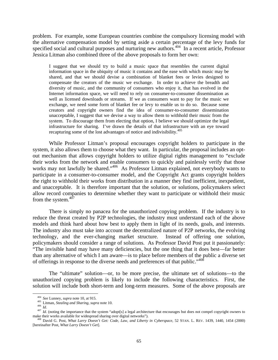problem. For example, some European countries combine the compulsory licensing model with the alternative compensation model by setting aside a certain percentage of the levy funds for specified social and cultural purposes and nurturing new authors.<sup>404</sup> In a recent article, Professor Jessica Litman also combined three of the above proposals to form her own:

I suggest that we should try to build a music space that resembles the current digital information space in the ubiquity of music it contains and the ease with which music may be shared, and that we should devise a combination of blanket fees or levies designed to compensate the creators of the music we exchange. In order to achieve the breadth and diversity of music, and the community of consumers who enjoy it, that has evolved in the Internet information space, we will need to rely on consumer-to-consumer dissemination as well as licensed downloads or streams. If we as consumers want to pay for the music we exchange, we need some form of blanket fee or levy to enable us to do so. Because some creators and copyright owners find the idea of consumer-to-consumer dissemination unacceptable, I suggest that we devise a way to allow them to withhold their music from the system. To discourage them from electing that option, I believe we should optimize the legal infrastructure for sharing. I've drawn the details of that infrastructure with an eye toward recapturing some of the lost advantages of notice and indivisibility.<sup>405</sup>

While Professor Litman's proposal encourages copyright holders to participate in the system, it also allows them to choose what they want. In particular, the proposal includes an optout mechanism that allows copyright holders to utilize digital rights management to "exclude their works from the network and enable consumers to quickly and painlessly verify that those works may not lawfully be shared."<sup>406</sup> As Professor Litman explained, not everybody wants to participate in a consumer-to-consumer model, and the Copyright Act grants copyright holders the right to withhold their works from distribution in a manner they find inefficient, inexpedient, and unacceptable. It is therefore important that the solution, or solutions, policymakers select allow record companies to determine whether they want to participate or withhold their music from the system.<sup>407</sup>

There is simply no panacea for the unauthorized copying problem. If the industry is to reduce the threat created by P2P technologies, the industry must understand each of the above models and think hard about how best to apply them in light of its needs, goals, and interests. The industry also must take into account the decentralized nature of P2P networks, the evolving technology, and the ever-changing market structure. Instead of offering one solution, policymakers should consider a range of solutions. As Professor David Post put it passionately: "The invisible hand may have many deficiencies, but the one thing that it does best—far better than any alternative of which I am aware—is to place before members of the public a diverse set of offerings in response to the diverse needs and preferences of that public."<sup>408</sup>

The "ultimate" solution—or, to be more precise, the ultimate set of solutions—to the unauthorized copying problem is likely to include the following characteristics. First, the solution will include both short-term and long-term measures. Some of the above proposals are

<sup>&</sup>lt;sup>404</sup> See Lunney, *supra* note 10, at 915.<br><sup>405</sup> Litman, *Stealing and Sharing*, *supra* note 10.<br><sup>406</sup> *Id.*<br><sup>407</sup> *Id.* (noting the importance that the system "adopt[s] a legal architecture that encourages but does not

<sup>&</sup>lt;sup>408</sup> David G. Post, *What Larry Doesn't Get: Code, Law, and Liberty in Cyberspace*, 52 STAN. L. REV. 1439, 1440, 1454 (2000) [hereinafter Post, *What Larry Doesn't Get*].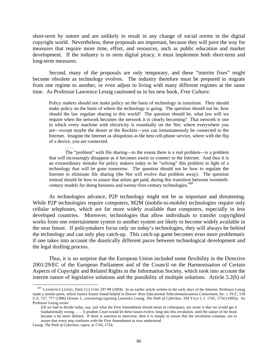short-term by nature and are unlikely to result in any change of social norms in the digital copyright world. Nevertheless, these proposals are important, because they will pave the way for measures that require more time, effort, and resources, such as public education and market development. If the industry is to stem digital piracy, it must implement both short-term and long-term measures.

Second, many of the proposals are only temporary, and these "interim fixes" might become obsolete as technology evolves. The industry therefore must be prepared to migrate from one regime to another, or even adjust to living with many different regimes at the same time. As Professor Lawrence Lessig cautioned us in his new book, *Free Culture*:

Policy makers should not make policy on the basis of technology in transition. They should make policy on the basis of where the technology is going. The question should not be, how should the law regulate sharing in this world? The question should be, what law will we require when the network becomes the network it is clearly becoming? That network is one in which every machine with electricity is essentially on the Net; where everywhere you are—except maybe the desert or the Rockies—you can instantaneously be connected to the Internet. Imagine the Internet as ubiquitous as the best cell-phone service, where with the flip of a device, you are connected.

 The "problem" with file sharing—to the extent there is a real problem—is a problem that will increasingly disappear as it becomes easier to connect to the Internet. And thus it is an extraordinary mistake for policy makers today to be "solving" this problem in light of a technology that will be gone tomorrow. The question should not be how to regulate the Internet to eliminate file sharing (the Net will evolve that problem away). The question instead should be how to assure that artists get paid, during this transition between twentiethcentury models for doing business and twenty-first-century technologies.<sup>409</sup>

As technologies advance, P2P technology might not be as important and threatening. While P2P technologies require computers, M2M (mobile-to-mobile) technologies require only cellular telephones, which are far more widely available than computers, especially in less developed countries. Moreover, technologies that allow individuals to transfer copyrighted works from one entertainment system to another system are likely to become widely available in the near future. If policymakers focus only on today's technologies, they will always be behind the technology and can only play catch-up. This catch-up game becomes even more problematic if one takes into account the drastically different paces between technological development and the legal drafting process.

Thus, it is no surprise that the European Union included some flexibility in the Directive 2001/29/EC of the European Parliament and of the Council on the Harmonisation of Certain Aspects of Copyright and Related Rights in the Information Society, which took into account the interim nature of legislative solutions and the possibility of multiple solutions. Article 5.2(b) of

. . . .

<sup>&</sup>lt;sup>409</sup> LAWRENCE LESSIG, FREE CULTURE 297-99 (2004). In an earlier article written in the early days of the Internet, Professor Lessig made a similar point, which Justice Souter found helpful in *Denver Area Educational Telecommunications Consortium, Inc. v. FCC*, 518 U.S. 727, 777 (1996) (Souter J., concurring) (quoting Lawrence Lessig. *The Path of Cyberlaw*, 104 YALE L.J. 1743, 1754 (1995)). As Professor Lessig wrote:

<sup>[</sup>I]f we had to decide today, say, just what the First Amendment should mean in cyberspace, my sense is that we would get it fundamentally wrong. . . . A prudent Court would let these issues evolve, long into this revolution, until the nature of the beast became a bit more defined. If there is sanction to intervene, then it is simply to assure that the revolution continue, not to assure that every step conforms with the First Amendment as now understood.

Lessig. *The Path of Cyberlaw*, *supra*, at 1745, 1754.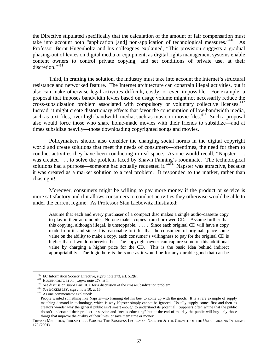the Directive stipulated specifically that the calculation of the amount of fair compensation must take into account both "application [and] non-application of technological measures."<sup>410</sup> As Professor Bernt Hugenholtz and his colleagues explained, "This provision suggests a gradual phasing-out of levies on digital media or equipment, as digital rights management systems enable content owners to control private copying, and set conditions of private use, at their discretion."411

Third, in crafting the solution, the industry must take into account the Internet's structural resistance and networked feature. The Internet architecture can constrain illegal activities, but it also can make otherwise legal activities difficult, costly, or even impossible. For example, a proposal that imposes bandwidth levies based on usage volume might not necessarily reduce the cross-subsidization problem associated with compulsory or voluntary collective licenses.412 Instead, it might create distortionary effects that favor the consumption of low-bandwidth media, such as text files, over high-bandwidth media, such as music or movie files.<sup>413</sup> Such a proposal also would force those who share home-made movies with their friends to subsidize—and at times subsidize heavily—those downloading copyrighted songs and movies.

Policymakers should also consider the changing social norms in the digital copyright world and create solutions that meet the needs of consumers—oftentimes, the need for them to conduct activities they have been conducting in real space. As one would recall, "Napster . . . was created . . . to solve the problem faced by Shawn Fanning's roommate. The technological solutions had a purpose—someone had actually requested it."<sup>414</sup> Napster was attractive, because it was created as a market solution to a real problem. It responded to the market, rather than chasing it!

Moreover, consumers might be willing to pay more money if the product or service is more satisfactory and if it allows consumers to conduct activities they otherwise would be able to under the current regime. As Professor Stan Liebowitz illustrated:

Assume that each and every purchaser of a compact disc makes a single audio-cassette copy to play in their automobile. No one makes copies from borrowed CDs. Assume further that this copying, although illegal, is unstoppable. . . . . Since each original CD will have a copy made from it, and since it is reasonable to infer that the consumers of originals place some value on the ability to make a copy, each consumer's willingness to pay for the original CD is higher than it would otherwise be. The copyright owner can capture some of this additional value by charging a higher price for the CD. This is the basic idea behind indirect appropriability. The logic here is the same as it would be for any durable good that can be

<sup>&</sup>lt;sup>410</sup> EC Information Society Directive, *supra* note 273, art. 5.2(b).<br><sup>411</sup> HUGENHOLTZ ET AL., *supra* note 273, at ii.<br><sup>412</sup> See discussion *supra* Part III.A for a discussion of the cross-subsidization problem.<br><sup>413</sup> S

People wanted something like Napster—so Fanning did his best to come up with the goods. It is a rare example of supply matching demand in technology, which is why Napster simply cannot be ignored. Usually supply comes first and then its creators wonder why the general public isn't smart enough to understand its potential. Suppliers often whine that the public doesn't understand their product or service and "needs educating" but at the end of the day the public will buy only those things that improve the quality of their lives, or save them time or money.

TREVOR MERRIDEN, IRRESISTIBLE FORCES: THE BUSINESS LEGACY OF NAPSTER & THE GROWTH OF THE UNDERGROUND INTERNET 170 (2001).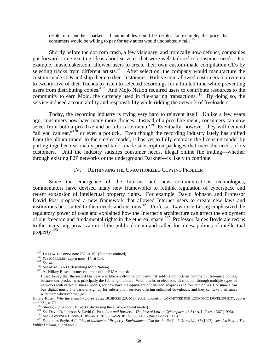resold into another market. If automobiles could be resold, for example, the price that consumers would be willing to pay for new autos would undoubtedly fall.<sup>415</sup>

Shortly before the dot-com crash, a few visionary, and ironically now-defunct, companies put forward some exciting ideas about services that were well tailored to consumer needs. For example, musicmaker.com allowed users to create their own custom-made compilation CDs by selecting tracks from different artists.<sup>416</sup> After selection, the company would manufacture the custom-made CDs and ship them to their customers. Hithive.com allowed customers to invite up to twenty-five of their friends to listen to selected recordings for a limited time while preventing users from distributing copies.<sup>417</sup> And Mojo Nation required users to contribute resources to the community to earn Mojo, the currency used in file-sharing transactions.<sup>418</sup> By doing so, the service induced accountability and responsibility while ridding the network of freeloaders.

Today, the recording industry is trying very hard to reinvent itself. Unlike a few years ago, consumers now have many more choices. Instead of a prix-fixe menu, consumers can now select from both a prix-fixe and an à la carte menu.<sup>419</sup> Eventually, however, they will demand "all you can eat,"<sup>420</sup> or even a potluck. Even though the recording industry lately has shifted from the album model to the singles model, it has yet to fully embrace the licensing model by putting together reasonably-priced tailor-made subscription packages that meet the needs of its customers. Until the industry satisfies consumer needs, illegal online file trading—whether through existing P2P networks or the underground Darknet—is likely to continue.

# IV. RETHINKING THE UNAUTHORIZED COPYING PROBLEM

Since the emergence of the Internet and new communications technologies, commentators have devised many new frameworks to rethink regulation of cyberspace and recent expansion of intellectual property rights. For example, David Johnson and Professor David Post proposed a new framework that allowed Internet users to create new laws and institutions best suited to their needs and customs.<sup>421</sup> Professor Lawrence Lessig emphasized the regulatory power of code and explained how the Internet's architecture can affect the enjoyment of our freedom and fundamental rights in the ethereal space.<sup>422</sup> Professor James Boyle alerted us to the increasing privatization of the public domain and called for a new politics of intellectual property.423

<sup>&</sup>lt;sup>415</sup> LIEBOWITZ, *supra* note 232, at 151 (footnote omitted).<br><sup>416</sup> *See* MERRIDEN, *supra* note 414, at 114.<br><sup>417</sup> *See id.* at 138-39 (describing Mojo Nation).<br><sup>419</sup> As Hillary Rosen, former chairman of the RIAA, noted:

I used to say that the record business was like a soft-drink company that sold its products in nothing but 64-ounce bottles, because our product was principally the full-length album. Well, thanks to electronic distribution through multiple types of networks with varied business models, we now have the equivalent of cans and six-packs and fountain drinks. Consumers can buy digital music à la carte or sign up for subscription services offering unlimited downloads, and they can take their tunes with them wherever they go.

Hillary Rosen, *Why the Industry Loves Tech*, BUSINESS 2.0, May 2003, *quoted in* COMMITTEE FOR ECONOMIC DEVELOPMENT, *supra*

<sup>&</sup>lt;sup>420</sup> Shirky, *supra* note 315, at 33 (discussing the all-you-can-eat model).<br><sup>421</sup> See David R. Johnson & David G. Post, *Law and Borders—The Rise of Law in Cyberspace*, 48 STAN. L. REV. 1367 (1996).<br><sup>422</sup> See LAWRENCE L *Public Domain*, *supra* note 8.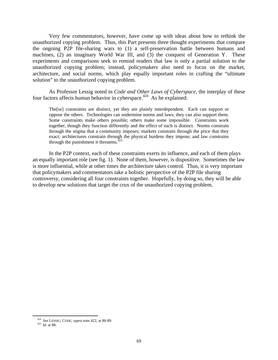Very few commentators, however, have come up with ideas about how to rethink the unauthorized copying problem. Thus, this Part presents three thought experiments that compare the ongoing P2P file-sharing wars to (1) a self-preservation battle between humans and machines, (2) an imaginary World War III, and (3) the conquest of Generation Y. These experiments and comparisons seek to remind readers that law is only a partial solution to the unauthorized copying problem; instead, policymakers also need to focus on the market, architecture, and social norms, which play equally important roles in crafting the "ultimate solution" to the unauthorized copying problem.

As Professor Lessig noted in *Code and Other Laws of Cyberspace*, the interplay of these four factors affects human behavior in cyberspace.<sup>424</sup> As he explained:

The[se] constraints are distinct, yet they are plainly interdependent. Each can support or oppose the others. Technologies can undermine norms and laws; they can also support them. Some constraints make others possible; others make some impossible. Constraints work together, though they function differently and the effect of each is distinct. Norms constrain through the stigma that a community imposes; markets constrain through the price that they exact; architectures constrain through the physical burdens they impose; and law constrains through the punishment it threatens.<sup>425</sup>

In the P2P context, each of these constraints exerts its influence, and each of them plays an equally important role (see fig. 1). None of them, however, is dispositive. Sometimes the law is more influential, while at other times the architecture takes control. Thus, it is very important that policymakers and commentators take a holistic perspective of the P2P file sharing controversy, considering all four constraints together. Hopefully, by doing so, they will be able to develop new solutions that target the crux of the unauthorized copying problem.

<sup>424</sup> *See* LESSIG, CODE, *supra* note 422, at 86-89. 425 *Id*. at 88.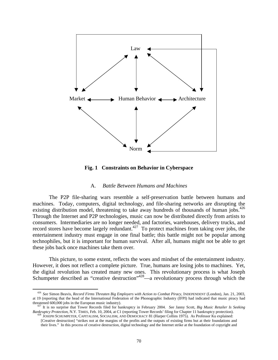

**Fig. 1 Constraints on Behavior in Cyberspace** 

#### A. *Battle Between Humans and Machines*

The P2P file-sharing wars resemble a self-preservation battle between humans and machines. Today, computers, digital technology, and file-sharing networks are disrupting the existing distribution model, threatening to take away hundreds of thousands of human jobs. $426$ Through the Internet and P2P technologies, music can now be distributed directly from artists to consumers. Intermediaries are no longer needed, and factories, warehouses, delivery trucks, and record stores have become largely redundant.<sup>427</sup> To protect machines from taking over jobs, the entertainment industry must engage in one final battle; this battle might not be popular among technophiles, but it is important for human survival. After all, humans might not be able to get these jobs back once machines take them over.

This picture, to some extent, reflects the woes and mindset of the entertainment industry. However, it does not reflect a complete picture. True, humans are losing jobs to machines. Yet, the digital revolution has created many new ones. This revolutionary process is what Joseph Schumpeter described as "creative destruction"<sup>428</sup>—a revolutionary process through which the

 <sup>426</sup> *See* Simon Beavis, *Record Firms Threaten Big Employers with Action to Combat Piracy*, INDEPENDENT (London), Jan. 21, 2003, at 19 (reporting that the head of the International Federation of the Phonographic Industry (IFPI) had indicated that music piracy had threatened 600,000 jobs in the European music industry).

<sup>&</sup>lt;sup>427</sup> It is no surprise that Tower Records filed for bankruptcy in February 2004. *See Janny Scott, Big Music Retailer Is Seeking Bankruptcy Protection, N.Y. TIMES, Feb. 10, 2004, at C1 (reporting Tower Records' filing for* 

<sup>428</sup> JOSEPH SCHUMPETER, CAPITALISM, SOCIALISM, AND DEMOCRACY 81 (Harper Collins 1975). As Professor Ku explained: [Creative destruction] "strikes not at the margins of the profits and the outputs of existing firms but at their foundations and their lives." In this process of creative destruction, digital technology and the Internet strike at the foundation of copyright and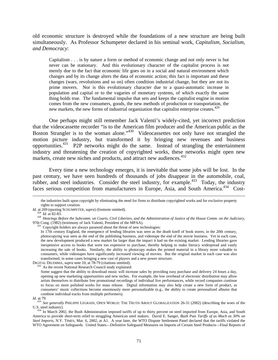old economic structure is destroyed while the foundations of a new structure are being built simultaneously. As Professor Schumpeter declared in his seminal work, *Capitalism, Socialism, and Democracy*:

Capitalism . . . is by nature a form or method of economic change and not only never is but never can be stationary. And this evolutionary character of the capitalist process is not merely due to the fact that economic life goes on in a social and natural environment which changes and by its change alters the data of economic action; this fact is important and these changes (wars, revolutions and so on) often condition industrial change, but they are not its prime movers. Nor is this evolutionary character due to a quasi-automatic increase in population and capital or to the vagaries of monetary systems, of which exactly the same thing holds true. The fundamental impulse that sets and keeps the capitalist engine in motion comes from the new consumers, goods, the new methods of production or transportation, the new markets, the new forms of industrial organization that capitalist enterprise creates.<sup>429</sup>

One perhaps might still remember Jack Valenti's widely-cited, yet incorrect prediction that the videocassette recorder "is to the American film producer and the American public as the Boston Strangler is to the woman alone."<sup>430</sup> Videocassettes not only have not strangled the motion picture industry, but transformed it by bringing new revenues and business opportunities.431 P2P networks might do the same. Instead of strangling the entertainment industry and threatening the creation of copyrighted works, these networks might open new markets, create new niches and products, and attract new audiences.<sup>432</sup>

Every time a new technology emerges, it is inevitable that some jobs will be lost. In the past century, we have seen hundreds of thousands of jobs disappear in the automobile, coal, rubber, and steel industries. Consider the steel industry, for example.<sup>433</sup> Today, the industry faces serious competition from manufacturers in Europe, Asia, and South America.<sup>434</sup> Cost-

 the industries built upon copyright by eliminating the need for firms to distribute copyrighted works and for exclusive property rights to support creation.<br>Id. at 269 (quoting SCHUMPETER, *supra*) (footnote omitted).

 $^{431}$  Copyright holders are always paranoid about the threat of new technologies:

DIGITAL DILEMMA, *supra* note 10, at 78-79 (citations omitted). 432 As the recent National Research Council study explained:

<sup>&</sup>lt;sup>429</sup> *Id.* at 82-83.<br><sup>430</sup> Hearings Before the Subcomm. on Courts, Civil Liberties, and the Administration of Justice of the House Comm. on the Judiciary,<br>97th Cong. (1982) (testimony of Jack Valenti, President of the MP

In 17th century England, the emergence of lending libraries was seen as the death knell of book stores; in the 20th century, photocopying was seen as the end of the publishing business, and videotape the end of the movie business. Yet in each case, the new development produced a new market far larger than the impact it had on the existing market. Lending libraries gave inexpensive access to books that were too expensive to purchase, thereby helping to make literacy widespread and vastly increasing the sale of books. Similarly, the ability to photocopy makes the printed material in a library more valuable to consumers, while videotapes have significantly increased viewing of movies. But the original market in each case was also transformed, in some cases bringing a new cast of players and a new power structure.

Some suggest that the ability to download music will increase sales by providing easy purchase and delivery 24 hours a day, opening up new marketing opportunities and new niches. For example, the low overhead of electronic distribution may allow artists themselves to distribute free promotional recordings of individual live performances, while record companies continue to focus on more polished works for mass release. Digital information may also help create a new form of product, as consumers' music collections become enormously more personalizable (e.g., the ability to create personalized albums that combine individual tracks from multiple performers).

*Id*. at 79.

<sup>&</sup>lt;sup>433</sup> See generally PHILIPPE LEGRAIN, OPEN WORLD: THE TRUTH ABOUT GLOBALIZATION 26-31 (2002) (describing the woes of the U.S. steel industry).

<sup>&</sup>lt;sup>434</sup> In March 2002, the Bush Administration imposed tariffs of up to thirty percent on steel imported from Europe, Asia, and South America to provide short-term relief to struggling American steel makers. David E. Sanger, *Bush Puts Tariffs of as Much as 30% on Steel Imports*, N.Y. TIMES, Mar. 6, 2002, at A1. A year later, the WTO Dispute Settlement Panel declared that the tariffs violated the WTO Agreement on Safeguards. United States—Definitive Safeguard Measures on Imports of Certain Steel Products—Final Reports of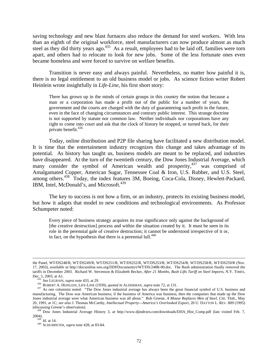saving technology and new blast furnaces also reduce the demand for steel workers. With less than an eighth of the original workforce, steel manufacturers can now produce almost as much steel as they did thirty years ago.<sup>435</sup> As a result, employees had to be laid off, families were torn apart, and others had to relocate to look for new jobs. Some of the less fortunate ones even became homeless and were forced to survive on welfare benefits.

Transition is never easy and always painful. Nevertheless, no matter how painful it is, there is no legal entitlement to an old business model or jobs. As science fiction writer Robert Heinlein wrote insightfully in *Life-Line*, his first short story:

There has grown up in the minds of certain groups in this country the notion that because a man or a corporation has made a profit out of the public for a number of years, the government and the courts are charged with the duty of guaranteeing such profit in the future, even in the face of changing circumstances and contrary public interest. This strange doctrine is not supported by statute nor common law. Neither individuals nor corporations have any right to come into court and ask that the clock of history be stopped, or turned back, for their private benefit.<sup>436</sup>

Today, online distribution and P2P file sharing have facilitated a new distribution model. It is time that the entertainment industry recognizes this change and takes advantage of its potential. As history has taught us, business models are meant to be replaced, and industries have disappeared. At the turn of the twentieth century, the Dow Jones Industrial Average, which many consider the symbol of American wealth and prosperity, $437$  was comprised of Amalgamated Copper, American Sugar, Tennessee Coal & Iron, U.S. Rubber, and U.S. Steel, among others.<sup>438</sup> Today, the index features 3M, Boeing, Coca-Cola, Disney, Hewlett-Packard, IBM, Intel, McDonald's, and Microsoft.<sup>439</sup>

The key to success is not how a firm, or an industry, protects its existing business model, but how it adapts that model to new conditions and technological environments. As Professor Schumpeter noted:

Every piece of business strategy acquires its true significance only against the background of [the creative destruction] process and within the situation created by it. It must be seen in its role in the perennial gale of creative destruction; it cannot be understood irrespective of it or, in fact, on the hypothesis that there is a perennial lull.<sup>440</sup>

the Panel, WT/DS248/R, WT/DS249/R, WT/DS251/R, WT/DS252/R, WT/DS253/R, WT/DS254/R, WT/DS258/R, WT/DS259/R (Nov. 17, 2003), *available at* http://docsonline.wto.org/DDFDocuments/t/WT/DS/248R-00.doc. The Bush administration finally removed the tariffs in December 2003. Richard W. Stevenson & Elizabeth Becker, *After 21 Months, Bush Lifts Tariff on Steel Imports*, N.Y. TIMES, Dec. 5, 2003, at A1.<br><sup>435</sup> See LEGRAIN, *supra* note 433, at 29.<br><sup>436</sup> ROBERT A. HEINLEIN, LIFE-LINE (1939), *quoted in* ALDERMAN, *supra* note 72, at 131.<br><sup>436</sup> AS one columnist noted: "The Dow Jones industrial average ha

manufacturing. The Dow was American business; if the business of America was business, then the companies that made up the Dow Jones industrial average were what American business was all about." Bob Greene, *A Mouse Replaces Men of Steel*, CHI. TRIB., May 20, 1991, at 1C; *see also* J. Thomas McCarthy, *Intellectual Property—America's Overlooked Export*, 20 U. DAYTON L. REV. 809 (1995)

<sup>&</sup>lt;sup>438</sup> Dow Jones Industrial Average History 3, *at* http://www.djindexes.com/downloads/DJIA\_Hist\_Comp.pdf (last visited Feb. 7, 2004).<br><sup>439</sup> Id. at 14.

<sup>2004).</sup> <sup>439</sup> *Id*. at 14. 440 SCHUMPETER, *supra* note 428, at 83-84.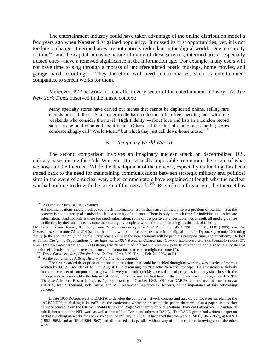The entertainment industry could have taken advantage of the online distribution model a few years ago when Napster first gained popularity. It missed its first opportunities; yet, it is not too late to change. Intermediaries are not entirely redundant in the digital world. Due to scarcity of time<sup>441</sup> and the capital-intensive nature of many of these services, intermediaries—especially trusted ones—have a renewed significance in the information age. For example, many users will not have time to slog through a morass of undifferentiated poetic musings, home movies, and garage band recordings. They therefore will need intermediaries, such as entertainment companies, to screen works for them.

Moreover, P2P networks do not affect every sector of the entertainment industry. As *The New York Times* observed in the music context:

Many specialty stores have carved out niches that cannot be duplicated online, selling rare records or used discs. Some cater to die-hard collectors, often free-spending men with free weekends who consider the novel "High Fidelity"—about love and lists in a London record store—to be nonfiction and about them. Others sell the kind of ethnic tunes the big stores condescendingly call "World Music" but which they just call down-home music.<sup>442</sup>

## B. *Imaginary World War III*

The second comparison involves an imaginary nuclear attack on decentralized U.S. military bases during the Cold War era. It is virtually impossible to pinpoint the origin of what we now call the Internet. While the development of the network, especially its funding, has been traced back to the need for maintaining communications between strategic military and political sites in the event of a nuclear war, other commentators have explained at length why the nuclear war had nothing to do with the origin of the network.<sup>443</sup> Regardless of its origin, the Internet has

. . . .

 <sup>441</sup> As Professor Jack Balkin explained:

All communications media produce too much information. So in that sense, all media have a problem of scarcity. But the scarcity is not a scarcity of bandwidth. It is a scarcity of audience. There is only so much time for individuals to assimilate information. And not only is there too much information, some of it is positively undesirable. As a result, all media give rise to filtering by their audience, or, more importantly, by people to whom the audience delegates the task of filtering.

J.M. Balkin, *Media Filters, the V-chip, and the Foundations of Broadcast Regulation*, 45 DUKE L.J. 1131, 1148 (1996); *see also* GOLDSTEIN, *supra* note 72, at 214 (stating that "time will be the scarcest resource in the digital future"); Dyson, *supra* note 10 (noting that "[i]n the end, the only unfungible, unreplicable value in the new economy will be people's presence, time, and attention"); Herbert A. Simon, *Designing Organizations for an Information-Rich World*, *in* COMPUTERS, COMMUNICATIONS, AND THE PUBLIC INTEREST 37, 40-41 (Martin Greenberger ed., 1971) (stating that "a wealth of information creates a poverty of attention and a need to allocate that attention efficiently among the overabundance of information sources that might consume it").<br><sup>442</sup> David Gonzalez, Jazz, Classical, and Endless Blues, N.Y. TIMES, Feb. 26, 2004, at B1.<br><sup>443</sup> As the authoritative A Brief H

The first recorded description of the social interactions that could be enabled through networking was a series of memos written by J.C.R. Licklider of MIT in August 1962 discussing his "Galactic Network" concept. He envisioned a globally interconnected set of computers through which everyone could quickly access data and programs from any site. In spirit, the concept was very much like the Internet of today. Licklider was the first head of the computer research program at DARPA [Defense Advanced Research Projects Agency], starting in October 1962. While at DARPA he convinced his successors at DARPA, Ivan Sutherland, Bob Taylor, and MIT researcher Lawrence G. Roberts, of the importance of this networking concept.

In late 1966 Roberts went to DARPA to develop the computer network concept and quickly put together his plan for the "ARPANET", publishing it in 1967. At the conference where he presented the paper, there was also a paper on a packet network concept from the UK by Donald Davies and Roger Scantlebury of NPL [National Physical Laboratory]. Scantlebury told Roberts about the NPL work as well as that of Paul Baran and others at RAND. The RAND group had written a paper on packet switching networks for secure voice in the military in 1964. It happened that the work at MIT (1961-1967), at RAND (1962-1965), and at NPL (1964-1967) had all proceeded in parallel without any of the researchers knowing about the other work.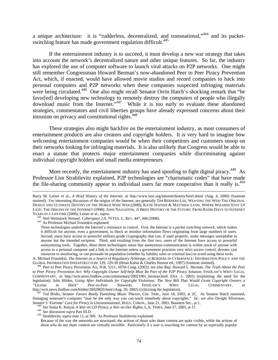a unique architecture: it is "rudderless, decentralized, and transnational,"<sup>444</sup> and its packetswitching feature has made government regulation difficult.<sup>445</sup>

If the entertainment industry is to succeed, it must develop a new war strategy that takes into account the network's decentralized nature and other unique features. So far, the industry has explored the use of computer software to launch viral attacks on P2P networks. One might still remember Congressman Howard Berman's now-abandoned Peer to Peer Piracy Prevention Act, which, if enacted, would have allowed movie studios and record companies to hack into personal computers and P2P networks when these companies suspected infringing materials were being circulated.<sup>446</sup> One also might recall Senator Orrin Hatch's shocking remark that "he favor[ed] developing new technology to remotely destroy the computers of people who illegally download music from the Internet."<sup>447</sup> While it is too early to evaluate these abandoned strategies, commentators and civil liberties groups have already expressed concerns about their intrusion on privacy and constitutional rights.<sup>448</sup>

These strategies also might backfire on the entertainment industry, as most consumers of entertainment products are also creators and copyright holders. It is very hard to imagine how welcoming entertainment companies would be when their competitors and customers snoop on their networks looking for infringing materials. It is also unlikely that Congress would be able to enact a statute that protects major entertainment companies while discriminating against individual copyright holders and small media entrepreneurs.

More recently, the entertainment industry has used spoofing to fight digital piracy.<sup>449</sup> As Professor Lior Strahilevitz explained, P2P technologies are "charismatic codes" that have made the file-sharing community appear to individual users far more cooperative than it really is. $450$ 

A. Michael Froomkin, *The Internet as a Source of Regulatory Arbitrage*, *in* BORDERS IN CYBERSPACE: INFORMATION POLICY AND THE GLOBAL INFORMATION INFRASTRUCTURE 129, 129-30 (Brian Kahin & Charles Nesson ed., 1997) (footnote omitted).<br><sup>446</sup> Peer to Peer Piracy Prevention Act, H.R. 5211, 107th Cong. (2002); see also Rep. Howard L. Berman, The Truth

Barry M. Leiner et al., *A Brief History of the Internet*, *at* http://www.isoc.org/internet/history/brief.shtml (Aug. 4, 2000) (footnote omitted). For interesting discussion of the origins of the Internet, see generally TIM BERNERS-LEE, WEAVING THE WEB: THE ORIGINAL DESIGN AND ULTIMATE DESTINY OF THE WORLD WIDE WEB (2000); KATIE HAFNER & MATTHEW LYON, WHERE WIZARDS STAY UP LATE: THE ORIGINS OF THE INTERNET (1998); JOHN NAUGHTON, A BRIEF HISTORY OF THE FUTURE: FROM RADIO DAYS TO INTERNET<br>YEARS IN A LIFETIME (2000); Leiner et al., *supra*.

<sup>&</sup>lt;sup>444</sup> Neil Weinstock Netanel, *Cyberspace 2.0*, 79 TEX. L. REV. 447, 448 (2000). <sup>445</sup> As Professor Michael Froomkin explained:

Three technologies underlie the Internet's resistance to control. First, the Internet is a *packet switching network*, which makes it difficult for anyone, even a government, to block or monitor information flows originating from large numbers of users. Second, users have access to powerful military-grade cryptography that can, if used properly, make messages unreadable to anyone but the intended recipient. Third, and resulting from the first two, users of the Internet have access to powerful anonymizing tools. Together, these three technologies mean that anonymous communication is within reach of anyone with access to a personal computer and a link to the Internet unless a government practices very strict access control, devotes vast resources to monitoring, or can persuade its population (whether by liability rules or criminal law) to avoid using these tools.

*to Peer Piracy Prevention Act: Why Copyright Owner Self-help Must Be Part of the P2P Piracy Solution*, FINDLAW'S WRIT: LEGAL COMMENTARY, *at* http://writ.news.findlaw.com/commentary/20021001\_berman.html (Oct. 1, 2002) (explaining the need for the legislation); Julie Hilden, *Going After Individuals for Copyright Violations: The New Bill That Would Grant Copyright Owners a "License to Hack" Peer-to-Peer Networks*, FINDLAW'S WRIT: LEGAL COMMENTARY, *at*

<sup>&</sup>lt;sup>7</sup> Ted Bridis, Senator Favors Really Punishing Music Thieves, CHI. TRIB., June 18, 2003, at 2C. As Senator Hatch reasoned, damaging someone's computer "may be the only way you can teach somebody about copyrights." *Id.*; *see also* Dwight Silverman, *Senator's 'Extreme' Cure for Piracy Is Unconstitutional*, HOUS. CHRON., June 21, 2003, Busines

<sup>&</sup>lt;sup>448</sup> See Sonia K. Katyal, *A War on CD Piracy, a War on Our Rights*, L.A. TIMES, June 27, 2003, at 17.<br><sup>449</sup> See discussion *supra* Part III.D.<br><sup>450</sup> Strahilevitz, *supra* note 11, at 509. As Professor Strahilevitz expla

Because of the way the networks are structured, the actions of those who share content are quite visible, while the actions of those who do not share content are virtually invisible. Particularly if a user is searching for content by an especially popular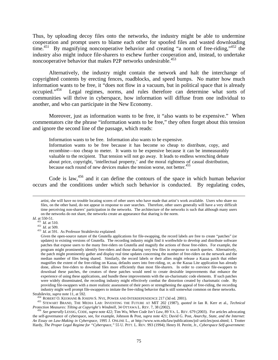Thus, by uploading decoy files onto the networks, the industry might be able to undermine cooperation and prompt users to blame each other for spoofed files and wasted downloading time.<sup>451</sup> By magnifying noncooperative behavior and creating "a norm of free-riding,"<sup>452</sup> the industry also might induce file-sharers to eschew further cooperation and, instead, to undertake noncooperative behavior that makes P2P networks undesirable.<sup>453</sup>

Alternatively, the industry might contain the network and halt the interchange of copyrighted contents by erecting fences, roadblocks, and speed bumps. No matter how much information wants to be free, it "does not flow in a vacuum, but in political space that is already occupied."454 Legal regimes, norms, and rules therefore can determine what sorts of communities will thrive in cyberspace, how information will diffuse from one individual to another, and who can participate in the New Economy.

Moreover, just as information wants to be free, it "also wants to be expensive." When commentators cite the phrase "information wants to be free," they often forget about this tension and ignore the second line of the passage, which reads:

Information wants to be free. Information also wants to be expensive.

Information wants to be free because it has become so cheap to distribute, copy, and recombine—too cheap to meter. It wants to be expensive because it can be immeasurably valuable to the recipient. That tension will not go away. It leads to endless wrenching debate about price, copyright, 'intellectual property,' and the moral rightness of casual distribution, because each round of new devices makes the tension worse, not better.<sup>455</sup>

Code is law, $456$  and it can define the contours of the space in which human behavior occurs and the conditions under which such behavior is conducted. By regulating codes,

*Id.* at 550-51.<br><sup>451</sup> *Id.* at 510.

<sup>451</sup> *Id*. at 510. 452 *Id*. at 509. 453 *Id*. at 591. As Professor Strahilevitz explained:

Strahilevitz, *supra* note 11, at 592.<br><sup>454</sup> ROBERT O. KEOHANE & JOSEPH S. NYE, POWER AND INTERDEPENDENCE 217 (3d ed. 2001).<br><sup>455</sup> STEWART BRAND, THE MEDIA LAB: INVENTING THE FUTURE AT MIT 202 (1987), *quoted in* Ian R. Ke

artist, she will have no trouble locating scores of other users who have made that artist's work available. Users who share no files, on the other hand, do not appear in response to user searches. Therefore, other users generally will have a very difficult time perceiving non-sharers' participation in the networks. The architecture of the networks is such that although many users on the networks do not share, the networks create an appearance that sharing is the norm.

Given the open-source nature of the Gnutella applications for file-swapping, the record labels are free to create "patches" (or updates) to existing versions of Gnutella. The recording industry might find it worthwhile to develop and distribute software patches that expose users to the many free-riders on Gnutella and magnify the actions of those free-riders. For example, the program might prominently identify free-riders and those sharing very few files in response to search queries. Alternatively, the patch might prominently gather and display real time updates concerning the number of free-riders on the network and the median number of files being shared. Similarly, the record labels or their allies might release a Kazaa patch that either magnifies the extent of the free-riding on Kazaa, defaults users into free-riding, or, as the Kazaa Lite application has already done, allows free-riders to download files more efficiently than most file-sharers. In order to convince file-swappers to download these patches, the creators of these patches would need to create desirable improvements that enhance the experience of using these applications, and bundle these improvements with the un-charismatic code elements. If such patches were widely disseminated, the recording industry might effectively combat the distortion created by charismatic code. By providing file-swappers with a more realistic assessment of their peers or strengthening the appeal of free-riding, the recording industry might well prompt file-swappers to imitate the free-riding behavior that is still somewhat common on these networks.

<sup>&</sup>lt;sup>456</sup> See generally LESSIG, CODE, supra note 422; Tim Wu, When Code Isn't Law, 89 VA. L. REV. 679 (2003). For articles advocating the self-governance of cyberspace, see, for example, Johnson & Post, *supra* note 421; David G. Post, *Anarchy, State, and the Internet: An Essay on Law-Making in Cyberspace*, 1995 J. ONLINE L., *at* http://www.wm.edu/law/publications/jol/-articles/post.shtml; I. Trotter Hardy, *The Proper Legal Regime for "Cyberspace*,*"* 55 U. PITT. L. REV. 993 (1994); Henry H. Perritt, Jr., *Cyberspace Self-government:*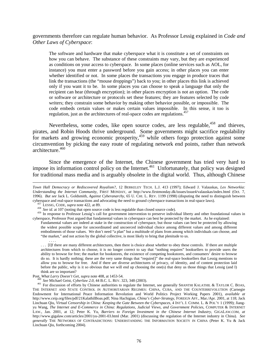## governments therefore can regulate human behavior. As Professor Lessig explained in *Code and Other Laws of Cyberspace*:

The software and hardware that make cyberspace what it is constitute a set of constraints on how you can behave. The substance of these constraints may vary, but they are experienced as conditions on your access to cyberspace. In some places (online services such as AOL, for instance) you must enter a password before you gain access; in other places you can enter whether identified or not. In some places the transactions you engage in produce traces that link the transactions (the "mouse droppings") back to you; in other places this link is achieved only if you want it to be. In some places you can choose to speak a language that only the recipient can hear (through encryption); in other places encryption is not an option. The code or software or architecture or protocols set these features; they are features selected by code writers; they constrain some behavior by making other behavior possible, or impossible. The code embeds certain values or makes certain values impossible. In this sense, it too is regulation, just as the architectures of real-space codes are regulations.<sup>457</sup>

Nevertheless, some codes, like open source codes, are less regulable,<sup>458</sup> and thieves, pirates, and Robin Hoods thrive underground. Some governments might sacrifice regulability for markets and growing economic prosperity,<sup>459</sup> while others forgo protection against some circumvention by picking the easy route of regulating network end points, rather than network architecture.<sup>460</sup>

Since the emergence of the Internet, the Chinese government has tried very hard to impose its information control policy on the Internet.<sup>461</sup> Unfortunately, that policy was designed for traditional mass media and is arguably obsolete in the digital world. Thus, although Chinese

. . . .

 $\overline{a}$ 

<sup>457</sup> LESSIG, CODE, *supra* note 422, at 89.<br><sup>458</sup> *See id.* at 107 (noting that open source code is less regulable than closed source code).<br><sup>459</sup> In response to Professor Lessig's call for government intervention to pre cyberspace, Professor Post argued that fundamental values in cyberspace can best be protected by the market. As he explained:

Fundamental values are indeed at stake in the construction of cyberspace, but those values can best be protected by allowing the widest possible scope for uncoordinated and uncoerced individual choice among different values and among different embodiments of those values. We don't need "a plan" but a multitude of plans from among which individuals can choose, and "the market," and not action by the global collective, is most likely to bring that plenitude to us.

... [I]f there are many different architectures, then there is choice about whether to obey these controls. If there are multiple architectures from which to choose, it is no longer correct to say that "nothing requires" booksellers to provide users the ability to browse for free; the market for bookstores, the existence of competing bookstores, and consumers' desire to browse do so. It is hardly nothing; these are the very same things that "require[]" the real-space booksellers that Lessig mentions to allow you to browse for free. And if there are diverse architectures of privacy, of identity, and of content protection laid before the public, why is it so obvious that we will end up choosing the one(s) that deny us those things that Lessig (and I) think are so important?<br>Post. What Larry Doesn't Get. supra note 408. at 1453-54.

*Town Hall Democracy or Rediscovered Royalism?*, 12 BERKELEY TECH. L.J. 413 (1997); Edward J. Valauskas, *Lex Networkia: Understanding the Internet Community*, FIRST MONDAY, *at* http://www.firstmonday.dk/issues/issue4/valauskas/index.html (Oct. 7, 1996). *But see* Jack L. Goldsmith, *Against Cyberanarchy*, 65 U. CHI. L. REV. 1199 (1998) (disputing the need to distinguish between

<sup>460</sup> See Michael Geist, Cyberlaw 2.0, 44 B.C. L. REV. 323, 348 (2003).<br><sup>461</sup> For discussion of efforts by Chinese authorities to regulate the Internet, see generally SHANTHI KALATHIL & TAYLOR C. BOAS, THE INTERNET AND STATE CONTROL IN AUTHORITARIAN REGIMES: CHINA, CUBA, AND THE COUNTERREVOLUTION (Carnegie Endowment for International Peace Information Revolution and World Politics Project Working Papers 2001), *available at*  http://www.ceip.org/files/pdf/21KalathilBoas.pdf; Nina Hachigian, *China's Cyber-Strategy*, FOREIGN AFF., Mar./Apr. 2001, at 118; Jack Linchuan Qiu, *Virtual Censorship in China: Keeping the Gate Between the Cyberspaces*, 4 INT'L J. COMM. L. & POL'Y 1 (1999); Jiangyu Wang, *The Internet and E-Commerce in China: Regulations, Judicial Views, and Government Policies*, COMPUTER & INTERNET LAW., Jan. 2001, at 12; Peter K. Yu, *Barriers to Foreign Investment in the Chinese Internet Industry*, GIGALAW.COM, *at* http://www.gigalaw.com/articles/2001/yu-2001-03.html (Mar. 2001) (discussing the regulation of the Internet industry in China). *See generally* THE NETWORKS OF CONTRADICTIONS: UNDERSTANDING THE INFORMATION SOCIETY IN CHINA (Peter K. Yu & Jack Linchuan Qiu, forthcoming 2004).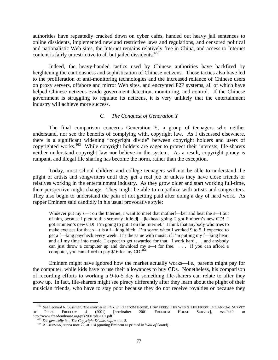authorities have repeatedly cracked down on cyber cafés, handed out heavy jail sentences to online dissidents, implemented new and restrictive laws and regulations, and censored political and nationalistic Web sites, the Internet remains relatively free in China, and access to Internet content is fairly unrestrictive to all but jailed dissidents.<sup>462</sup>

Indeed, the heavy-handed tactics used by Chinese authorities have backfired by heightening the cautiousness and sophistication of Chinese netizens. Those tactics also have led to the proliferation of anti-monitoring technologies and the increased reliance of Chinese users on proxy servers, offshore and mirror Web sites, and encrypted P2P systems, all of which have helped Chinese netizens evade government detection, monitoring, and control. If the Chinese government is struggling to regulate its netizens, it is very unlikely that the entertainment industry will achieve more success.

## *C. The Conquest of Generation Y*

The final comparison concerns Generation Y, a group of teenagers who neither understand, nor see the benefits of complying with, copyright law. As I discussed elsewhere, there is a significant widening "copyright divide" between copyright holders and users of copyrighted works.<sup>463</sup> While copyright holders are eager to protect their interests, file-sharers neither understand copyright law nor believe in the system. As a result, copyright piracy is rampant, and illegal file sharing has become the norm, rather than the exception.

Today, most school children and college teenagers will not be able to understand the plight of artists and songwriters until they get a real job or unless they have close friends or relatives working in the entertainment industry. As they grow older and start working full-time, their perspective might change. They might be able to empathize with artists and songwriters. They also begin to understand the pain of not getting paid after doing a day of hard work. As rapper Eminem said candidly in his usual provocative style:

Whoever put my s—t on the Internet, I want to meet that motherf—ker and beat the s—t out of him, because I picture this scrawny little d[—]ickhead going 'I got Eminem's new CD! I got Eminem's new CD! I'm going to put it on the Internet.' I think that anybody who tries to make excuses for that s—t is a f—king bitch. I'm sorry; when I worked 9 to 5, I expected to get a f—king paycheck every week. It's the same with music; if I'm putting my f—king heart and all my time into music, I expect to get rewarded for that. I work hard . . . and anybody can just throw a computer up and download my s—t for free. . . . If you can afford a computer, you can afford to pay \$16 for my  $CD$ .<sup>464</sup>

Eminem might have ignored how the market actually works—i.e., parents might pay for the computer, while kids have to use their allowances to buy CDs. Nonetheless, his comparison of recording efforts to working a 9-to-5 day is something file-sharers can relate to after they grow up. In fact, file-sharers might see piracy differently after they learn about the plight of their musician friends, who have to stay poor because they do not receive royalties or because they

<sup>&</sup>lt;sup>462</sup> *See* Leonard R. Sussman, *The Internet in Flux*, *in* FREEDOM HOUSE, HOW FREE?: THE WEB & THE PRESS: THE ANNUAL SURVEY PRESS FREEDOM 4 (2001) [hereinafter 2001 FREEDOM HOUSE SURVEY], *available at* OF PRESS FREEDOM 4 (2001) [hereinafter 2001 FREEDOM HOUSE SURVEY], *available at* 

<sup>&</sup>lt;sup>463</sup> See generally Yu, *The Copyright Divide*, *supra* note 5. <sup>464</sup> ALDERMAN, *supra* note 72, at 114 (quoting Eminem as printed in *Wall of Sound*).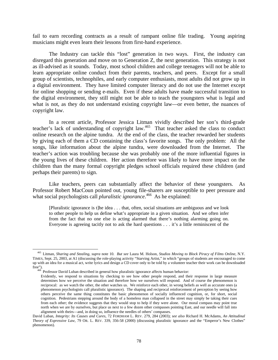fail to earn recording contracts as a result of rampant online file trading. Young aspiring musicians might even learn their lessons from first-hand experience.

The Industry can tackle this "lost" generation in two ways. First, the industry can disregard this generation and move on to Generation Z, the next generation. This strategy is not as ill-advised as it sounds. Today, most school children and college teenagers will not be able to learn appropriate online conduct from their parents, teachers, and peers. Except for a small group of scientists, technophiles, and early computer enthusiasts, most adults did not grow up in a digital environment. They have limited computer literacy and do not use the Internet except for online shopping or sending e-mails. Even if these adults have made successful transition to the digital environment, they still might not be able to teach the youngsters what is legal and what is not, as they do not understand existing copyright law—or even better, the nuances of copyright law.

In a recent article, Professor Jessica Litman vividly described her son's third-grade teacher's lack of understanding of copyright law.<sup>465</sup> That teacher asked the class to conduct online research on the alpine tundra. At the end of the class, the teacher rewarded her students by giving each of them a CD containing the class's favorite songs. The only problem: All the songs, like information about the alpine tundra, were downloaded from the Internet. The teacher's action was troubling because she was probably one of the more influential figures in the young lives of these children. Her action therefore was likely to have more impact on the children than the many formal copyright pledges school officials required these children (and perhaps their parents) to sign.

Like teachers, peers can substantially affect the behavior of these youngsters. As Professor Robert MacCoun pointed out, young file-sharers are susceptible to peer pressure and what social psychologists call *pluralistic ignorance*.<sup>466</sup> As he explained:

[Pluralistic ignorance is t]he idea . . . that, often, social situations are ambiguous and we look to other people to help us define what's appropriate in a given situation. And we often infer from the fact that no one else is acting alarmed that there's nothing alarming going on. Everyone is agreeing tacitly not to ask the hard questions . . . it's a little reminiscent of the

 <sup>465</sup> Litman, *Sharing and Stealing*, *supra* note 10. *But see* Laura M. Holson, *Studios Moving to Block Piracy of Films Online*, N.Y. TIMES, Sept. 25, 2003, at A1 (discussing the role-playing activity "Starving Artist," in which "groups of students are encouraged to come up with an idea for a musical act, write lyrics and design a CD cover only to be told by a volunteer teacher their work can be downloaded free").<br><sup>466</sup> Professor David Luban described in general how pluralistic ignorance affects human behavior:<br>the specific state and the metal responds and the

Evidently, we respond to situations by checking to see how other people respond, and their response in large measure determines how we perceive the situation and therefore how we ourselves will respond. And of course the phenomenon is reciprocal: as we watch the other, the other watches us. We reinforce each other, in wrong beliefs as well as accurate ones (a phenomenon psychologists call pluralistic ignorance). The shaping and reciprocal reinforcement of perception by seeing how others perceive the same thing constitutes the basic phenomenon of socially influenced cognition, or, for short, social cognition. Pedestrians stepping around the body of a homeless man collapsed in the street may simply be taking their cues from each other; the evidence suggests that they would stop to help if they were alone. Our moral compass may point true north when we are by ourselves, but place us next to a few dozen other compasses pointing East, and our needle will fall into alignment with theirs—and, in doing so, influence the needles of others' compasses.

David Luban, *Integrity: Its Causes and Cures*, 72 FORDHAM L. REV. 279, 284 (2003); *see also* Richard H. McAdams, *An Attitudinal Theory of Expressive Law*, 79 OR. L. REV. 339, 356-58 (2000) (discussing pluralistic ignorance and the "Emperor's New Clothes" phenomenon).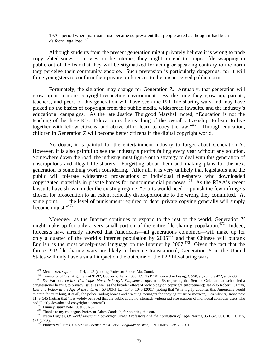1970s period when marijuana use became so prevalent that people acted as though it had been *de facto* legalized.467

Although students from the present generation might privately believe it is wrong to trade copyrighted songs or movies on the Internet, they might pretend to support file swapping in public out of the fear that they will be stigmatized for acting or speaking contrary to the norm they perceive their community endorse. Such pretension is particularly dangerous, for it will force youngsters to conform their private preferences to the misperceived public norm.

Fortunately, the situation may change for Generation Z. Arguably, that generation will grow up in a more copyright-respecting environment. By the time they grow up, parents, teachers, and peers of this generation will have seen the P2P file-sharing wars and may have picked up the basics of copyright from the public media, widespread lawsuits, and the industry's educational campaigns. As the late Justice Thurgood Marshall noted, "Education is not the teaching of the three R's. Education is the teaching of the overall citizenship, to learn to live together with fellow citizens, and above all to learn to obey the law."<sup>468</sup> Through education, children in Generation Z will become better citizens in the digital copyright world.

No doubt, it is painful for the entertainment industry to forget about Generation Y. However, it is also painful to see the industry's profits falling every year without any solution. Somewhere down the road, the industry must figure out a strategy to deal with this generation of unscrupulous and illegal file-sharers. Forgetting about them and making plans for the next generation is something worth considering. After all, it is very unlikely that legislators and the public will tolerate widespread prosecutions of individual file-sharers who downloaded copyrighted materials in private homes for noncommercial purposes.<sup>469</sup> As the RIAA's recent lawsuits have shown, under the existing regime, "courts would need to punish the few infringers chosen for prosecution to an extent radically disproportionate to the wrong they committed. At some point, . . . the level of punishment required to deter private copying generally will simply become unjust."<sup>470</sup>

Moreover, as the Internet continues to expand to the rest of the world, Generation Y might make up for only a very small portion of the entire file-sharing population.<sup>471</sup> Indeed, forecasts have already showed that Americans—all generations combined—will make up for only a quarter of the world's Internet population by  $2005^{472}$  and that Chinese will outrank English as the most widely-used language on the Internet by  $2007.<sup>473</sup>$  Given the fact that the future P2P file-sharing wars are likely to become transnational, Generation Y in the United States will only have a small impact on the outcome of the P2P file-sharing wars.

<sup>&</sup>lt;sup>467</sup> MERRIDEN, *supra* note 414, at 25 (quoting Professor Robert MacCoun).<br><sup>468</sup> Transcript of Oral Argument at 91-92, Cooper v. Aaron, 358 U.S. 1 (1958), *quoted in* Lessig, CODE, *supra* note 422, at 92-93.<br><sup>469</sup> See Ha

congressional hearing to privacy issues as well as the broader effect of technology on copyright enforcement); *see also* Robert E. Litan, *Law and Policy in the Age of the Internet*, 50 DUKE L.J. 1045, 1070 (2001) (noting that "it is highly doubtful that Americans would tolerate for very long, if at all, the police raiding homes and arresting teenagers for copying music or movies"); Strahilevitz, *supra* note 11, at 545 (noting that "it is widely believed that the public could not stomach widespread prosecutions of individual computer users who

<sup>&</sup>lt;sup>470</sup> Lunney, *supra* note 10, at 851-52.<br><sup>471</sup> Thanks to my colleague, Professor Adam Candeub, for pointing this out.<br><sup>472</sup> Justin Hughes, *Of World Music and Sovereign States, Professors and the Formation of Legal Norms* 165 (2003). 473 Frances Williams, *Chinese to Become Most-Used Language on Web*, FIN. TIMES, Dec. 7, 2001.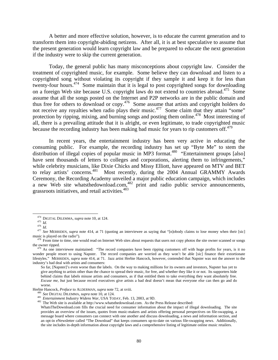A better and more effective solution, however, is to educate the current generation and to transform them into copyright-abiding netizens. After all, it is at best speculative to assume that the present generation would learn copyright law and be prepared to educate the next generation if the industry were to skip the current generation.

Today, the general public has many misconceptions about copyright law. Consider the treatment of copyrighted music, for example. Some believe they can download and listen to a copyrighted song without violating its copyright if they sample it and keep it for less than twenty-four hours.474 Some maintain that it is legal to post copyrighted songs for downloading on a foreign Web site because U.S. copyright laws do not extend to countries abroad.<sup>475</sup> Some assume that all the songs posted on the Internet and P2P networks are in the public domain and thus free for others to download or copy.<sup>476</sup> Some assume that artists and copyright holders do not receive any royalties when radio plays their music.<sup>477</sup> Some claim that they attain "some" protection by ripping, mixing, and burning songs and posting them online.<sup>478</sup> Most interesting of all, there is a prevailing attitude that it is alright, or even legitimate, to trade copyrighted music because the recording industry has been making bad music for years to rip customers off.<sup>479</sup>

In recent years, the entertainment industry has been very active in educating the consuming public. For example, the recording industry has set up "Byte Me" to stem the distribution of illegal copies of popular music in MP3 format.<sup>480</sup> "Entertainment groups [also] have sent thousands of letters to colleges and corporations, alerting them to infringements," while celebrity musicians, like Dixie Chicks and Missy Elliott, have appeared on MTV and BET to relay artists' concerns.<sup>481</sup> Most recently, during the 2004 Annual GRAMMY Awards Ceremony, the Recording Academy unveiled a major public education campaign, which includes a new Web site whatsthedownload.com,<sup>482</sup> print and radio public service announcements, grassroots initiatives, and retail activities.<sup>483</sup>

<sup>474</sup> DIGITAL DILEMMA, *supra* note 10, at 124.<br><sup>475</sup> *Id. Id.* 476 *Id.* 476 *Id.* 476 *Id.* 487 *Id.* 487 *Id.* 487 *At 71* (quoting an interviewee as saying that "[n]obody claims to lose money when their [sic] music is played on the radio").<br><sup>478</sup> From time to time, one would read on Internet Web sites about requests that users not copy photos the site owner scanned or songs

the owner ripped.<br><sup>479</sup> As one interviewee maintained: "The record companies have been ripping customers off with huge profits for years, is it no

wonder people resort to using Napster. The record companies are worried as they won't be able [sic] finance their extortionate lifestyles." MERRIDEN, *supra* note 414, at 71. Jazz artist Herbie Hancock, however, contended that Napster was not the answer to the industry's bad deal with artists and consumers:

So far, [Napster]'s even worse than the labels. On the way to making millions for its owners and investors, Napster has yet to give anything to artists other than the chance to spread their music, for free, and whether they like it or not. Its supporters hide behind claims that labels misuse artists and consumers, as if that entitled them to take everything they want absolutely free. *Excuse me, but* just because record executives give artists a bad deal doesn't mean that everyone else can then go and do worse.<br>Herbie Hancock, Preface to ALDERMAN, supra note 72, at xviii.

<sup>&</sup>lt;sup>480</sup> See DIGITAL DILEMMA, *supra* note 10, at 124.<br><sup>481</sup> *Entertainment Industry Widens War*, USA TODAY, Feb. 13, 2003, at 9D.<br><sup>482</sup> The Web site is available at http://www.whatsthedownload.com. As the Press Release desc

WhatsTheDownload.com fills the crucial need for consumer information about the impact of illegal downloading. The site provides an overview of the issues, quotes from music-makers and artists offering personal perspectives on file-swapping, a message board where consumers can connect with one another and discuss downloading, a news and information section, and an opt-in eNewsletter called "The Download" that keeps consumers up-to-date on various file-swapping news. Additionally, the site includes in-depth information about copyright laws and a comprehensive listing of legitimate online music retailers.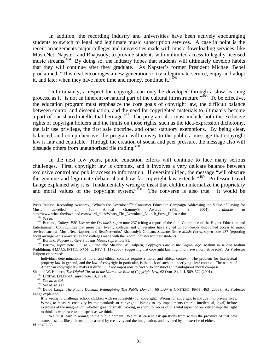In addition, the recording industry and universities have been actively encouraging students to switch to legal and legitimate music subscription services. A case in point is the recent arrangements major colleges and universities made with music downloading services, like MusicNet, Napster, and Rhapsody, to provide students with unlimited access to legally licensed music streams.<sup>484</sup> By doing so, the industry hopes that students will ultimately develop habits that they will continue after they graduate. As Napster's former President Michael Bebel proclaimed, "This deal encourages a new generation to try a legitimate service, enjoy and adopt it, and later when they have more time and money, continue it."<sup>485</sup>

Unfortunately, a respect for copyright can only be developed through a slow learning process, as it "is not an inherent or natural part of the cultural infrastructure."<sup>486</sup> To be effective, the education program must emphasize the core goals of copyright law, the difficult balance between control and dissemination, and the need for copyrighted materials to ultimately become a part of our shared intellectual heritage. $487$  The program also must include both the exclusive rights of copyright holders and the limits on those rights, such as the idea-expression dichotomy, the fair use privilege, the first sale doctrine, and other statutory exemptions. By being clear, balanced, and comprehensive, the program will convey to the public a message that copyright law is fair and equitable. Through the creation of social and peer pressure, the message also will dissuade others from unauthorized file trading.<sup>488</sup>

In the next few years, public education efforts will continue to face many serious challenges. First, copyright law is complex, and it involves a very delicate balance between exclusive control and public access to information. If oversimplified, the message "will obscure the genuine and legitimate debate about how far copyright law extends."<sup>489</sup> Professor David Lange explained why it is "fundamentally wrong to insist that children internalize the proprietary and moral values of the copyright system."<sup>490</sup> The converse is also true. It would be

Press Release, Recording Academy, "What's the Download<sup>SM</sup>" Consumer Education Campaign Addressing the Value of Paying for Music Unveiled at 46th Annual Grammy® Awards (Feb. 8, 2004), *available at* Music Unveiled at 46th Annual Grammy® Awards (Feb. 8, 2004), *available at*  http://www.whatsthedownload.com/word\_docs/Whats\_The\_Download\_Launch\_Press\_Release.doc.<br><sup>483</sup> See id.<br><sup>484</sup> Borland, College P2P Use on the Decline?, supra note 237 (citing a report of the Joint Committee of the Higher Educ

Entertainment Communities that more than twenty colleges and universities have signed up for deeply discounted access to music services such as MusicNet, Napster, and RealNetworks' Rhapsody); Graham, *Students Score Music Perks*, *supra* note 237 (reporting

about arrangements universities and colleges made with the record industry for their students).<br><sup>485</sup> Borland, *Napster to Give Students Music, supra* note 81.<br><sup>486</sup> Bartow, *supra* note 305, at 23; *see also* Sheldon W. H Prohibitum, 4 MARQ. INTELL. PROP. L. REV. 1, 11 (2000) (suggesting that copyright law might not have a normative role). As Professor Halpern elaborated:

Individual determinations of moral and ethical conduct require a moral and ethical context. The problem for intellectual property law in general, and the law of copyright in particular, is the lack of such an underlying clear context. The nature of American copyright law makes it difficult, if not impossible to find or to construct an unambiguous moral compass.

Sheldon W. Halpern, *The Digital Threat to the Normative Role of Copyright Law*, 62 OHIO ST. L.J. 569, 572 (2001).<br><sup>487</sup> DIGITAL DILEMMA, *supra* note 10, at 216.<br><sup>488</sup> See id. at 305.<br><sup>489</sup> See id. at 309.<br><sup>490</sup> David Lan Lange explained:

It is wrong to challenge school children with responsibility for copyright. Wrong for copyright to intrude into private lives. Wrong to measure creativity by the standards of copyright. Wrong to lay impediments (moral, intellectual, legal) before exercises of the imagination, whether great or small. Wrong, in short, to rob us of this vital aspect of our citizenship: the right to think as we please and to speak as we think.

We must learn to reimagine the public domain. We must learn to ask questions from within the province of that new status, a status like citizenship, measured by creativity and the imagination, and invoked by an exercise of either. *Id*. at 482-83.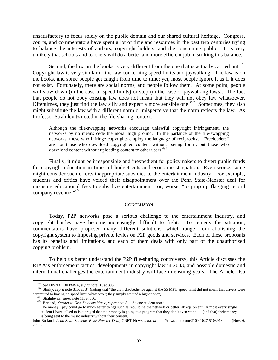unsatisfactory to focus solely on the public domain and our shared cultural heritage. Congress, courts, and commentators have spent a lot of time and resources in the past two centuries trying to balance the interests of authors, copyright holders, and the consuming public. It is very unlikely that schools and teachers will do a better and more efficient job in striking this balance.

Second, the law on the books is very different from the one that is actually carried out.<sup>491</sup> Copyright law is very similar to the law concerning speed limits and jaywalking. The law is on the books, and some people get caught from time to time; yet, most people ignore it as if it does not exist. Fortunately, there are social norms, and people follow them. At some point, people will slow down (in the case of speed limits) or stop (in the case of jaywalking laws). The fact that people do not obey existing law does not mean that they will not obey law whatsoever. Oftentimes, they just find the law silly and expect a more sensible one.<sup> $492$ </sup> Sometimes, they also might substitute the law with a different norm or misperceive that the norm reflects the law. As Professor Strahilevitz noted in the file-sharing context:

Although the file-swapping networks encourage unlawful copyright infringement, the networks by no means cede the moral high ground. In the parlance of the file-swapping networks, those who infringe copyrights employ the language of reciprocity. "Freeloaders" are not those who download copyrighted content without paying for it, but those who download content without uploading content to other users.<sup>493</sup>

Finally, it might be irresponsible and inexpedient for policymakers to divert public funds for copyright education in times of budget cuts and economic stagnation. Even worse, some might consider such efforts inappropriate subsidies to the entertainment industry. For example, students and critics have voiced their disappointment over the Penn State-Napster deal for misusing educational fees to subsidize entertainment—or, worse, "to prop up flagging record company revenue." 494

## **CONCLUSION**

Today, P2P networks pose a serious challenge to the entertainment industry, and copyright battles have become increasingly difficult to fight. To remedy the situation, commentators have proposed many different solutions, which range from abolishing the copyright system to imposing private levies on P2P goods and services. Each of these proposals has its benefits and limitations, and each of them deals with only part of the unauthorized copying problem.

To help us better understand the P2P file-sharing controversy, this Article discusses the RIAA's enforcement tactics, developments in copyright law in 2003, and possible domestic and international challenges the entertainment industry will face in ensuing years. The Article also

<sup>&</sup>lt;sup>491</sup> *See* DIGITAL DILEMMA, *supra* note 10, at 305.<br><sup>492</sup> Shirky, *supra* note 315, at 34 (noting that "the civil disobedience against the 55 MPH speed limit did not mean that drivers were committed to having no speed limit whatsoever; they simply wanted a higher one").<br><sup>493</sup> Strahilevitz, *supra* note 11, at 556.<br><sup>494</sup> Borland, *Napster to Give Students Music*, *supra* note 81. As one student noted:

The money I pay could go to much better things such as rebuilding the network or better lab equipment. Almost every single student I have talked to is outraged that their money is going to a program that they don't even want . . . (and that) their money is being sent to the music industry without their consent.

John Borland, *Penn State Students Blast Napster Deal*, CNET NEWS.COM, *at* http://news.com.com/2100-1027-5103918.html (Nov. 6, 2003).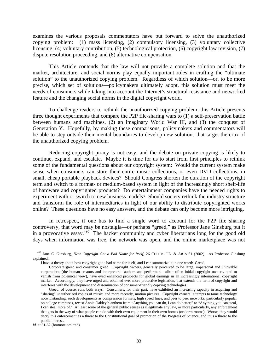examines the various proposals commentators have put forward to solve the unauthorized copying problem: (1) mass licensing, (2) compulsory licensing, (3) voluntary collective licensing, (4) voluntary contribution, (5) technological protection, (6) copyright law revision, (7) dispute resolution proceeding, and (8) alternative compensation.

This Article contends that the law will not provide a complete solution and that the market, architecture, and social norms play equally important roles in crafting the "ultimate solution" to the unauthorized copying problem. Regardless of which solution—or, to be more precise, which set of solutions—policymakers ultimately adopt, this solution must meet the needs of consumers while taking into account the Internet's structural resistance and networked feature and the changing social norms in the digital copyright world.

To challenge readers to rethink the unauthorized copying problem, this Article presents three thought experiments that compare the P2P file-sharing wars to (1) a self-preservation battle between humans and machines, (2) an imaginary World War III, and (3) the conquest of Generation Y. Hopefully, by making these comparisons, policymakers and commentators will be able to step outside their mental boundaries to develop new solutions that target the crux of the unauthorized copying problem.

Reducing copyright piracy is not easy, and the debate on private copying is likely to continue, expand, and escalate. Maybe it is time for us to start from first principles to rethink some of the fundamental questions about our copyright system: Would the current system make sense when consumers can store their entire music collections, or even DVD collections, in small, cheap portable playback devices? Should Congress shorten the duration of the copyright term and switch to a format- or medium-based system in light of the increasingly short shelf-life of hardware and copyrighted products? Do entertainment companies have the needed rights to experiment with or switch to new business models? Should society rethink the industry structure and transform the role of intermediaries in light of our ability to distribute copyrighted works online? These questions have no easy answers, and the debate can only become more intriguing.

In retrospect, if one has to find a single word to account for the P2P file sharing controversy, that word may be nostalgia—or perhaps "greed," as Professor Jane Ginsburg put it in a provocative essay.<sup>495</sup> The hacker community and cyber libertarians long for the good old days when information was free, the network was open, and the online marketplace was not

 <sup>495</sup> Jane C. Ginsburg, *How Copyright Got a Bad Name for Itself,* 26 COLUM. J.L. & ARTS 61 (2002). As Professor Ginsburg explained:

I have a theory about how copyright got a bad name for itself, and I can summarize it in one word: Greed.

Corporate greed and consumer greed. Copyright owners, generally perceived to be large, impersonal and unlovable corporations (the human creators and interpreters—authors and performers—albeit often initial copyright owners, tend to vanish from polemical view), have eyed enhanced prospects for global earnings in an increasingly international copyright market. Accordingly, they have urged and obtained ever more protective legislation, that extends the term of copyright and interferes with the development and dissemination of consumer-friendly copying technologies.

Greed, of course, runs both ways. Consumers, for their part, have exhibited an increasing rapacity in acquiring and "sharing" unauthorized copies of music, and more recently, motion pictures. Copyright owners' attempts to tame technology notwithstanding, such developments as compression formats, high speed lines, and peer to peer networks, particularly popular on college campuses, recast Annie Oakley's anthem from "Anything you can do, I can do better," to "Anything you can steal, I can steal more of." At least some of the general public senses as illegitimate any law, or more particularly, any enforcement that gets in the way of what people can do with their own equipment in their own homes (or dorm rooms). Worse, they would decry this enforcement as a threat to the Constitutional goal of promotion of the Progress of Science, and thus a threat to the public interest.

*Id*. at 61-62 (footnote omitted).